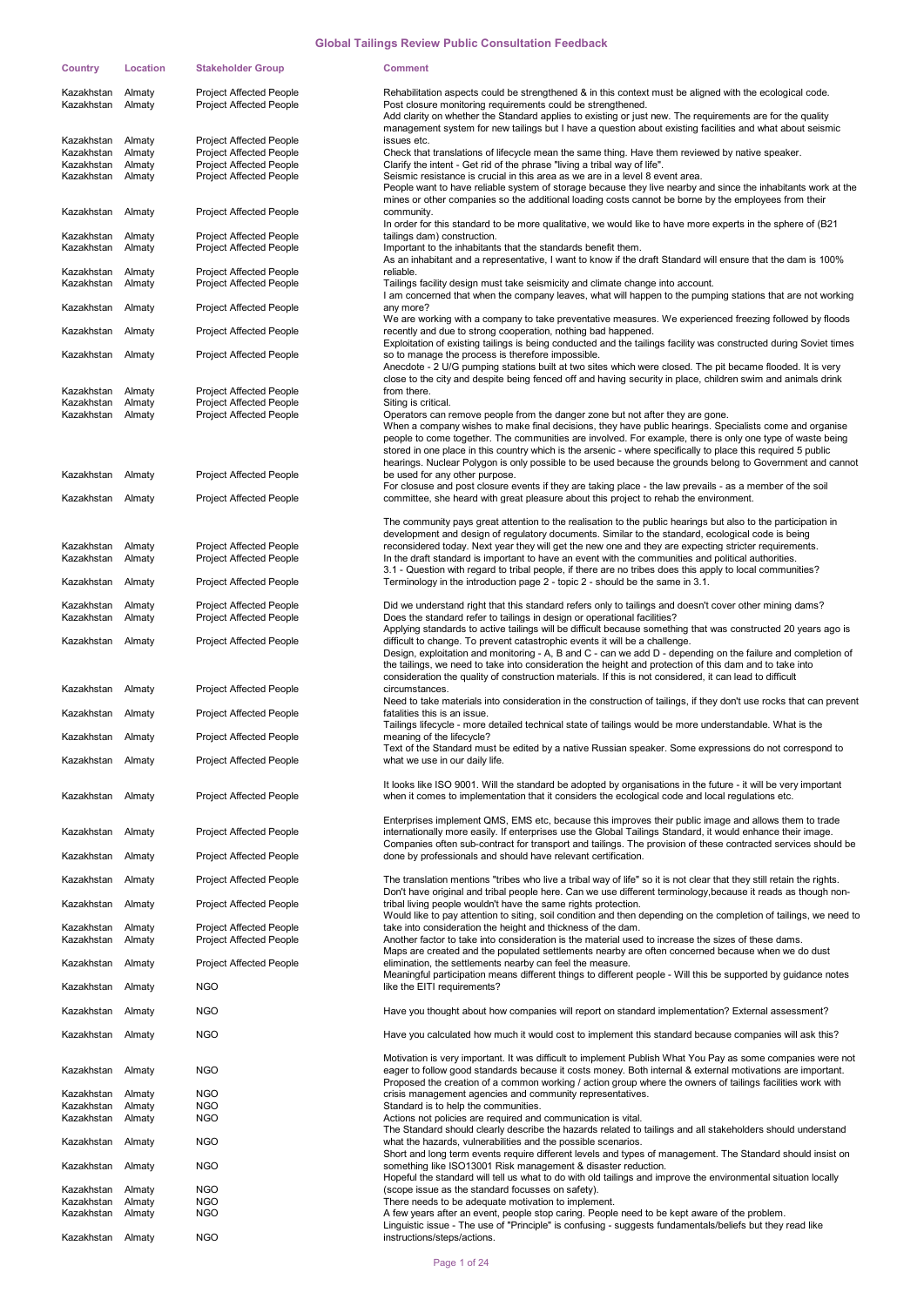| Country                                | Location         | <b>Stakeholder Group</b>                                         | <b>Comment</b>                                                                                                                                                                                                                                                                                                                                                                                                                                     |
|----------------------------------------|------------------|------------------------------------------------------------------|----------------------------------------------------------------------------------------------------------------------------------------------------------------------------------------------------------------------------------------------------------------------------------------------------------------------------------------------------------------------------------------------------------------------------------------------------|
| Kazakhstan<br>Kazakhstan               | Almaty<br>Almaty | <b>Project Affected People</b><br>Project Affected People        | Rehabilitation aspects could be strengthened & in this context must be aligned with the ecological code.<br>Post closure monitoring requirements could be strengthened.<br>Add clarity on whether the Standard applies to existing or just new. The requirements are for the quality                                                                                                                                                               |
| Kazakhstan Almaty                      |                  | <b>Project Affected People</b>                                   | management system for new tailings but I have a question about existing facilities and what about seismic<br>issues etc.                                                                                                                                                                                                                                                                                                                           |
| Kazakhstan                             | Almaty           | Project Affected People                                          | Check that translations of lifecycle mean the same thing. Have them reviewed by native speaker.                                                                                                                                                                                                                                                                                                                                                    |
| Kazakhstan<br>Kazakhstan               | Almaty<br>Almaty | Project Affected People<br><b>Project Affected People</b>        | Clarify the intent - Get rid of the phrase "living a tribal way of life".<br>Seismic resistance is crucial in this area as we are in a level 8 event area.<br>People want to have reliable system of storage because they live nearby and since the inhabitants work at the                                                                                                                                                                        |
| Kazakhstan                             | Almaty           | <b>Project Affected People</b>                                   | mines or other companies so the additional loading costs cannot be borne by the employees from their<br>community.                                                                                                                                                                                                                                                                                                                                 |
| Kazakhstan                             | Almaty           | <b>Project Affected People</b>                                   | In order for this standard to be more qualitative, we would like to have more experts in the sphere of (B21)<br>tailings dam) construction.                                                                                                                                                                                                                                                                                                        |
| Kazakhstan                             | Almaty           | Project Affected People                                          | Important to the inhabitants that the standards benefit them.<br>As an inhabitant and a representative, I want to know if the draft Standard will ensure that the dam is 100%                                                                                                                                                                                                                                                                      |
| Kazakhstan Almaty<br>Kazakhstan Almaty |                  | <b>Project Affected People</b><br><b>Project Affected People</b> | reliable.<br>Tailings facility design must take seismicity and climate change into account.<br>I am concerned that when the company leaves, what will happen to the pumping stations that are not working                                                                                                                                                                                                                                          |
| Kazakhstan Almaty                      |                  | <b>Project Affected People</b>                                   | any more?<br>We are working with a company to take preventative measures. We experienced freezing followed by floods                                                                                                                                                                                                                                                                                                                               |
| Kazakhstan Almaty                      |                  | <b>Project Affected People</b>                                   | recently and due to strong cooperation, nothing bad happened.<br>Exploitation of existing tailings is being conducted and the tailings facility was constructed during Soviet times                                                                                                                                                                                                                                                                |
| Kazakhstan Almaty                      |                  | <b>Project Affected People</b>                                   | so to manage the process is therefore impossible.<br>Anecdote - 2 U/G pumping stations built at two sites which were closed. The pit became flooded. It is very<br>close to the city and despite being fenced off and having security in place, children swim and animals drink                                                                                                                                                                    |
| Kazakhstan                             | Almaty           | <b>Project Affected People</b>                                   | from there.                                                                                                                                                                                                                                                                                                                                                                                                                                        |
| Kazakhstan<br>Kazakhstan               | Almaty<br>Almaty | Project Affected People<br>Project Affected People               | Siting is critical.<br>Operators can remove people from the danger zone but not after they are gone.                                                                                                                                                                                                                                                                                                                                               |
|                                        |                  |                                                                  | When a company wishes to make final decisions, they have public hearings. Specialists come and organise<br>people to come together. The communities are involved. For example, there is only one type of waste being<br>stored in one place in this country which is the arsenic - where specifically to place this required 5 public<br>hearings. Nuclear Polygon is only possible to be used because the grounds belong to Government and cannot |
| Kazakhstan                             | Almaty           | <b>Project Affected People</b>                                   | be used for any other purpose.<br>For closuse and post closure events if they are taking place - the law prevails - as a member of the soil<br>committee, she heard with great pleasure about this project to rehab the environment.                                                                                                                                                                                                               |
| Kazakhstan Almaty                      |                  | <b>Project Affected People</b>                                   |                                                                                                                                                                                                                                                                                                                                                                                                                                                    |
|                                        |                  |                                                                  | The community pays great attention to the realisation to the public hearings but also to the participation in<br>development and design of regulatory documents. Similar to the standard, ecological code is being                                                                                                                                                                                                                                 |
| Kazakhstan                             | Almaty           | <b>Project Affected People</b>                                   | reconsidered today. Next year they will get the new one and they are expecting stricter requirements.                                                                                                                                                                                                                                                                                                                                              |
| Kazakhstan Almaty                      |                  | <b>Project Affected People</b>                                   | In the draft standard is important to have an event with the communities and political authorities.<br>3.1 - Question with regard to tribal people, if there are no tribes does this apply to local communities?                                                                                                                                                                                                                                   |
| Kazakhstan Almaty                      |                  | <b>Project Affected People</b>                                   | Terminology in the introduction page 2 - topic 2 - should be the same in 3.1.                                                                                                                                                                                                                                                                                                                                                                      |
| Kazakhstan<br>Kazakhstan               | Almaty<br>Almaty | <b>Project Affected People</b><br>Project Affected People        | Did we understand right that this standard refers only to tailings and doesn't cover other mining dams?<br>Does the standard refer to tailings in design or operational facilities?                                                                                                                                                                                                                                                                |
| Kazakhstan Almaty                      |                  | <b>Project Affected People</b>                                   | Applying standards to active tailings will be difficult because something that was constructed 20 years ago is<br>difficult to change. To prevent catastrophic events it will be a challenge.<br>Design, exploitation and monitoring - A, B and C - can we add D - depending on the failure and completion of<br>the tailings, we need to take into consideration the height and protection of this dam and to take into                           |
| Kazakhstan Almaty                      |                  | <b>Project Affected People</b>                                   | consideration the quality of construction materials. If this is not considered, it can lead to difficult<br>circumstances.                                                                                                                                                                                                                                                                                                                         |
| Kazakhstan Almaty                      |                  | <b>Project Affected People</b>                                   | Need to take materials into consideration in the construction of tailings, if they don't use rocks that can prevent<br>fatalities this is an issue.<br>Tailings lifecycle - more detailed technical state of tailings would be more understandable. What is the                                                                                                                                                                                    |
| Kazakhstan Almaty                      |                  | <b>Project Affected People</b>                                   | meaning of the lifecycle?<br>Text of the Standard must be edited by a native Russian speaker. Some expressions do not correspond to                                                                                                                                                                                                                                                                                                                |
| Kazakhstan Almaty                      |                  | Project Affected People                                          | what we use in our daily life.                                                                                                                                                                                                                                                                                                                                                                                                                     |
| Kazakhstan Almaty                      |                  | <b>Project Affected People</b>                                   | It looks like ISO 9001. Will the standard be adopted by organisations in the future - it will be very important<br>when it comes to implementation that it considers the ecological code and local regulations etc.                                                                                                                                                                                                                                |
| Kazakhstan Almaty                      |                  | <b>Project Affected People</b>                                   | Enterprises implement QMS, EMS etc, because this improves their public image and allows them to trade<br>internationally more easily. If enterprises use the Global Tailings Standard, it would enhance their image.                                                                                                                                                                                                                               |
| Kazakhstan                             | Almaty           | <b>Project Affected People</b>                                   | Companies often sub-contract for transport and tailings. The provision of these contracted services should be<br>done by professionals and should have relevant certification.                                                                                                                                                                                                                                                                     |
| Kazakhstan                             | Almaty           | <b>Project Affected People</b>                                   | The translation mentions "tribes who live a tribal way of life" so it is not clear that they still retain the rights.                                                                                                                                                                                                                                                                                                                              |
| Kazakhstan Almaty                      |                  | <b>Project Affected People</b>                                   | Don't have original and tribal people here. Can we use different terminology, because it reads as though non-<br>tribal living people wouldn't have the same rights protection.                                                                                                                                                                                                                                                                    |
| Kazakhstan                             | Almaty           | <b>Project Affected People</b>                                   | Would like to pay attention to siting, soil condition and then depending on the completion of tailings, we need to<br>take into consideration the height and thickness of the dam.                                                                                                                                                                                                                                                                 |
| Kazakhstan                             | Almaty           | <b>Project Affected People</b>                                   | Another factor to take into consideration is the material used to increase the sizes of these dams.<br>Maps are created and the populated settlements nearby are often concerned because when we do dust                                                                                                                                                                                                                                           |
| Kazakhstan Almaty                      |                  | <b>Project Affected People</b>                                   | elimination, the settlements nearby can feel the measure.<br>Meaningful participation means different things to different people - Will this be supported by guidance notes                                                                                                                                                                                                                                                                        |
| Kazakhstan                             | Almaty           | <b>NGO</b>                                                       | like the EITI requirements?                                                                                                                                                                                                                                                                                                                                                                                                                        |
| Kazakhstan Almaty<br>Kazakhstan Almaty |                  | <b>NGO</b><br><b>NGO</b>                                         | Have you thought about how companies will report on standard implementation? External assessment?<br>Have you calculated how much it would cost to implement this standard because companies will ask this?                                                                                                                                                                                                                                        |
|                                        |                  |                                                                  | Motivation is very important. It was difficult to implement Publish What You Pay as some companies were not                                                                                                                                                                                                                                                                                                                                        |
| Kazakhstan Almaty                      |                  | <b>NGO</b>                                                       | eager to follow good standards because it costs money. Both internal & external motivations are important.<br>Proposed the creation of a common working / action group where the owners of tailings facilities work with                                                                                                                                                                                                                           |
| Kazakhstan<br>Kazakhstan               | Almaty<br>Almaty | <b>NGO</b><br><b>NGO</b>                                         | crisis management agencies and community representatives.<br>Standard is to help the communities.                                                                                                                                                                                                                                                                                                                                                  |
| Kazakhstan                             | Almaty           | <b>NGO</b>                                                       | Actions not policies are required and communication is vital.<br>The Standard should clearly describe the hazards related to tailings and all stakeholders should understand                                                                                                                                                                                                                                                                       |
| Kazakhstan Almaty                      |                  | <b>NGO</b>                                                       | what the hazards, vulnerabilities and the possible scenarios.<br>Short and long term events require different levels and types of management. The Standard should insist on                                                                                                                                                                                                                                                                        |
| Kazakhstan Almaty                      |                  | <b>NGO</b>                                                       | something like ISO13001 Risk management & disaster reduction.<br>Hopeful the standard will tell us what to do with old tailings and improve the environmental situation locally                                                                                                                                                                                                                                                                    |
| Kazakhstan                             | Almaty           | <b>NGO</b>                                                       | (scope issue as the standard focusses on safety).                                                                                                                                                                                                                                                                                                                                                                                                  |
| Kazakhstan<br>Kazakhstan               | Almaty<br>Almaty | <b>NGO</b><br><b>NGO</b>                                         | There needs to be adequate motivation to implement.<br>A few years after an event, people stop caring. People need to be kept aware of the problem.                                                                                                                                                                                                                                                                                                |
| Kazakhstan Almaty                      |                  | <b>NGO</b>                                                       | Linguistic issue - The use of "Principle" is confusing - suggests fundamentals/beliefs but they read like<br>instructions/steps/actions.                                                                                                                                                                                                                                                                                                           |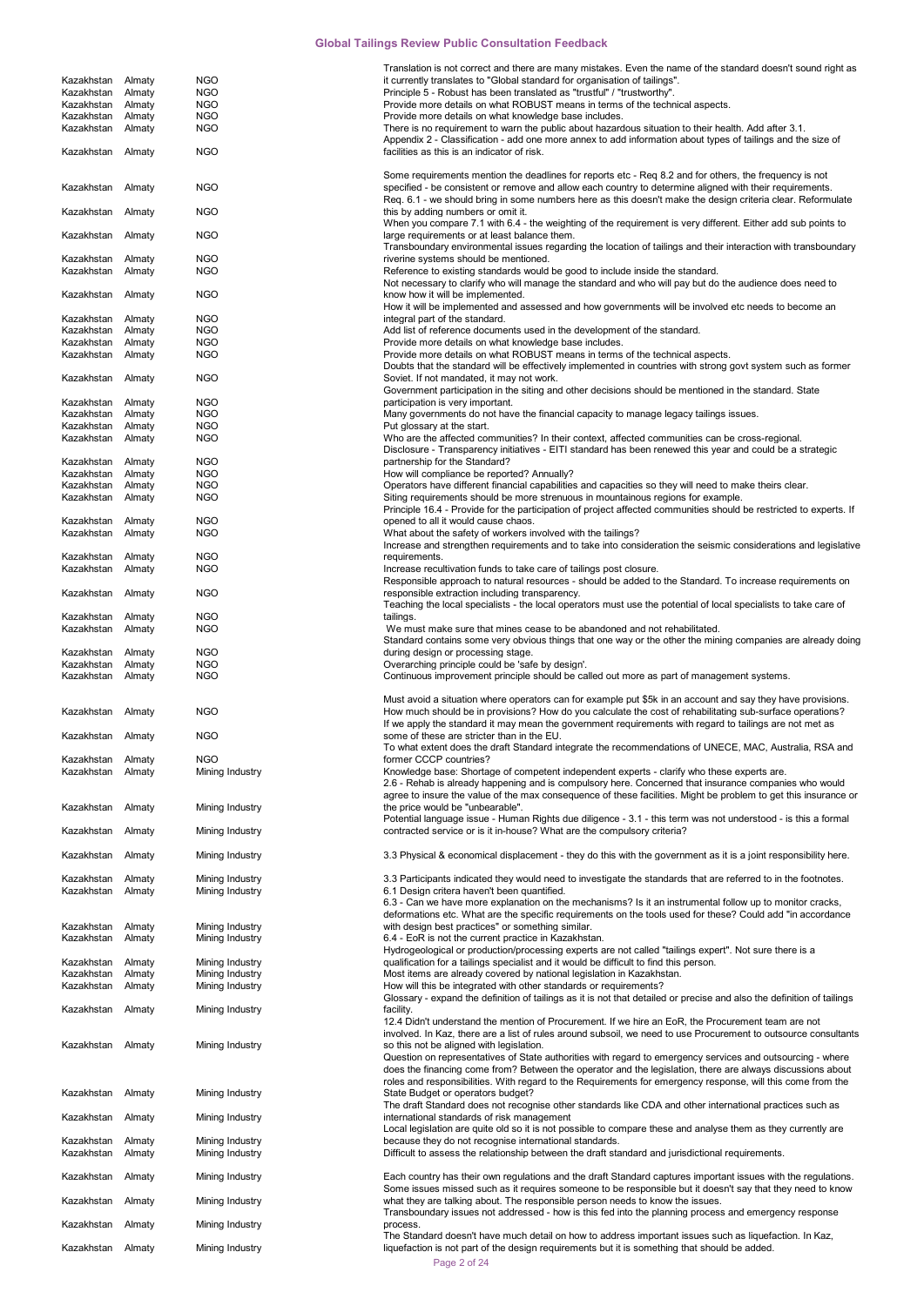|                          |                  |                                    | Translation is not correct and there are many mistakes. Even the name of the standard doesn't sound right as                                                                                                                |
|--------------------------|------------------|------------------------------------|-----------------------------------------------------------------------------------------------------------------------------------------------------------------------------------------------------------------------------|
| Kazakhstan<br>Kazakhstan | Almaty<br>Almaty | <b>NGO</b><br><b>NGO</b>           | it currently translates to "Global standard for organisation of tailings".<br>Principle 5 - Robust has been translated as "trustful" / "trustworthy".                                                                       |
| Kazakhstan               | Almaty           | <b>NGO</b>                         | Provide more details on what ROBUST means in terms of the technical aspects.                                                                                                                                                |
| Kazakhstan               | Almaty           | <b>NGO</b>                         | Provide more details on what knowledge base includes.                                                                                                                                                                       |
| Kazakhstan Almaty        |                  | <b>NGO</b>                         | There is no requirement to warn the public about hazardous situation to their health. Add after 3.1.                                                                                                                        |
| Kazakhstan               | Almaty           | <b>NGO</b>                         | Appendix 2 - Classification - add one more annex to add information about types of tailings and the size of<br>facilities as this is an indicator of risk.                                                                  |
|                          |                  |                                    |                                                                                                                                                                                                                             |
| Kazakhstan Almaty        |                  | <b>NGO</b>                         | Some requirements mention the deadlines for reports etc - Req 8.2 and for others, the frequency is not<br>specified - be consistent or remove and allow each country to determine aligned with their requirements.          |
|                          |                  |                                    | Req. 6.1 - we should bring in some numbers here as this doesn't make the design criteria clear. Reformulate                                                                                                                 |
| Kazakhstan               | Almaty           | <b>NGO</b>                         | this by adding numbers or omit it.                                                                                                                                                                                          |
|                          |                  |                                    | When you compare 7.1 with 6.4 - the weighting of the requirement is very different. Either add sub points to                                                                                                                |
| Kazakhstan Almaty        |                  | <b>NGO</b>                         | large requirements or at least balance them.                                                                                                                                                                                |
| Kazakhstan               | Almaty           | <b>NGO</b>                         | Transboundary environmental issues regarding the location of tailings and their interaction with transboundary<br>riverine systems should be mentioned.                                                                     |
| Kazakhstan               | Almaty           | <b>NGO</b>                         | Reference to existing standards would be good to include inside the standard.                                                                                                                                               |
|                          |                  |                                    | Not necessary to clarify who will manage the standard and who will pay but do the audience does need to                                                                                                                     |
| Kazakhstan Almaty        |                  | <b>NGO</b>                         | know how it will be implemented.                                                                                                                                                                                            |
| Kazakhstan               | Almaty           | <b>NGO</b>                         | How it will be implemented and assessed and how governments will be involved etc needs to become an<br>integral part of the standard.                                                                                       |
| Kazakhstan               | Almaty           | <b>NGO</b>                         | Add list of reference documents used in the development of the standard.                                                                                                                                                    |
| Kazakhstan               | Almaty           | <b>NGO</b>                         | Provide more details on what knowledge base includes.                                                                                                                                                                       |
| Kazakhstan               | Almaty           | <b>NGO</b>                         | Provide more details on what ROBUST means in terms of the technical aspects.                                                                                                                                                |
|                          |                  |                                    | Doubts that the standard will be effectively implemented in countries with strong govt system such as former                                                                                                                |
| Kazakhstan Almaty        |                  | <b>NGO</b>                         | Soviet. If not mandated, it may not work.<br>Government participation in the siting and other decisions should be mentioned in the standard. State                                                                          |
| Kazakhstan               | Almaty           | <b>NGO</b>                         | participation is very important.                                                                                                                                                                                            |
| Kazakhstan               | Almaty           | <b>NGO</b>                         | Many governments do not have the financial capacity to manage legacy tailings issues.                                                                                                                                       |
| Kazakhstan               | Almaty           | <b>NGO</b>                         | Put glossary at the start.                                                                                                                                                                                                  |
| Kazakhstan               | Almaty           | <b>NGO</b>                         | Who are the affected communities? In their context, affected communities can be cross-regional.<br>Disclosure - Transparency initiatives - EITI standard has been renewed this year and could be a strategic                |
| Kazakhstan               | Almaty           | <b>NGO</b>                         | partnership for the Standard?                                                                                                                                                                                               |
| Kazakhstan               | Almaty           | <b>NGO</b>                         | How will compliance be reported? Annually?                                                                                                                                                                                  |
| Kazakhstan               | Almaty           | <b>NGO</b>                         | Operators have different financial capabilities and capacities so they will need to make theirs clear.                                                                                                                      |
| Kazakhstan               | Almaty           | <b>NGO</b>                         | Siting requirements should be more strenuous in mountainous regions for example.                                                                                                                                            |
| Kazakhstan               | Almaty           | <b>NGO</b>                         | Principle 16.4 - Provide for the participation of project affected communities should be restricted to experts. If<br>opened to all it would cause chaos.                                                                   |
| Kazakhstan               | Almaty           | <b>NGO</b>                         | What about the safety of workers involved with the tailings?                                                                                                                                                                |
|                          |                  |                                    | Increase and strengthen requirements and to take into consideration the seismic considerations and legislative                                                                                                              |
| Kazakhstan               | Almaty           | <b>NGO</b>                         | requirements.                                                                                                                                                                                                               |
| Kazakhstan               | Almaty           | <b>NGO</b>                         | Increase recultivation funds to take care of tailings post closure.                                                                                                                                                         |
| Kazakhstan Almaty        |                  | <b>NGO</b>                         | Responsible approach to natural resources - should be added to the Standard. To increase requirements on<br>responsible extraction including transparency.                                                                  |
|                          |                  |                                    | Teaching the local specialists - the local operators must use the potential of local specialists to take care of                                                                                                            |
| Kazakhstan               | Almaty           | <b>NGO</b>                         | tailings.                                                                                                                                                                                                                   |
| Kazakhstan               | Almaty           | <b>NGO</b>                         | We must make sure that mines cease to be abandoned and not rehabilitated.                                                                                                                                                   |
| Kazakhstan               | Almaty           | <b>NGO</b>                         | Standard contains some very obvious things that one way or the other the mining companies are already doing<br>during design or processing stage.                                                                           |
| Kazakhstan               | Almaty           | <b>NGO</b>                         | Overarching principle could be 'safe by design'.                                                                                                                                                                            |
| Kazakhstan               | Almaty           | <b>NGO</b>                         | Continuous improvement principle should be called out more as part of management systems.                                                                                                                                   |
|                          |                  |                                    |                                                                                                                                                                                                                             |
|                          |                  |                                    |                                                                                                                                                                                                                             |
|                          |                  |                                    | Must avoid a situation where operators can for example put \$5k in an account and say they have provisions.                                                                                                                 |
| Kazakhstan               | Almaty           | <b>NGO</b>                         | How much should be in provisions? How do you calculate the cost of rehabilitating sub-surface operations?                                                                                                                   |
| Kazakhstan Almaty        |                  | <b>NGO</b>                         | If we apply the standard it may mean the government requirements with regard to tailings are not met as<br>some of these are stricter than in the EU.                                                                       |
|                          |                  |                                    | To what extent does the draft Standard integrate the recommendations of UNECE, MAC, Australia, RSA and                                                                                                                      |
| Kazakhstan Almaty        |                  | <b>NGO</b>                         | former CCCP countries?                                                                                                                                                                                                      |
| Kazakhstan               | Almaty           | Mining Industry                    | Knowledge base: Shortage of competent independent experts - clarify who these experts are.                                                                                                                                  |
|                          |                  |                                    | 2.6 - Rehab is already happening and is compulsory here. Concerned that insurance companies who would                                                                                                                       |
| Kazakhstan Almaty        |                  | Mining Industry                    | agree to insure the value of the max consequence of these facilities. Might be problem to get this insurance or<br>the price would be "unbearable".                                                                         |
|                          |                  |                                    | Potential language issue - Human Rights due diligence - 3.1 - this term was not understood - is this a formal                                                                                                               |
| Kazakhstan               | Almaty           | Mining Industry                    | contracted service or is it in-house? What are the compulsory criteria?                                                                                                                                                     |
|                          |                  |                                    |                                                                                                                                                                                                                             |
| Kazakhstan               | Almaty           | Mining Industry                    | 3.3 Physical & economical displacement - they do this with the government as it is a joint responsibility here.                                                                                                             |
| Kazakhstan               | Almaty           | Mining Industry                    | 3.3 Participants indicated they would need to investigate the standards that are referred to in the footnotes.                                                                                                              |
| Kazakhstan               | Almaty           | Mining Industry                    | 6.1 Design critera haven't been quantified.                                                                                                                                                                                 |
|                          |                  |                                    | 6.3 - Can we have more explanation on the mechanisms? Is it an instrumental follow up to monitor cracks,                                                                                                                    |
|                          |                  |                                    | deformations etc. What are the specific requirements on the tools used for these? Could add "in accordance                                                                                                                  |
| Kazakhstan<br>Kazakhstan | Almaty<br>Almaty | Mining Industry<br>Mining Industry | with design best practices" or something similar.<br>6.4 - EoR is not the current practice in Kazakhstan.                                                                                                                   |
|                          |                  |                                    | Hydrogeological or production/processing experts are not called "tailings expert". Not sure there is a                                                                                                                      |
| Kazakhstan               | Almaty           | Mining Industry                    | qualification for a tailings specialist and it would be difficult to find this person.                                                                                                                                      |
| Kazakhstan               | Almaty           | Mining Industry                    | Most items are already covered by national legislation in Kazakhstan.                                                                                                                                                       |
| Kazakhstan               | Almaty           | Mining Industry                    | How will this be integrated with other standards or requirements?<br>Glossary - expand the definition of tailings as it is not that detailed or precise and also the definition of tailings                                 |
| Kazakhstan Almaty        |                  | Mining Industry                    | facility.                                                                                                                                                                                                                   |
|                          |                  |                                    | 12.4 Didn't understand the mention of Procurement. If we hire an EoR, the Procurement team are not                                                                                                                          |
|                          |                  |                                    | involved. In Kaz, there are a list of rules around subsoil, we need to use Procurement to outsource consultants                                                                                                             |
| Kazakhstan Almaty        |                  | Mining Industry                    | so this not be aligned with legislation.<br>Question on representatives of State authorities with regard to emergency services and outsourcing - where                                                                      |
|                          |                  |                                    | does the financing come from? Between the operator and the legislation, there are always discussions about                                                                                                                  |
|                          |                  |                                    | roles and responsibilities. With regard to the Requirements for emergency response, will this come from the                                                                                                                 |
| Kazakhstan               | Almaty           | Mining Industry                    | State Budget or operators budget?                                                                                                                                                                                           |
|                          |                  |                                    | The draft Standard does not recognise other standards like CDA and other international practices such as                                                                                                                    |
| Kazakhstan               | Almaty           | Mining Industry                    | international standards of risk management<br>Local legislation are quite old so it is not possible to compare these and analyse them as they currently are                                                                 |
| Kazakhstan               | Almaty           | Mining Industry                    | because they do not recognise international standards.                                                                                                                                                                      |
| Kazakhstan               | Almaty           | Mining Industry                    | Difficult to assess the relationship between the draft standard and jurisdictional requirements.                                                                                                                            |
|                          |                  |                                    |                                                                                                                                                                                                                             |
| Kazakhstan               | Almaty           | Mining Industry                    | Each country has their own regulations and the draft Standard captures important issues with the regulations.<br>Some issues missed such as it requires someone to be responsible but it doesn't say that they need to know |
| Kazakhstan               | Almaty           | Mining Industry                    | what they are talking about. The responsible person needs to know the issues.                                                                                                                                               |
|                          |                  |                                    | Transboundary issues not addressed - how is this fed into the planning process and emergency response                                                                                                                       |
| Kazakhstan               | Almaty           | Mining Industry                    | process.<br>The Standard doesn't have much detail on how to address important issues such as liquefaction. In Kaz,                                                                                                          |

Page 2 of 24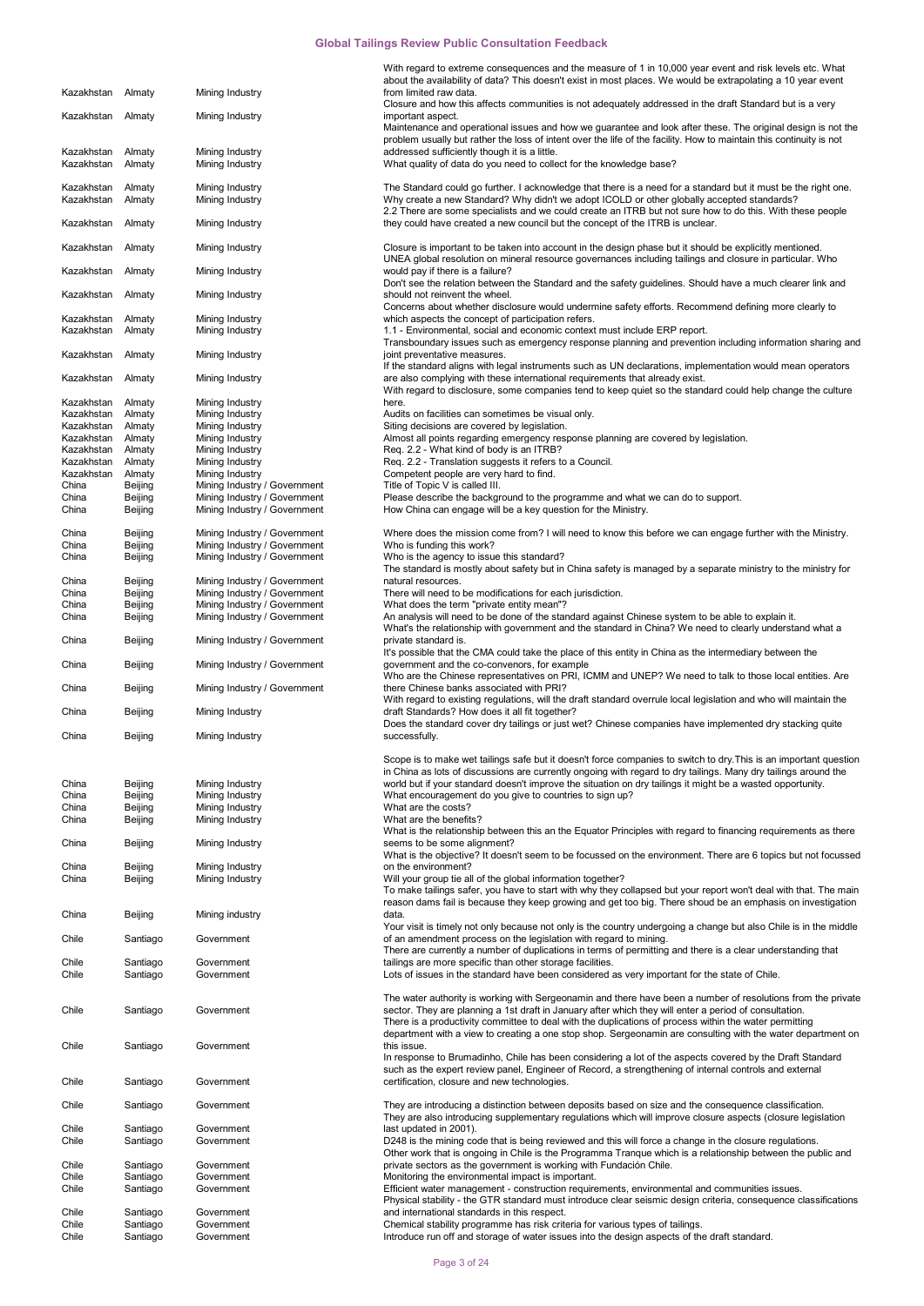|                                 |                      |                                    | With regard to extreme consequences and the measure of 1 in 10,000 year event and risk levels etc. What                                                                                                                        |
|---------------------------------|----------------------|------------------------------------|--------------------------------------------------------------------------------------------------------------------------------------------------------------------------------------------------------------------------------|
|                                 |                      |                                    | about the availability of data? This doesn't exist in most places. We would be extrapolating a 10 year event                                                                                                                   |
| Kazakhstan                      | Almaty               | Mining Industry                    | from limited raw data.<br>Closure and how this affects communities is not adequately addressed in the draft Standard but is a very                                                                                             |
| Kazakhstan Almaty               |                      | Mining Industry                    | important aspect.                                                                                                                                                                                                              |
|                                 |                      |                                    | Maintenance and operational issues and how we guarantee and look after these. The original design is not the                                                                                                                   |
|                                 |                      |                                    | problem usually but rather the loss of intent over the life of the facility. How to maintain this continuity is not                                                                                                            |
| Kazakhstan<br>Kazakhstan        | Almaty<br>Almaty     | Mining Industry<br>Mining Industry | addressed sufficiently though it is a little.<br>What quality of data do you need to collect for the knowledge base?                                                                                                           |
|                                 |                      |                                    |                                                                                                                                                                                                                                |
| Kazakhstan                      | Almaty               | Mining Industry                    | The Standard could go further. I acknowledge that there is a need for a standard but it must be the right one.                                                                                                                 |
| Kazakhstan                      | Almaty               | Mining Industry                    | Why create a new Standard? Why didn't we adopt ICOLD or other globally accepted standards?                                                                                                                                     |
| Kazakhstan Almaty               |                      |                                    | 2.2 There are some specialists and we could create an ITRB but not sure how to do this. With these people<br>they could have created a new council but the concept of the ITRB is unclear.                                     |
|                                 |                      | Mining Industry                    |                                                                                                                                                                                                                                |
| Kazakhstan Almaty               |                      | Mining Industry                    | Closure is important to be taken into account in the design phase but it should be explicitly mentioned.                                                                                                                       |
|                                 |                      |                                    | UNEA global resolution on mineral resource governances including tailings and closure in particular. Who                                                                                                                       |
| Kazakhstan Almaty               |                      | Mining Industry                    | would pay if there is a failure?<br>Don't see the relation between the Standard and the safety guidelines. Should have a much clearer link and                                                                                 |
| Kazakhstan Almaty               |                      | Mining Industry                    | should not reinvent the wheel.                                                                                                                                                                                                 |
|                                 |                      |                                    | Concerns about whether disclosure would undermine safety efforts. Recommend defining more clearly to                                                                                                                           |
| Kazakhstan<br>Kazakhstan Almaty | Almaty               | Mining Industry                    | which aspects the concept of participation refers.<br>1.1 - Environmental, social and economic context must include ERP report.                                                                                                |
|                                 |                      | Mining Industry                    | Transboundary issues such as emergency response planning and prevention including information sharing and                                                                                                                      |
| Kazakhstan Almaty               |                      | Mining Industry                    | joint preventative measures.                                                                                                                                                                                                   |
|                                 |                      |                                    | If the standard aligns with legal instruments such as UN declarations, implementation would mean operators                                                                                                                     |
| Kazakhstan Almaty               |                      | Mining Industry                    | are also complying with these international requirements that already exist.                                                                                                                                                   |
| Kazakhstan                      | Almaty               | Mining Industry                    | With regard to disclosure, some companies tend to keep quiet so the standard could help change the culture<br>here.                                                                                                            |
| Kazakhstan Almaty               |                      | Mining Industry                    | Audits on facilities can sometimes be visual only.                                                                                                                                                                             |
| Kazakhstan                      | Almaty               | Mining Industry                    | Siting decisions are covered by legislation.                                                                                                                                                                                   |
| Kazakhstan                      | Almaty               | Mining Industry                    | Almost all points regarding emergency response planning are covered by legislation.                                                                                                                                            |
| Kazakhstan<br>Kazakhstan        | Almaty<br>Almaty     | Mining Industry<br>Mining Industry | Req. 2.2 - What kind of body is an ITRB?<br>Req. 2.2 - Translation suggests it refers to a Council.                                                                                                                            |
| Kazakhstan                      | Almaty               | Mining Industry                    | Competent people are very hard to find.                                                                                                                                                                                        |
| China                           | Beijing              | Mining Industry / Government       | Title of Topic V is called III.                                                                                                                                                                                                |
| China                           | Beijing              | Mining Industry / Government       | Please describe the background to the programme and what we can do to support.                                                                                                                                                 |
| China                           | Beijing              | Mining Industry / Government       | How China can engage will be a key question for the Ministry.                                                                                                                                                                  |
| China                           | Beijing              | Mining Industry / Government       | Where does the mission come from? I will need to know this before we can engage further with the Ministry.                                                                                                                     |
| China                           | Beijing              | Mining Industry / Government       | Who is funding this work?                                                                                                                                                                                                      |
| China                           | Beijing              | Mining Industry / Government       | Who is the agency to issue this standard?                                                                                                                                                                                      |
| China                           | Beijing              | Mining Industry / Government       | The standard is mostly about safety but in China safety is managed by a separate ministry to the ministry for<br>natural resources.                                                                                            |
| China                           | Beijing              | Mining Industry / Government       | There will need to be modifications for each jurisdiction.                                                                                                                                                                     |
| China                           | Beijing              | Mining Industry / Government       | What does the term "private entity mean"?                                                                                                                                                                                      |
| China                           | Beijing              | Mining Industry / Government       | An analysis will need to be done of the standard against Chinese system to be able to explain it.                                                                                                                              |
| China                           | Beijing              | Mining Industry / Government       | What's the relationship with government and the standard in China? We need to clearly understand what a<br>private standard is.                                                                                                |
|                                 |                      |                                    | It's possible that the CMA could take the place of this entity in China as the intermediary between the                                                                                                                        |
| China                           | Beijing              | Mining Industry / Government       | government and the co-convenors, for example                                                                                                                                                                                   |
| China                           |                      | Mining Industry / Government       | Who are the Chinese representatives on PRI, ICMM and UNEP? We need to talk to those local entities. Are<br>there Chinese banks associated with PRI?                                                                            |
|                                 | Beijing              |                                    | With regard to existing regulations, will the draft standard overrule local legislation and who will maintain the                                                                                                              |
| China                           | Beijing              | Mining Industry                    | draft Standards? How does it all fit together?                                                                                                                                                                                 |
| China                           |                      | Mining Industry                    | Does the standard cover dry tailings or just wet? Chinese companies have implemented dry stacking quite                                                                                                                        |
|                                 | Beijing              |                                    | successfully.                                                                                                                                                                                                                  |
|                                 |                      |                                    | Scope is to make wet tailings safe but it doesn't force companies to switch to dry. This is an important question                                                                                                              |
|                                 |                      |                                    | in China as lots of discussions are currently ongoing with regard to dry tailings. Many dry tailings around the                                                                                                                |
| China<br>China                  | Beijing<br>Beijing   | Mining Industry<br>Mining Industry | world but if your standard doesn't improve the situation on dry tailings it might be a wasted opportunity.<br>What encouragement do you give to countries to sign up?                                                          |
| China                           | Beijing              | Mining Industry                    | What are the costs?                                                                                                                                                                                                            |
| China                           | Beijing              | Mining Industry                    | What are the benefits?                                                                                                                                                                                                         |
|                                 |                      |                                    | What is the relationship between this an the Equator Principles with regard to financing requirements as there                                                                                                                 |
| China                           | Beijing              | Mining Industry                    | seems to be some alignment?<br>What is the objective? It doesn't seem to be focussed on the environment. There are 6 topics but not focussed                                                                                   |
| China                           | Beijing              | Mining Industry                    | on the environment?                                                                                                                                                                                                            |
| China                           | Beijing              | Mining Industry                    | Will your group tie all of the global information together?                                                                                                                                                                    |
|                                 |                      |                                    | To make tailings safer, you have to start with why they collapsed but your report won't deal with that. The main<br>reason dams fail is because they keep growing and get too big. There shoud be an emphasis on investigation |
| China                           | Beijing              | Mining industry                    | data.                                                                                                                                                                                                                          |
|                                 |                      |                                    | Your visit is timely not only because not only is the country undergoing a change but also Chile is in the middle                                                                                                              |
| Chile                           | Santiago             | Government                         | of an amendment process on the legislation with regard to mining.                                                                                                                                                              |
|                                 |                      | Government                         | There are currently a number of duplications in terms of permitting and there is a clear understanding that                                                                                                                    |
| Chile<br>Chile                  | Santiago<br>Santiago | Government                         | tailings are more specific than other storage facilities.<br>Lots of issues in the standard have been considered as very important for the state of Chile.                                                                     |
|                                 |                      |                                    |                                                                                                                                                                                                                                |
|                                 |                      |                                    | The water authority is working with Sergeonamin and there have been a number of resolutions from the private                                                                                                                   |
| Chile                           | Santiago             | Government                         | sector. They are planning a 1st draft in January after which they will enter a period of consultation.<br>There is a productivity committee to deal with the duplications of process within the water permitting               |
|                                 |                      |                                    | department with a view to creating a one stop shop. Sergeonamin are consulting with the water department on                                                                                                                    |
| Chile                           | Santiago             | Government                         | this issue.                                                                                                                                                                                                                    |
|                                 |                      |                                    | In response to Brumadinho, Chile has been considering a lot of the aspects covered by the Draft Standard                                                                                                                       |
| Chile                           | Santiago             | Government                         | such as the expert review panel, Engineer of Record, a strengthening of internal controls and external<br>certification, closure and new technologies.                                                                         |
|                                 |                      |                                    |                                                                                                                                                                                                                                |
| Chile                           | Santiago             | Government                         | They are introducing a distinction between deposits based on size and the consequence classification.                                                                                                                          |
|                                 |                      |                                    | They are also introducing supplementary regulations which will improve closure aspects (closure legislation                                                                                                                    |
| Chile<br>Chile                  | Santiago<br>Santiago | Government<br>Government           | last updated in 2001).<br>D248 is the mining code that is being reviewed and this will force a change in the closure regulations.                                                                                              |
|                                 |                      |                                    | Other work that is ongoing in Chile is the Programma Tranque which is a relationship between the public and                                                                                                                    |
| Chile                           | Santiago             | Government                         | private sectors as the government is working with Fundación Chile.                                                                                                                                                             |
| Chile                           | Santiago             | Government                         | Monitoring the environmental impact is important.                                                                                                                                                                              |
| Chile                           | Santiago             | Government                         | Efficient water management - construction requirements, environmental and communities issues.<br>Physical stability - the GTR standard must introduce clear seismic design criteria, consequence classifications               |
| Chile                           | Santiago             | Government                         | and international standards in this respect.                                                                                                                                                                                   |
| Chile                           | Santiago             | Government                         | Chemical stability programme has risk criteria for various types of tailings.                                                                                                                                                  |
| Chile                           | Santiago             | Government                         | Introduce run off and storage of water issues into the design aspects of the draft standard.                                                                                                                                   |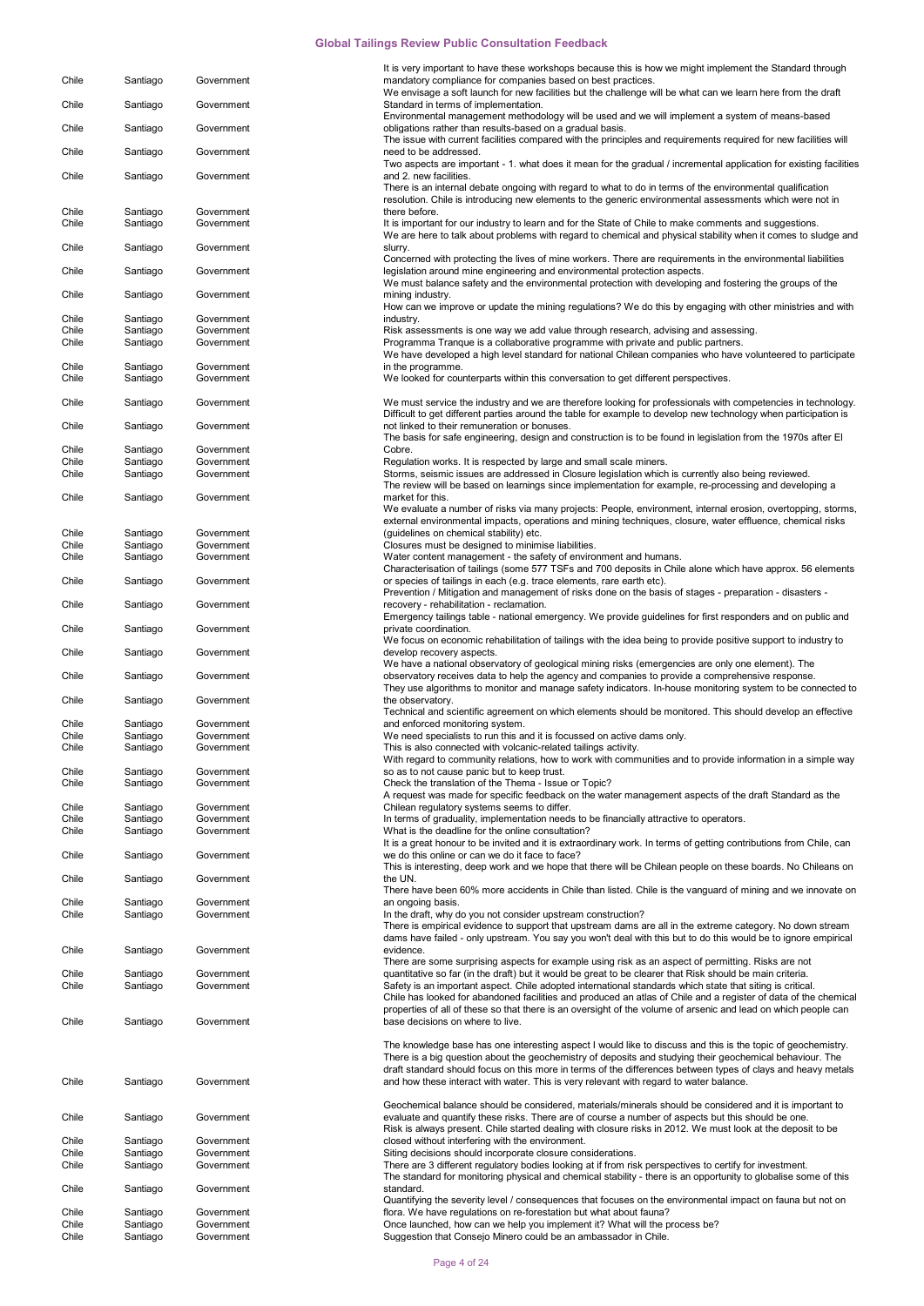|                |                      |                          | It is very important to have these workshops because this is how we might implement the Standard through                                                                    |
|----------------|----------------------|--------------------------|-----------------------------------------------------------------------------------------------------------------------------------------------------------------------------|
| Chile          | Santiago             | Government               | mandatory compliance for companies based on best practices.<br>We envisage a soft launch for new facilities but the challenge will be what can we learn here from the draft |
| Chile          | Santiago             | Government               | Standard in terms of implementation.                                                                                                                                        |
|                |                      |                          | Environmental management methodology will be used and we will implement a system of means-based                                                                             |
| Chile          | Santiago             | Government               | obligations rather than results-based on a gradual basis.                                                                                                                   |
|                |                      | Government               | The issue with current facilities compared with the principles and requirements required for new facilities will<br>need to be addressed.                                   |
| Chile          | Santiago             |                          | Two aspects are important - 1. what does it mean for the gradual / incremental application for existing facilities                                                          |
| Chile          | Santiago             | Government               | and 2. new facilities.                                                                                                                                                      |
|                |                      |                          | There is an internal debate ongoing with regard to what to do in terms of the environmental qualification                                                                   |
|                |                      |                          | resolution. Chile is introducing new elements to the generic environmental assessments which were not in                                                                    |
| Chile          | Santiago             | Government               | there before.<br>It is important for our industry to learn and for the State of Chile to make comments and suggestions.                                                     |
| Chile          | Santiago             | Government               | We are here to talk about problems with regard to chemical and physical stability when it comes to sludge and                                                               |
| Chile          | Santiago             | Government               | slurry.                                                                                                                                                                     |
|                |                      |                          | Concerned with protecting the lives of mine workers. There are requirements in the environmental liabilities                                                                |
| Chile          | Santiago             | Government               | legislation around mine engineering and environmental protection aspects.                                                                                                   |
|                |                      |                          | We must balance safety and the environmental protection with developing and fostering the groups of the                                                                     |
| Chile          | Santiago             | Government               | mining industry.<br>How can we improve or update the mining regulations? We do this by engaging with other ministries and with                                              |
| Chile          | Santiago             | Government               | industry.                                                                                                                                                                   |
| Chile          | Santiago             | Government               | Risk assessments is one way we add value through research, advising and assessing.                                                                                          |
| Chile          | Santiago             | Government               | Programma Tranque is a collaborative programme with private and public partners.                                                                                            |
|                |                      |                          | We have developed a high level standard for national Chilean companies who have volunteered to participate                                                                  |
| Chile<br>Chile | Santiago<br>Santiago | Government<br>Government | in the programme.<br>We looked for counterparts within this conversation to get different perspectives.                                                                     |
|                |                      |                          |                                                                                                                                                                             |
| Chile          | Santiago             | Government               | We must service the industry and we are therefore looking for professionals with competencies in technology.                                                                |
|                |                      |                          | Difficult to get different parties around the table for example to develop new technology when participation is                                                             |
| Chile          | Santiago             | Government               | not linked to their remuneration or bonuses.                                                                                                                                |
| Chile          | Santiago             | Government               | The basis for safe engineering, design and construction is to be found in legislation from the 1970s after El<br>Cobre.                                                     |
| Chile          | Santiago             | Government               | Regulation works. It is respected by large and small scale miners.                                                                                                          |
| Chile          | Santiago             | Government               | Storms, seismic issues are addressed in Closure legislation which is currently also being reviewed.                                                                         |
|                |                      |                          | The review will be based on learnings since implementation for example, re-processing and developing a                                                                      |
| Chile          | Santiago             | Government               | market for this.                                                                                                                                                            |
|                |                      |                          | We evaluate a number of risks via many projects: People, environment, internal erosion, overtopping, storms,                                                                |
| Chile          | Santiago             | Government               | external environmental impacts, operations and mining techniques, closure, water effluence, chemical risks<br>(guidelines on chemical stability) etc.                       |
| Chile          | Santiago             | Government               | Closures must be designed to minimise liabilities.                                                                                                                          |
| Chile          | Santiago             | Government               | Water content management - the safety of environment and humans.                                                                                                            |
|                |                      |                          | Characterisation of tailings (some 577 TSFs and 700 deposits in Chile alone which have approx. 56 elements                                                                  |
| Chile          | Santiago             | Government               | or species of tailings in each (e.g. trace elements, rare earth etc).                                                                                                       |
|                |                      |                          | Prevention / Mitigation and management of risks done on the basis of stages - preparation - disasters -                                                                     |
| Chile          | Santiago             | Government               | recovery - rehabilitation - reclamation.<br>Emergency tailings table - national emergency. We provide guidelines for first responders and on public and                     |
| Chile          | Santiago             | Government               | private coordination.                                                                                                                                                       |
|                |                      |                          | We focus on economic rehabilitation of tailings with the idea being to provide positive support to industry to                                                              |
| Chile          | Santiago             | Government               | develop recovery aspects.                                                                                                                                                   |
|                |                      |                          | We have a national observatory of geological mining risks (emergencies are only one element). The                                                                           |
| Chile          | Santiago             | Government               | observatory receives data to help the agency and companies to provide a comprehensive response.                                                                             |
|                |                      |                          |                                                                                                                                                                             |
|                |                      |                          | They use algorithms to monitor and manage safety indicators. In-house monitoring system to be connected to                                                                  |
| Chile          | Santiago             | Government               | the observatory.<br>Technical and scientific agreement on which elements should be monitored. This should develop an effective                                              |
| Chile          | Santiago             | Government               | and enforced monitoring system.                                                                                                                                             |
| Chile          | Santiago             | Government               | We need specialists to run this and it is focussed on active dams only.                                                                                                     |
| Chile          | Santiago             | Government               | This is also connected with volcanic-related tailings activity.                                                                                                             |
|                |                      |                          | With regard to community relations, how to work with communities and to provide information in a simple way                                                                 |
| Chile<br>Chile | Santiago<br>Santiago | Government<br>Government | so as to not cause panic but to keep trust.<br>Check the translation of the Thema - Issue or Topic?                                                                         |
|                |                      |                          | A request was made for specific feedback on the water management aspects of the draft Standard as the                                                                       |
| Chile          | Santiago             | Government               | Chilean regulatory systems seems to differ.                                                                                                                                 |
| Chile          | Santiago             | Government               | In terms of graduality, implementation needs to be financially attractive to operators.                                                                                     |
| Chile          | Santiago             | Government               | What is the deadline for the online consultation?                                                                                                                           |
|                |                      |                          | It is a great honour to be invited and it is extraordinary work. In terms of getting contributions from Chile, can                                                          |
| Chile          | Santiago             | Government               | we do this online or can we do it face to face?<br>This is interesting, deep work and we hope that there will be Chilean people on these boards. No Chileans on             |
| Chile          | Santiago             | Government               | the UN.                                                                                                                                                                     |
|                |                      |                          | There have been 60% more accidents in Chile than listed. Chile is the vanguard of mining and we innovate on                                                                 |
| Chile          | Santiago             | Government               | an ongoing basis.                                                                                                                                                           |
| Chile          | Santiago             | Government               | In the draft, why do you not consider upstream construction?                                                                                                                |
|                |                      |                          | There is empirical evidence to support that upstream dams are all in the extreme category. No down stream                                                                   |
| Chile          | Santiago             | Government               | dams have failed - only upstream. You say you won't deal with this but to do this would be to ignore empirical<br>evidence.                                                 |
|                |                      |                          | There are some surprising aspects for example using risk as an aspect of permitting. Risks are not                                                                          |
| Chile          | Santiago             | Government               | quantitative so far (in the draft) but it would be great to be clearer that Risk should be main criteria.                                                                   |
| Chile          | Santiago             | Government               | Safety is an important aspect. Chile adopted international standards which state that siting is critical.                                                                   |
|                |                      |                          | Chile has looked for abandoned facilities and produced an atlas of Chile and a register of data of the chemical                                                             |
| Chile          | Santiago             | Government               | properties of all of these so that there is an oversight of the volume of arsenic and lead on which people can<br>base decisions on where to live.                          |
|                |                      |                          |                                                                                                                                                                             |
|                |                      |                          | The knowledge base has one interesting aspect I would like to discuss and this is the topic of geochemistry.                                                                |
|                |                      |                          | There is a big question about the geochemistry of deposits and studying their geochemical behaviour. The                                                                    |
|                |                      |                          | draft standard should focus on this more in terms of the differences between types of clays and heavy metals                                                                |
| Chile          | Santiago             | Government               | and how these interact with water. This is very relevant with regard to water balance.                                                                                      |
|                |                      |                          | Geochemical balance should be considered, materials/minerals should be considered and it is important to                                                                    |
| Chile          | Santiago             | Government               | evaluate and quantify these risks. There are of course a number of aspects but this should be one.                                                                          |
|                |                      |                          | Risk is always present. Chile started dealing with closure risks in 2012. We must look at the deposit to be                                                                 |
| Chile          | Santiago             | Government               | closed without interfering with the environment.                                                                                                                            |
| Chile<br>Chile | Santiago<br>Santiago | Government<br>Government | Siting decisions should incorporate closure considerations.<br>There are 3 different regulatory bodies looking at if from risk perspectives to certify for investment.      |
|                |                      |                          | The standard for monitoring physical and chemical stability - there is an opportunity to globalise some of this                                                             |
| Chile          | Santiago             | Government               | standard.                                                                                                                                                                   |
|                |                      |                          | Quantifying the severity level / consequences that focuses on the environmental impact on fauna but not on                                                                  |
| Chile<br>Chile | Santiago<br>Santiago | Government<br>Government | flora. We have regulations on re-forestation but what about fauna?<br>Once launched, how can we help you implement it? What will the process be?                            |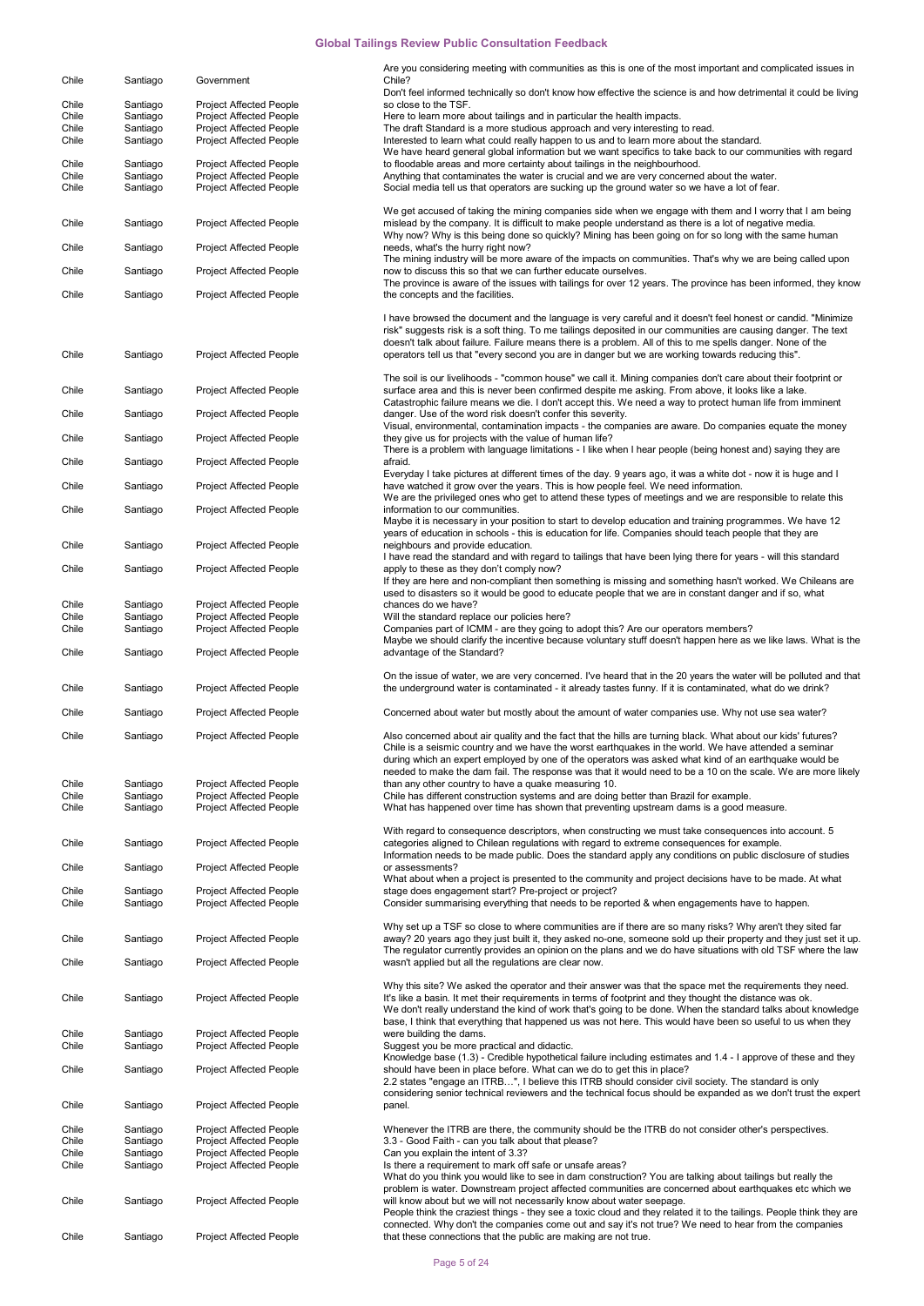| Chile          | Santiago             | Government                                                | Are you considering meeting with communities as this is one of the most important and complicated issues in<br>Chile?                                                                                                                                                                                                                                                                                                                            |
|----------------|----------------------|-----------------------------------------------------------|--------------------------------------------------------------------------------------------------------------------------------------------------------------------------------------------------------------------------------------------------------------------------------------------------------------------------------------------------------------------------------------------------------------------------------------------------|
|                |                      |                                                           | Don't feel informed technically so don't know how effective the science is and how detrimental it could be living                                                                                                                                                                                                                                                                                                                                |
| Chile          | Santiago             | <b>Project Affected People</b>                            | so close to the TSF.                                                                                                                                                                                                                                                                                                                                                                                                                             |
| Chile          | Santiago             | <b>Project Affected People</b>                            | Here to learn more about tailings and in particular the health impacts.                                                                                                                                                                                                                                                                                                                                                                          |
| Chile<br>Chile | Santiago<br>Santiago | <b>Project Affected People</b><br>Project Affected People | The draft Standard is a more studious approach and very interesting to read.<br>Interested to learn what could really happen to us and to learn more about the standard.                                                                                                                                                                                                                                                                         |
|                |                      |                                                           | We have heard general global information but we want specifics to take back to our communities with regard                                                                                                                                                                                                                                                                                                                                       |
| Chile          | Santiago             | <b>Project Affected People</b>                            | to floodable areas and more certainty about tailings in the neighbourhood.                                                                                                                                                                                                                                                                                                                                                                       |
| Chile          | Santiago             | <b>Project Affected People</b>                            | Anything that contaminates the water is crucial and we are very concerned about the water.                                                                                                                                                                                                                                                                                                                                                       |
| Chile          | Santiago             | <b>Project Affected People</b>                            | Social media tell us that operators are sucking up the ground water so we have a lot of fear.                                                                                                                                                                                                                                                                                                                                                    |
| Chile          | Santiago             | <b>Project Affected People</b>                            | We get accused of taking the mining companies side when we engage with them and I worry that I am being<br>mislead by the company. It is difficult to make people understand as there is a lot of negative media.                                                                                                                                                                                                                                |
| Chile          | Santiago             | <b>Project Affected People</b>                            | Why now? Why is this being done so quickly? Mining has been going on for so long with the same human<br>needs, what's the hurry right now?<br>The mining industry will be more aware of the impacts on communities. That's why we are being called upon                                                                                                                                                                                          |
| Chile          | Santiago             | <b>Project Affected People</b>                            | now to discuss this so that we can further educate ourselves.<br>The province is aware of the issues with tailings for over 12 years. The province has been informed, they know                                                                                                                                                                                                                                                                  |
| Chile          | Santiago             | <b>Project Affected People</b>                            | the concepts and the facilities.                                                                                                                                                                                                                                                                                                                                                                                                                 |
| Chile          | Santiago             | <b>Project Affected People</b>                            | I have browsed the document and the language is very careful and it doesn't feel honest or candid. "Minimize<br>risk" suggests risk is a soft thing. To me tailings deposited in our communities are causing danger. The text<br>doesn't talk about failure. Failure means there is a problem. All of this to me spells danger. None of the<br>operators tell us that "every second you are in danger but we are working towards reducing this". |
|                |                      |                                                           | The soil is our livelihoods - "common house" we call it. Mining companies don't care about their footprint or                                                                                                                                                                                                                                                                                                                                    |
| Chile          | Santiago             | <b>Project Affected People</b>                            | surface area and this is never been confirmed despite me asking. From above, it looks like a lake.<br>Catastrophic failure means we die. I don't accept this. We need a way to protect human life from imminent                                                                                                                                                                                                                                  |
| Chile          | Santiago             | <b>Project Affected People</b>                            | danger. Use of the word risk doesn't confer this severity.<br>Visual, environmental, contamination impacts - the companies are aware. Do companies equate the money                                                                                                                                                                                                                                                                              |
| Chile          | Santiago             | <b>Project Affected People</b>                            | they give us for projects with the value of human life?<br>There is a problem with language limitations - I like when I hear people (being honest and) saying they are                                                                                                                                                                                                                                                                           |
| Chile          | Santiago             | <b>Project Affected People</b>                            | afraid.<br>Everyday I take pictures at different times of the day. 9 years ago, it was a white dot - now it is huge and I                                                                                                                                                                                                                                                                                                                        |
| Chile          | Santiago             | <b>Project Affected People</b>                            | have watched it grow over the years. This is how people feel. We need information.<br>We are the privileged ones who get to attend these types of meetings and we are responsible to relate this                                                                                                                                                                                                                                                 |
| Chile          | Santiago             | <b>Project Affected People</b>                            | information to our communities.<br>Maybe it is necessary in your position to start to develop education and training programmes. We have 12<br>years of education in schools - this is education for life. Companies should teach people that they are                                                                                                                                                                                           |
| Chile          | Santiago             | <b>Project Affected People</b>                            | neighbours and provide education.<br>I have read the standard and with regard to tailings that have been lying there for years - will this standard                                                                                                                                                                                                                                                                                              |
| Chile          | Santiago             | <b>Project Affected People</b>                            | apply to these as they don't comply now?<br>If they are here and non-compliant then something is missing and something hasn't worked. We Chileans are<br>used to disasters so it would be good to educate people that we are in constant danger and if so, what                                                                                                                                                                                  |
| Chile          | Santiago             | <b>Project Affected People</b>                            | chances do we have?                                                                                                                                                                                                                                                                                                                                                                                                                              |
| Chile          | Santiago             | Project Affected People                                   | Will the standard replace our policies here?                                                                                                                                                                                                                                                                                                                                                                                                     |
| Chile          | Santiago             | Project Affected People                                   | Companies part of ICMM - are they going to adopt this? Are our operators members?                                                                                                                                                                                                                                                                                                                                                                |
| Chile          | Santiago             | <b>Project Affected People</b>                            | Maybe we should clarify the incentive because voluntary stuff doesn't happen here as we like laws. What is the<br>advantage of the Standard?                                                                                                                                                                                                                                                                                                     |
|                |                      |                                                           |                                                                                                                                                                                                                                                                                                                                                                                                                                                  |
| Chile          | Santiago             | <b>Project Affected People</b>                            | On the issue of water, we are very concerned. I've heard that in the 20 years the water will be polluted and that<br>the underground water is contaminated - it already tastes funny. If it is contaminated, what do we drink?                                                                                                                                                                                                                   |
| Chile          | Santiago             | <b>Project Affected People</b>                            | Concerned about water but mostly about the amount of water companies use. Why not use sea water?                                                                                                                                                                                                                                                                                                                                                 |
| Chile          | Santiago             | <b>Project Affected People</b>                            | Also concerned about air quality and the fact that the hills are turning black. What about our kids' futures?<br>Chile is a seismic country and we have the worst earthquakes in the world. We have attended a seminar<br>during which an expert employed by one of the operators was asked what kind of an earthquake would be<br>needed to make the dam fail. The response was that it would need to be a 10 on the scale. We are more likely  |
| Chile          | Santiago             | <b>Project Affected People</b>                            | than any other country to have a quake measuring 10.                                                                                                                                                                                                                                                                                                                                                                                             |
| Chile          | Santiago             | <b>Project Affected People</b>                            | Chile has different construction systems and are doing better than Brazil for example.                                                                                                                                                                                                                                                                                                                                                           |
| Chile          | Santiago             | <b>Project Affected People</b>                            | What has happened over time has shown that preventing upstream dams is a good measure.                                                                                                                                                                                                                                                                                                                                                           |
|                |                      |                                                           | With regard to consequence descriptors, when constructing we must take consequences into account. 5                                                                                                                                                                                                                                                                                                                                              |
| Chile          | Santiago             | <b>Project Affected People</b>                            | categories aligned to Chilean regulations with regard to extreme consequences for example.<br>Information needs to be made public. Does the standard apply any conditions on public disclosure of studies                                                                                                                                                                                                                                        |
| Chile          | Santiago             | <b>Project Affected People</b>                            | or assessments?<br>What about when a project is presented to the community and project decisions have to be made. At what                                                                                                                                                                                                                                                                                                                        |
| Chile          | Santiago             | <b>Project Affected People</b>                            | stage does engagement start? Pre-project or project?                                                                                                                                                                                                                                                                                                                                                                                             |
| Chile          | Santiago             | <b>Project Affected People</b>                            | Consider summarising everything that needs to be reported & when engagements have to happen.                                                                                                                                                                                                                                                                                                                                                     |
| Chile          | Santiago             | <b>Project Affected People</b>                            | Why set up a TSF so close to where communities are if there are so many risks? Why aren't they sited far<br>away? 20 years ago they just built it, they asked no-one, someone sold up their property and they just set it up.                                                                                                                                                                                                                    |
| Chile          | Santiago             | <b>Project Affected People</b>                            | The regulator currently provides an opinion on the plans and we do have situations with old TSF where the law<br>wasn't applied but all the regulations are clear now.                                                                                                                                                                                                                                                                           |
| Chile          | Santiago             | <b>Project Affected People</b>                            | Why this site? We asked the operator and their answer was that the space met the requirements they need.<br>It's like a basin. It met their requirements in terms of footprint and they thought the distance was ok.                                                                                                                                                                                                                             |
| Chile          | Santiago             | <b>Project Affected People</b>                            | We don't really understand the kind of work that's going to be done. When the standard talks about knowledge<br>base, I think that everything that happened us was not here. This would have been so useful to us when they<br>were building the dams.                                                                                                                                                                                           |
| Chile          | Santiago             | <b>Project Affected People</b>                            | Suggest you be more practical and didactic.                                                                                                                                                                                                                                                                                                                                                                                                      |
| Chile          | Santiago             | <b>Project Affected People</b>                            | Knowledge base (1.3) - Credible hypothetical failure including estimates and 1.4 - I approve of these and they<br>should have been in place before. What can we do to get this in place?<br>2.2 states "engage an ITRB", I believe this ITRB should consider civil society. The standard is only                                                                                                                                                 |
| Chile          | Santiago             | <b>Project Affected People</b>                            | considering senior technical reviewers and the technical focus should be expanded as we don't trust the expert<br>panel.                                                                                                                                                                                                                                                                                                                         |
| Chile          | Santiago             | <b>Project Affected People</b>                            | Whenever the ITRB are there, the community should be the ITRB do not consider other's perspectives.                                                                                                                                                                                                                                                                                                                                              |
| Chile          | Santiago             | <b>Project Affected People</b>                            | 3.3 - Good Faith - can you talk about that please?                                                                                                                                                                                                                                                                                                                                                                                               |
| Chile          | Santiago             | <b>Project Affected People</b>                            | Can you explain the intent of 3.3?                                                                                                                                                                                                                                                                                                                                                                                                               |
| Chile          | Santiago             | <b>Project Affected People</b>                            | Is there a requirement to mark off safe or unsafe areas?<br>What do you think you would like to see in dam construction? You are talking about tailings but really the                                                                                                                                                                                                                                                                           |
| Chile          | Santiago             | <b>Project Affected People</b>                            | problem is water. Downstream project affected communities are concerned about earthquakes etc which we<br>will know about but we will not necessarily know about water seepage.<br>People think the craziest things - they see a toxic cloud and they related it to the tailings. People think they are                                                                                                                                          |
| Chile          | Santiago             | Project Affected People                                   | connected. Why don't the companies come out and say it's not true? We need to hear from the companies<br>that these connections that the public are making are not true.                                                                                                                                                                                                                                                                         |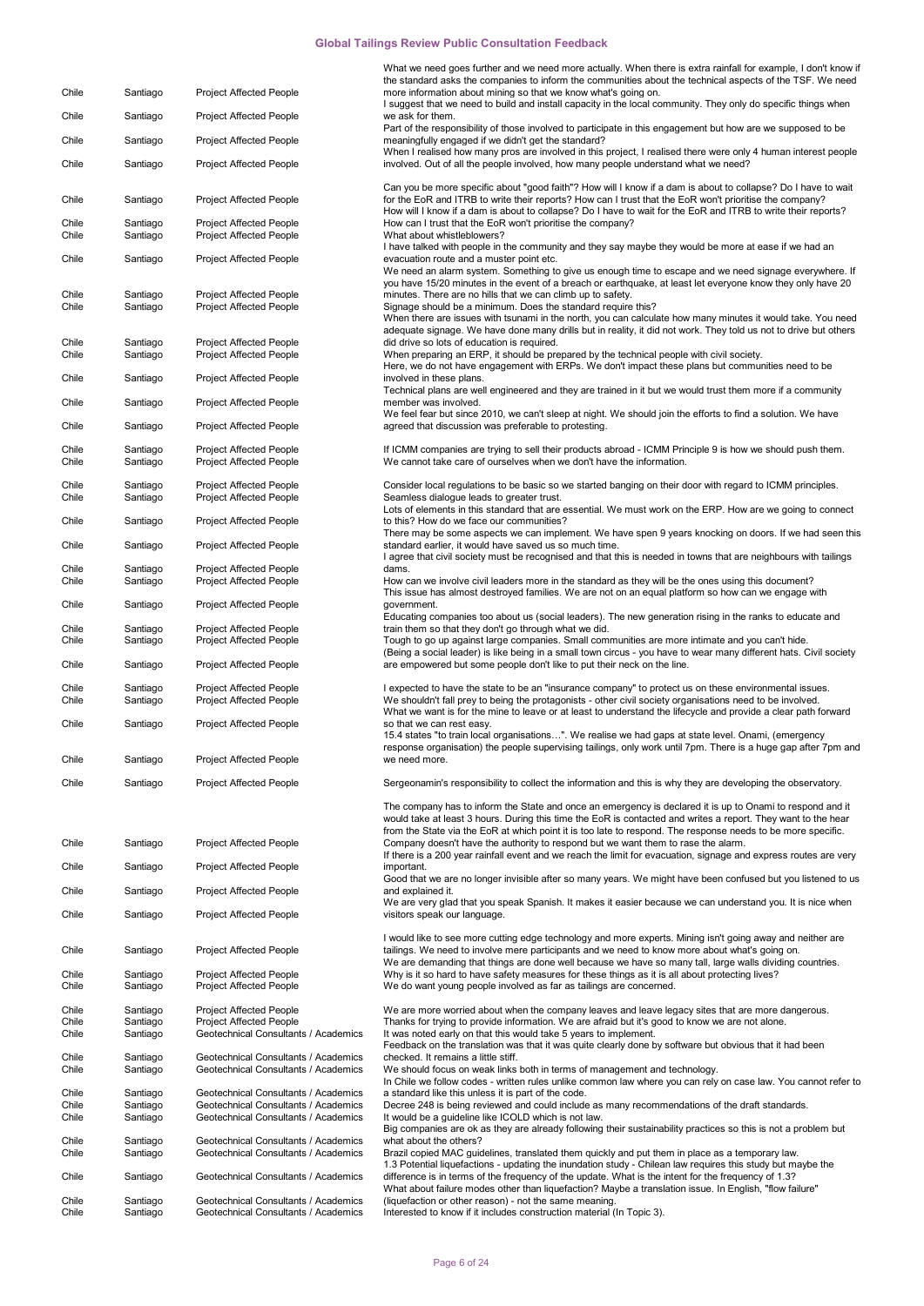|                |                      |                                                                              | What we need goes further and we need more actually. When there is extra rainfall for example, I don't know if                                                                                                                                                                                                                                                                                                                                                                |
|----------------|----------------------|------------------------------------------------------------------------------|-------------------------------------------------------------------------------------------------------------------------------------------------------------------------------------------------------------------------------------------------------------------------------------------------------------------------------------------------------------------------------------------------------------------------------------------------------------------------------|
| Chile          | Santiago             | <b>Project Affected People</b>                                               | the standard asks the companies to inform the communities about the technical aspects of the TSF. We need<br>more information about mining so that we know what's going on.                                                                                                                                                                                                                                                                                                   |
| Chile          | Santiago             | <b>Project Affected People</b>                                               | I suggest that we need to build and install capacity in the local community. They only do specific things when<br>we ask for them.                                                                                                                                                                                                                                                                                                                                            |
| Chile          | Santiago             | <b>Project Affected People</b>                                               | Part of the responsibility of those involved to participate in this engagement but how are we supposed to be<br>meaningfully engaged if we didn't get the standard?                                                                                                                                                                                                                                                                                                           |
| Chile          | Santiago             | <b>Project Affected People</b>                                               | When I realised how many pros are involved in this project, I realised there were only 4 human interest people<br>involved. Out of all the people involved, how many people understand what we need?                                                                                                                                                                                                                                                                          |
|                |                      |                                                                              |                                                                                                                                                                                                                                                                                                                                                                                                                                                                               |
| Chile          | Santiago             | <b>Project Affected People</b>                                               | Can you be more specific about "good faith"? How will I know if a dam is about to collapse? Do I have to wait<br>for the EoR and ITRB to write their reports? How can I trust that the EoR won't prioritise the company?<br>How will I know if a dam is about to collapse? Do I have to wait for the EoR and ITRB to write their reports?                                                                                                                                     |
| Chile<br>Chile | Santiago<br>Santiago | <b>Project Affected People</b><br><b>Project Affected People</b>             | How can I trust that the EoR won't prioritise the company?<br>What about whistleblowers?                                                                                                                                                                                                                                                                                                                                                                                      |
| Chile          | Santiago             | <b>Project Affected People</b>                                               | I have talked with people in the community and they say maybe they would be more at ease if we had an<br>evacuation route and a muster point etc.<br>We need an alarm system. Something to give us enough time to escape and we need signage everywhere. If                                                                                                                                                                                                                   |
| Chile<br>Chile | Santiago<br>Santiago | <b>Project Affected People</b><br><b>Project Affected People</b>             | you have 15/20 minutes in the event of a breach or earthquake, at least let everyone know they only have 20<br>minutes. There are no hills that we can climb up to safety.<br>Signage should be a minimum. Does the standard require this?<br>When there are issues with tsunami in the north, you can calculate how many minutes it would take. You need<br>adequate signage. We have done many drills but in reality, it did not work. They told us not to drive but others |
| Chile<br>Chile | Santiago<br>Santiago | <b>Project Affected People</b><br><b>Project Affected People</b>             | did drive so lots of education is required.<br>When preparing an ERP, it should be prepared by the technical people with civil society.<br>Here, we do not have engagement with ERPs. We don't impact these plans but communities need to be                                                                                                                                                                                                                                  |
| Chile          | Santiago             | <b>Project Affected People</b>                                               | involved in these plans.                                                                                                                                                                                                                                                                                                                                                                                                                                                      |
| Chile          | Santiago             | <b>Project Affected People</b>                                               | Technical plans are well engineered and they are trained in it but we would trust them more if a community<br>member was involved.                                                                                                                                                                                                                                                                                                                                            |
| Chile          | Santiago             | <b>Project Affected People</b>                                               | We feel fear but since 2010, we can't sleep at night. We should join the efforts to find a solution. We have<br>agreed that discussion was preferable to protesting.                                                                                                                                                                                                                                                                                                          |
| Chile          | Santiago             | <b>Project Affected People</b>                                               | If ICMM companies are trying to sell their products abroad - ICMM Principle 9 is how we should push them.                                                                                                                                                                                                                                                                                                                                                                     |
| Chile          | Santiago             | <b>Project Affected People</b>                                               | We cannot take care of ourselves when we don't have the information.                                                                                                                                                                                                                                                                                                                                                                                                          |
| Chile<br>Chile | Santiago<br>Santiago | <b>Project Affected People</b><br><b>Project Affected People</b>             | Consider local regulations to be basic so we started banging on their door with regard to ICMM principles.<br>Seamless dialogue leads to greater trust.                                                                                                                                                                                                                                                                                                                       |
| Chile          | Santiago             | <b>Project Affected People</b>                                               | Lots of elements in this standard that are essential. We must work on the ERP. How are we going to connect<br>to this? How do we face our communities?                                                                                                                                                                                                                                                                                                                        |
| Chile          | Santiago             | <b>Project Affected People</b>                                               | There may be some aspects we can implement. We have spen 9 years knocking on doors. If we had seen this<br>standard earlier, it would have saved us so much time.<br>I agree that civil society must be recognised and that this is needed in towns that are neighbours with tailings                                                                                                                                                                                         |
| Chile          | Santiago             | <b>Project Affected People</b>                                               | dams.                                                                                                                                                                                                                                                                                                                                                                                                                                                                         |
| Chile          | Santiago             | <b>Project Affected People</b>                                               | How can we involve civil leaders more in the standard as they will be the ones using this document?<br>This issue has almost destroyed families. We are not on an equal platform so how can we engage with<br>government.                                                                                                                                                                                                                                                     |
| Chile          | Santiago             | <b>Project Affected People</b>                                               | Educating companies too about us (social leaders). The new generation rising in the ranks to educate and                                                                                                                                                                                                                                                                                                                                                                      |
| Chile<br>Chile | Santiago<br>Santiago | <b>Project Affected People</b><br><b>Project Affected People</b>             | train them so that they don't go through what we did.<br>Tough to go up against large companies. Small communities are more intimate and you can't hide.                                                                                                                                                                                                                                                                                                                      |
| Chile          | Santiago             | <b>Project Affected People</b>                                               | (Being a social leader) is like being in a small town circus - you have to wear many different hats. Civil society<br>are empowered but some people don't like to put their neck on the line.                                                                                                                                                                                                                                                                                 |
| Chile<br>Chile | Santiago<br>Santiago | <b>Project Affected People</b><br><b>Project Affected People</b>             | I expected to have the state to be an "insurance company" to protect us on these environmental issues.<br>We shouldn't fall prey to being the protagonists - other civil society organisations need to be involved.<br>What we want is for the mine to leave or at least to understand the lifecycle and provide a clear path forward                                                                                                                                         |
| Chile          | Santiago             | <b>Project Affected People</b>                                               | so that we can rest easy.<br>15.4 states "to train local organisations". We realise we had gaps at state level. Onami, (emergency                                                                                                                                                                                                                                                                                                                                             |
| Chile          | Santiago             | Project Affected People                                                      | response organisation) the people supervising tailings, only work until 7pm. There is a huge gap after 7pm and<br>we need more.                                                                                                                                                                                                                                                                                                                                               |
| Chile          | Santiago             | <b>Project Affected People</b>                                               | Sergeonamin's responsibility to collect the information and this is why they are developing the observatory.                                                                                                                                                                                                                                                                                                                                                                  |
|                |                      |                                                                              | The company has to inform the State and once an emergency is declared it is up to Onami to respond and it<br>would take at least 3 hours. During this time the EoR is contacted and writes a report. They want to the hear<br>from the State via the EoR at which point it is too late to respond. The response needs to be more specific.                                                                                                                                    |
| Chile          | Santiago             | <b>Project Affected People</b>                                               | Company doesn't have the authority to respond but we want them to rase the alarm.<br>If there is a 200 year rainfall event and we reach the limit for evacuation, signage and express routes are very                                                                                                                                                                                                                                                                         |
| Chile          | Santiago             | <b>Project Affected People</b>                                               | important.                                                                                                                                                                                                                                                                                                                                                                                                                                                                    |
| Chile          | Santiago             | <b>Project Affected People</b>                                               | Good that we are no longer invisible after so many years. We might have been confused but you listened to us<br>and explained it.                                                                                                                                                                                                                                                                                                                                             |
| Chile          | Santiago             | <b>Project Affected People</b>                                               | We are very glad that you speak Spanish. It makes it easier because we can understand you. It is nice when<br>visitors speak our language.                                                                                                                                                                                                                                                                                                                                    |
| Chile          | Santiago             | <b>Project Affected People</b>                                               | I would like to see more cutting edge technology and more experts. Mining isn't going away and neither are<br>tailings. We need to involve mere participants and we need to know more about what's going on.                                                                                                                                                                                                                                                                  |
| Chile<br>Chile | Santiago<br>Santiago | <b>Project Affected People</b><br><b>Project Affected People</b>             | We are demanding that things are done well because we have so many tall, large walls dividing countries.<br>Why is it so hard to have safety measures for these things as it is all about protecting lives?<br>We do want young people involved as far as tailings are concerned.                                                                                                                                                                                             |
| Chile          | Santiago             | <b>Project Affected People</b>                                               | We are more worried about when the company leaves and leave legacy sites that are more dangerous.                                                                                                                                                                                                                                                                                                                                                                             |
| Chile<br>Chile | Santiago<br>Santiago | <b>Project Affected People</b><br>Geotechnical Consultants / Academics       | Thanks for trying to provide information. We are afraid but it's good to know we are not alone.<br>It was noted early on that this would take 5 years to implement.                                                                                                                                                                                                                                                                                                           |
|                |                      |                                                                              | Feedback on the translation was that it was quite clearly done by software but obvious that it had been                                                                                                                                                                                                                                                                                                                                                                       |
| Chile<br>Chile | Santiago<br>Santiago | Geotechnical Consultants / Academics<br>Geotechnical Consultants / Academics | checked. It remains a little stiff.<br>We should focus on weak links both in terms of management and technology.                                                                                                                                                                                                                                                                                                                                                              |
| Chile          | Santiago             | Geotechnical Consultants / Academics                                         | In Chile we follow codes - written rules unlike common law where you can rely on case law. You cannot refer to<br>a standard like this unless it is part of the code.                                                                                                                                                                                                                                                                                                         |
| Chile<br>Chile | Santiago<br>Santiago | Geotechnical Consultants / Academics<br>Geotechnical Consultants / Academics | Decree 248 is being reviewed and could include as many recommendations of the draft standards.<br>It would be a guideline like ICOLD which is not law.                                                                                                                                                                                                                                                                                                                        |
| Chile          | Santiago             | Geotechnical Consultants / Academics                                         | Big companies are ok as they are already following their sustainability practices so this is not a problem but<br>what about the others?                                                                                                                                                                                                                                                                                                                                      |
| Chile          | Santiago             | Geotechnical Consultants / Academics                                         | Brazil copied MAC guidelines, translated them quickly and put them in place as a temporary law.<br>1.3 Potential liquefactions - updating the inundation study - Chilean law requires this study but maybe the                                                                                                                                                                                                                                                                |
| Chile          | Santiago             | Geotechnical Consultants / Academics                                         | difference is in terms of the frequency of the update. What is the intent for the frequency of 1.3?<br>What about failure modes other than liquefaction? Maybe a translation issue. In English, "flow failure"                                                                                                                                                                                                                                                                |
| Chile<br>Chile | Santiago<br>Santiago | Geotechnical Consultants / Academics<br>Geotechnical Consultants / Academics | (liquefaction or other reason) - not the same meaning.<br>Interested to know if it includes construction material (In Topic 3).                                                                                                                                                                                                                                                                                                                                               |
|                |                      |                                                                              |                                                                                                                                                                                                                                                                                                                                                                                                                                                                               |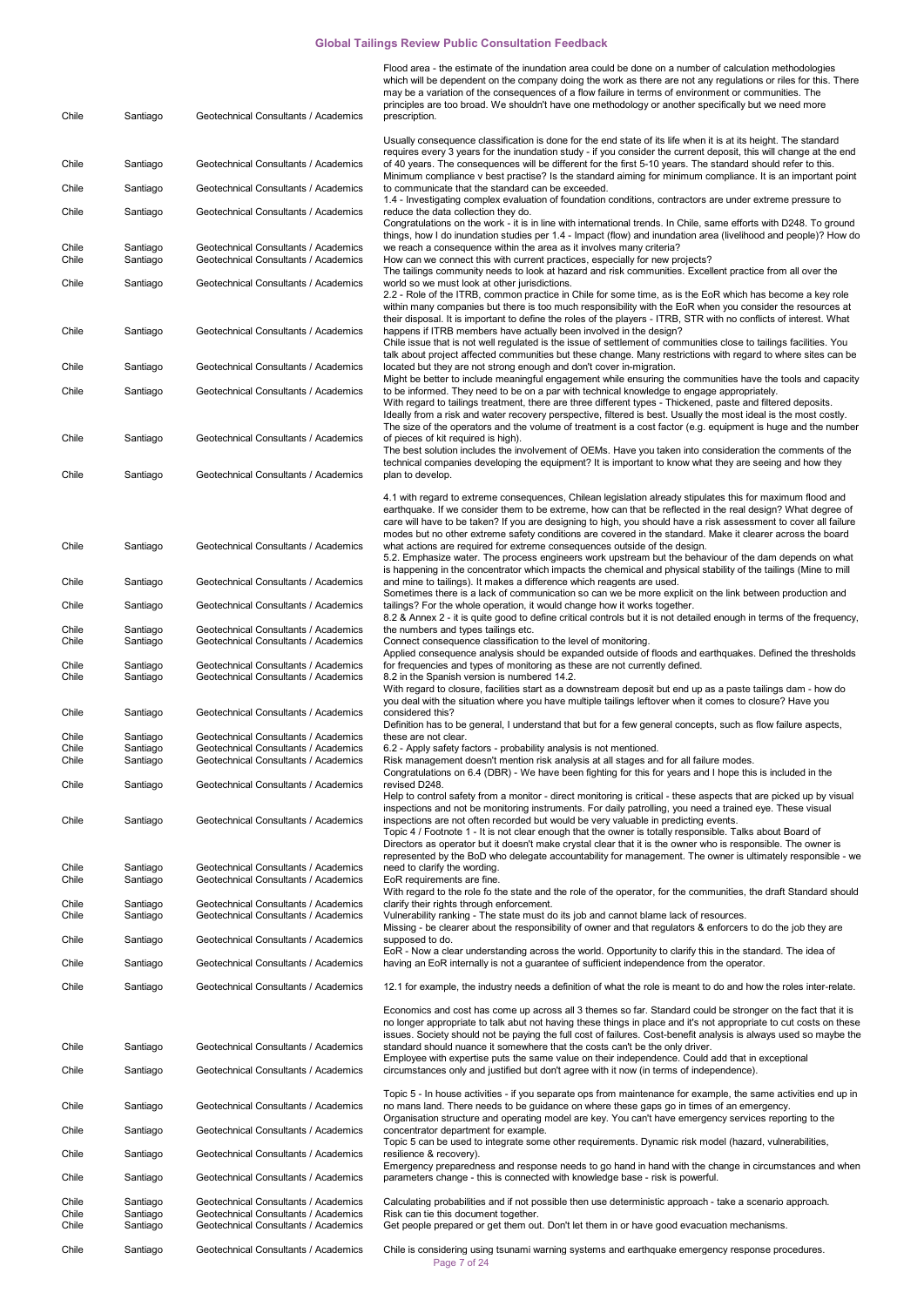| Chile                   | Santiago                         | Geotechnical Consultants / Academics                                                                                 | Flood area - the estimate of the inundation area could be done on a number of calculation methodologies<br>which will be dependent on the company doing the work as there are not any regulations or riles for this. There<br>may be a variation of the consequences of a flow failure in terms of environment or communities. The<br>principles are too broad. We shouldn't have one methodology or another specifically but we need more<br>prescription.                                                                              |
|-------------------------|----------------------------------|----------------------------------------------------------------------------------------------------------------------|------------------------------------------------------------------------------------------------------------------------------------------------------------------------------------------------------------------------------------------------------------------------------------------------------------------------------------------------------------------------------------------------------------------------------------------------------------------------------------------------------------------------------------------|
|                         |                                  |                                                                                                                      | Usually consequence classification is done for the end state of its life when it is at its height. The standard                                                                                                                                                                                                                                                                                                                                                                                                                          |
| Chile                   | Santiago                         | Geotechnical Consultants / Academics                                                                                 | requires every 3 years for the inundation study - if you consider the current deposit, this will change at the end<br>of 40 years. The consequences will be different for the first 5-10 years. The standard should refer to this.                                                                                                                                                                                                                                                                                                       |
| Chile                   | Santiago                         | Geotechnical Consultants / Academics                                                                                 | Minimum compliance v best practise? Is the standard aiming for minimum compliance. It is an important point<br>to communicate that the standard can be exceeded.                                                                                                                                                                                                                                                                                                                                                                         |
| Chile                   | Santiago                         | Geotechnical Consultants / Academics                                                                                 | 1.4 - Investigating complex evaluation of foundation conditions, contractors are under extreme pressure to<br>reduce the data collection they do.<br>Congratulations on the work - it is in line with international trends. In Chile, same efforts with D248. To ground                                                                                                                                                                                                                                                                  |
| Chile<br>Chile          | Santiago<br>Santiago             | Geotechnical Consultants / Academics<br>Geotechnical Consultants / Academics                                         | things, how I do inundation studies per 1.4 - Impact (flow) and inundation area (livelihood and people)? How do<br>we reach a consequence within the area as it involves many criteria?<br>How can we connect this with current practices, especially for new projects?                                                                                                                                                                                                                                                                  |
| Chile                   | Santiago                         | Geotechnical Consultants / Academics                                                                                 | The tailings community needs to look at hazard and risk communities. Excellent practice from all over the<br>world so we must look at other jurisdictions.<br>2.2 - Role of the ITRB, common practice in Chile for some time, as is the EoR which has become a key role                                                                                                                                                                                                                                                                  |
| Chile                   | Santiago                         | Geotechnical Consultants / Academics                                                                                 | within many companies but there is too much responsibility with the EoR when you consider the resources at<br>their disposal. It is important to define the roles of the players - ITRB, STR with no conflicts of interest. What<br>happens if ITRB members have actually been involved in the design?                                                                                                                                                                                                                                   |
|                         |                                  |                                                                                                                      | Chile issue that is not well regulated is the issue of settlement of communities close to tailings facilities. You<br>talk about project affected communities but these change. Many restrictions with regard to where sites can be                                                                                                                                                                                                                                                                                                      |
| Chile                   | Santiago                         | Geotechnical Consultants / Academics                                                                                 | located but they are not strong enough and don't cover in-migration.<br>Might be better to include meaningful engagement while ensuring the communities have the tools and capacity                                                                                                                                                                                                                                                                                                                                                      |
| Chile                   | Santiago                         | Geotechnical Consultants / Academics                                                                                 | to be informed. They need to be on a par with technical knowledge to engage appropriately.<br>With regard to tailings treatment, there are three different types - Thickened, paste and filtered deposits.<br>Ideally from a risk and water recovery perspective, filtered is best. Usually the most ideal is the most costly.<br>The size of the operators and the volume of treatment is a cost factor (e.g. equipment is huge and the number                                                                                          |
| Chile                   | Santiago                         | Geotechnical Consultants / Academics                                                                                 | of pieces of kit required is high).<br>The best solution includes the involvement of OEMs. Have you taken into consideration the comments of the<br>technical companies developing the equipment? It is important to know what they are seeing and how they                                                                                                                                                                                                                                                                              |
| Chile                   | Santiago                         | Geotechnical Consultants / Academics                                                                                 | plan to develop.                                                                                                                                                                                                                                                                                                                                                                                                                                                                                                                         |
| Chile                   | Santiago                         | Geotechnical Consultants / Academics                                                                                 | 4.1 with regard to extreme consequences, Chilean legislation already stipulates this for maximum flood and<br>earthquake. If we consider them to be extreme, how can that be reflected in the real design? What degree of<br>care will have to be taken? If you are designing to high, you should have a risk assessment to cover all failure<br>modes but no other extreme safety conditions are covered in the standard. Make it clearer across the board<br>what actions are required for extreme consequences outside of the design. |
| Chile                   | Santiago                         | Geotechnical Consultants / Academics                                                                                 | 5.2. Emphasize water. The process engineers work upstream but the behaviour of the dam depends on what<br>is happening in the concentrator which impacts the chemical and physical stability of the tailings (Mine to mill<br>and mine to tailings). It makes a difference which reagents are used.                                                                                                                                                                                                                                      |
| Chile                   | Santiago                         | Geotechnical Consultants / Academics                                                                                 | Sometimes there is a lack of communication so can we be more explicit on the link between production and<br>tailings? For the whole operation, it would change how it works together.                                                                                                                                                                                                                                                                                                                                                    |
| Chile                   | Santiago                         | Geotechnical Consultants / Academics                                                                                 | 8.2 & Annex 2 - it is quite good to define critical controls but it is not detailed enough in terms of the frequency,<br>the numbers and types tailings etc.                                                                                                                                                                                                                                                                                                                                                                             |
| Chile                   | Santiago                         | Geotechnical Consultants / Academics<br>Geotechnical Consultants / Academics                                         | Connect consequence classification to the level of monitoring.<br>Applied consequence analysis should be expanded outside of floods and earthquakes. Defined the thresholds                                                                                                                                                                                                                                                                                                                                                              |
| Chile<br>Chile          | Santiago<br>Santiago             | Geotechnical Consultants / Academics                                                                                 | for frequencies and types of monitoring as these are not currently defined.<br>8.2 in the Spanish version is numbered 14.2.<br>With regard to closure, facilities start as a downstream deposit but end up as a paste tailings dam - how do                                                                                                                                                                                                                                                                                              |
| Chile                   | Santiago                         | Geotechnical Consultants / Academics                                                                                 | you deal with the situation where you have multiple tailings leftover when it comes to closure? Have you<br>considered this?                                                                                                                                                                                                                                                                                                                                                                                                             |
| Chile                   | Santiago                         | Geotechnical Consultants / Academics                                                                                 | Definition has to be general, I understand that but for a few general concepts, such as flow failure aspects,<br>these are not clear.                                                                                                                                                                                                                                                                                                                                                                                                    |
| Chile<br>Chile          | Santiago<br>Santiago             | Geotechnical Consultants / Academics<br>Geotechnical Consultants / Academics                                         | 6.2 - Apply safety factors - probability analysis is not mentioned.<br>Risk management doesn't mention risk analysis at all stages and for all failure modes.                                                                                                                                                                                                                                                                                                                                                                            |
| Chile                   | Santiago                         | Geotechnical Consultants / Academics                                                                                 | Congratulations on 6.4 (DBR) - We have been fighting for this for years and I hope this is included in the<br>revised D248.<br>Help to control safety from a monitor - direct monitoring is critical - these aspects that are picked up by visual                                                                                                                                                                                                                                                                                        |
| Chile                   | Santiago                         | Geotechnical Consultants / Academics                                                                                 | inspections and not be monitoring instruments. For daily patrolling, you need a trained eye. These visual<br>inspections are not often recorded but would be very valuable in predicting events.<br>Topic 4 / Footnote 1 - It is not clear enough that the owner is totally responsible. Talks about Board of<br>Directors as operator but it doesn't make crystal clear that it is the owner who is responsible. The owner is                                                                                                           |
| Chile                   | Santiago                         | Geotechnical Consultants / Academics                                                                                 | represented by the BoD who delegate accountability for management. The owner is ultimately responsible - we<br>need to clarify the wording.                                                                                                                                                                                                                                                                                                                                                                                              |
| Chile                   | Santiago                         | Geotechnical Consultants / Academics                                                                                 | EoR requirements are fine.<br>With regard to the role fo the state and the role of the operator, for the communities, the draft Standard should                                                                                                                                                                                                                                                                                                                                                                                          |
| Chile<br>Chile          | Santiago<br>Santiago             | Geotechnical Consultants / Academics<br>Geotechnical Consultants / Academics                                         | clarify their rights through enforcement.<br>Vulnerability ranking - The state must do its job and cannot blame lack of resources.<br>Missing - be clearer about the responsibility of owner and that regulators & enforcers to do the job they are                                                                                                                                                                                                                                                                                      |
| Chile                   | Santiago                         | Geotechnical Consultants / Academics                                                                                 | supposed to do.<br>EoR - Now a clear understanding across the world. Opportunity to clarify this in the standard. The idea of                                                                                                                                                                                                                                                                                                                                                                                                            |
| Chile                   | Santiago                         | Geotechnical Consultants / Academics                                                                                 | having an EoR internally is not a guarantee of sufficient independence from the operator.                                                                                                                                                                                                                                                                                                                                                                                                                                                |
| Chile                   | Santiago                         | Geotechnical Consultants / Academics                                                                                 | 12.1 for example, the industry needs a definition of what the role is meant to do and how the roles inter-relate.                                                                                                                                                                                                                                                                                                                                                                                                                        |
|                         |                                  |                                                                                                                      | Economics and cost has come up across all 3 themes so far. Standard could be stronger on the fact that it is<br>no longer appropriate to talk abut not having these things in place and it's not appropriate to cut costs on these<br>issues. Society should not be paying the full cost of failures. Cost-benefit analysis is always used so maybe the                                                                                                                                                                                  |
| Chile                   | Santiago                         | Geotechnical Consultants / Academics                                                                                 | standard should nuance it somewhere that the costs can't be the only driver.<br>Employee with expertise puts the same value on their independence. Could add that in exceptional                                                                                                                                                                                                                                                                                                                                                         |
| Chile                   | Santiago                         | Geotechnical Consultants / Academics                                                                                 | circumstances only and justified but don't agree with it now (in terms of independence).                                                                                                                                                                                                                                                                                                                                                                                                                                                 |
| Chile                   | Santiago                         | Geotechnical Consultants / Academics                                                                                 | Topic 5 - In house activities - if you separate ops from maintenance for example, the same activities end up in<br>no mans land. There needs to be guidance on where these gaps go in times of an emergency.<br>Organisation structure and operating model are key. You can't have emergency services reporting to the                                                                                                                                                                                                                   |
| Chile                   | Santiago                         | Geotechnical Consultants / Academics                                                                                 | concentrator department for example.<br>Topic 5 can be used to integrate some other requirements. Dynamic risk model (hazard, vulnerabilities,                                                                                                                                                                                                                                                                                                                                                                                           |
| Chile                   | Santiago                         | Geotechnical Consultants / Academics                                                                                 | resilience & recovery).<br>Emergency preparedness and response needs to go hand in hand with the change in circumstances and when                                                                                                                                                                                                                                                                                                                                                                                                        |
| Chile                   | Santiago                         | Geotechnical Consultants / Academics                                                                                 | parameters change - this is connected with knowledge base - risk is powerful.                                                                                                                                                                                                                                                                                                                                                                                                                                                            |
| Chile<br>Chile<br>Chile | Santiago<br>Santiago<br>Santiago | Geotechnical Consultants / Academics<br>Geotechnical Consultants / Academics<br>Geotechnical Consultants / Academics | Calculating probabilities and if not possible then use deterministic approach - take a scenario approach.<br>Risk can tie this document together.<br>Get people prepared or get them out. Don't let them in or have good evacuation mechanisms.                                                                                                                                                                                                                                                                                          |
| Chile                   | Santiago                         | Geotechnical Consultants / Academics                                                                                 | Chile is considering using tsunami warning systems and earthquake emergency response procedures.<br>Page 7 of 24                                                                                                                                                                                                                                                                                                                                                                                                                         |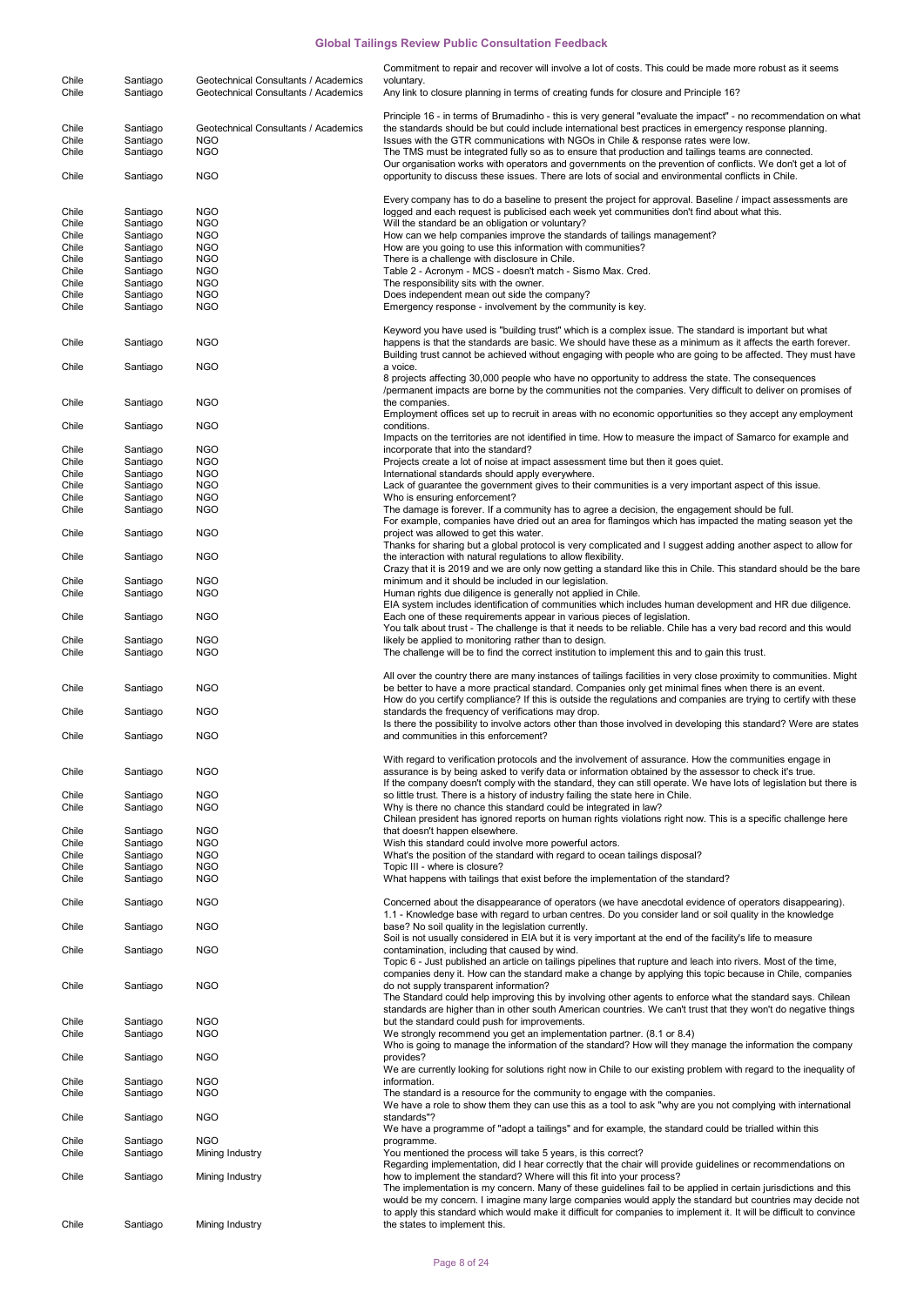| Chile | Santiago | Geotechnical Consultants / Academics | Commitment to repair and recover will involve a lot of costs. This could be made more robust as it seems<br>voluntary.                                                                                             |
|-------|----------|--------------------------------------|--------------------------------------------------------------------------------------------------------------------------------------------------------------------------------------------------------------------|
| Chile | Santiago | Geotechnical Consultants / Academics | Any link to closure planning in terms of creating funds for closure and Principle 16?                                                                                                                              |
|       |          |                                      | Principle 16 - in terms of Brumadinho - this is very general "evaluate the impact" - no recommendation on what                                                                                                     |
| Chile | Santiago | Geotechnical Consultants / Academics | the standards should be but could include international best practices in emergency response planning.                                                                                                             |
| Chile | Santiago | <b>NGO</b>                           | Issues with the GTR communications with NGOs in Chile & response rates were low.                                                                                                                                   |
| Chile | Santiago | <b>NGO</b>                           | The TMS must be integrated fully so as to ensure that production and tailings teams are connected.                                                                                                                 |
|       |          |                                      | Our organisation works with operators and governments on the prevention of conflicts. We don't get a lot of                                                                                                        |
| Chile | Santiago | <b>NGO</b>                           | opportunity to discuss these issues. There are lots of social and environmental conflicts in Chile.                                                                                                                |
|       |          |                                      | Every company has to do a baseline to present the project for approval. Baseline / impact assessments are                                                                                                          |
| Chile | Santiago | <b>NGO</b>                           | logged and each request is publicised each week yet communities don't find about what this.                                                                                                                        |
| Chile | Santiago | <b>NGO</b>                           | Will the standard be an obligation or voluntary?                                                                                                                                                                   |
| Chile | Santiago | <b>NGO</b>                           | How can we help companies improve the standards of tailings management?                                                                                                                                            |
| Chile | Santiago | <b>NGO</b>                           | How are you going to use this information with communities?                                                                                                                                                        |
| Chile | Santiago | <b>NGO</b>                           | There is a challenge with disclosure in Chile.                                                                                                                                                                     |
| Chile | Santiago | <b>NGO</b>                           | Table 2 - Acronym - MCS - doesn't match - Sismo Max. Cred.                                                                                                                                                         |
| Chile | Santiago | <b>NGO</b>                           | The responsibility sits with the owner.                                                                                                                                                                            |
| Chile | Santiago | <b>NGO</b>                           | Does independent mean out side the company?                                                                                                                                                                        |
| Chile | Santiago | <b>NGO</b>                           | Emergency response - involvement by the community is key.                                                                                                                                                          |
|       |          |                                      |                                                                                                                                                                                                                    |
|       |          |                                      | Keyword you have used is "building trust" which is a complex issue. The standard is important but what                                                                                                             |
| Chile | Santiago | <b>NGO</b>                           | happens is that the standards are basic. We should have these as a minimum as it affects the earth forever.                                                                                                        |
|       |          |                                      | Building trust cannot be achieved without engaging with people who are going to be affected. They must have                                                                                                        |
| Chile | Santiago | <b>NGO</b>                           | a voice.<br>8 projects affecting 30,000 people who have no opportunity to address the state. The consequences                                                                                                      |
|       |          |                                      | /permanent impacts are borne by the communities not the companies. Very difficult to deliver on promises of                                                                                                        |
| Chile | Santiago | <b>NGO</b>                           | the companies.                                                                                                                                                                                                     |
|       |          |                                      | Employment offices set up to recruit in areas with no economic opportunities so they accept any employment                                                                                                         |
| Chile | Santiago | <b>NGO</b>                           | conditions.                                                                                                                                                                                                        |
|       |          |                                      | Impacts on the territories are not identified in time. How to measure the impact of Samarco for example and                                                                                                        |
| Chile | Santiago | <b>NGO</b>                           | incorporate that into the standard?                                                                                                                                                                                |
| Chile | Santiago | <b>NGO</b>                           | Projects create a lot of noise at impact assessment time but then it goes quiet.                                                                                                                                   |
| Chile | Santiago | <b>NGO</b>                           | International standards should apply everywhere.                                                                                                                                                                   |
| Chile | Santiago | <b>NGO</b>                           | Lack of guarantee the government gives to their communities is a very important aspect of this issue.                                                                                                              |
| Chile | Santiago | <b>NGO</b>                           | Who is ensuring enforcement?                                                                                                                                                                                       |
| Chile | Santiago | <b>NGO</b>                           | The damage is forever. If a community has to agree a decision, the engagement should be full.                                                                                                                      |
|       |          |                                      | For example, companies have dried out an area for flamingos which has impacted the mating season yet the                                                                                                           |
| Chile | Santiago | <b>NGO</b>                           | project was allowed to get this water.                                                                                                                                                                             |
|       |          |                                      | Thanks for sharing but a global protocol is very complicated and I suggest adding another aspect to allow for                                                                                                      |
| Chile | Santiago | <b>NGO</b>                           | the interaction with natural regulations to allow flexibility.                                                                                                                                                     |
| Chile | Santiago | <b>NGO</b>                           | Crazy that it is 2019 and we are only now getting a standard like this in Chile. This standard should be the bare<br>minimum and it should be included in our legislation.                                         |
| Chile | Santiago | <b>NGO</b>                           | Human rights due diligence is generally not applied in Chile.                                                                                                                                                      |
|       |          |                                      | EIA system includes identification of communities which includes human development and HR due diligence.                                                                                                           |
| Chile | Santiago | <b>NGO</b>                           | Each one of these requirements appear in various pieces of legislation.                                                                                                                                            |
|       |          |                                      | You talk about trust - The challenge is that it needs to be reliable. Chile has a very bad record and this would                                                                                                   |
| Chile | Santiago | <b>NGO</b>                           | likely be applied to monitoring rather than to design.                                                                                                                                                             |
| Chile | Santiago | <b>NGO</b>                           | The challenge will be to find the correct institution to implement this and to gain this trust.                                                                                                                    |
|       |          |                                      |                                                                                                                                                                                                                    |
|       |          |                                      | All over the country there are many instances of tailings facilities in very close proximity to communities. Might                                                                                                 |
| Chile | Santiago | <b>NGO</b>                           | be better to have a more practical standard. Companies only get minimal fines when there is an event.                                                                                                              |
|       |          |                                      | How do you certify compliance? If this is outside the regulations and companies are trying to certify with these                                                                                                   |
| Chile | Santiago | <b>NGO</b>                           | standards the frequency of verifications may drop.<br>Is there the possibility to involve actors other than those involved in developing this standard? Were are states                                            |
| Chile | Santiago | <b>NGO</b>                           | and communities in this enforcement?                                                                                                                                                                               |
|       |          |                                      |                                                                                                                                                                                                                    |
|       |          |                                      | With regard to verification protocols and the involvement of assurance. How the communities engage in                                                                                                              |
| Chile | Santiago | <b>NGO</b>                           | assurance is by being asked to verify data or information obtained by the assessor to check it's true.                                                                                                             |
|       |          |                                      | If the company doesn't comply with the standard, they can still operate. We have lots of legislation but there is                                                                                                  |
| Chile | Santiago | <b>NGO</b>                           | so little trust. There is a history of industry failing the state here in Chile.                                                                                                                                   |
| Chile | Santiago | <b>NGO</b>                           | Why is there no chance this standard could be integrated in law?                                                                                                                                                   |
|       |          |                                      | Chilean president has ignored reports on human rights violations right now. This is a specific challenge here                                                                                                      |
| Chile | Santiago | <b>NGO</b>                           | that doesn't happen elsewhere.                                                                                                                                                                                     |
| Chile | Santiago | <b>NGO</b>                           | Wish this standard could involve more powerful actors.                                                                                                                                                             |
| Chile | Santiago | <b>NGO</b>                           | What's the position of the standard with regard to ocean tailings disposal?                                                                                                                                        |
| Chile | Santiago | <b>NGO</b>                           | Topic III - where is closure?                                                                                                                                                                                      |
| Chile | Santiago | <b>NGO</b>                           | What happens with tailings that exist before the implementation of the standard?                                                                                                                                   |
|       |          |                                      |                                                                                                                                                                                                                    |
| Chile | Santiago | <b>NGO</b>                           | Concerned about the disappearance of operators (we have anecdotal evidence of operators disappearing).<br>1.1 - Knowledge base with regard to urban centres. Do you consider land or soil quality in the knowledge |
| Chile | Santiago | <b>NGO</b>                           | base? No soil quality in the legislation currently.                                                                                                                                                                |
|       |          |                                      | Soil is not usually considered in EIA but it is very important at the end of the facility's life to measure                                                                                                        |
| Chile | Santiago | <b>NGO</b>                           | contamination, including that caused by wind.                                                                                                                                                                      |
|       |          |                                      | Topic 6 - Just published an article on tailings pipelines that rupture and leach into rivers. Most of the time,                                                                                                    |
|       |          |                                      | companies deny it. How can the standard make a change by applying this topic because in Chile, companies                                                                                                           |
| Chile | Santiago | <b>NGO</b>                           | do not supply transparent information?                                                                                                                                                                             |
|       |          |                                      | The Standard could help improving this by involving other agents to enforce what the standard says. Chilean                                                                                                        |
|       |          |                                      | standards are higher than in other south American countries. We can't trust that they won't do negative things                                                                                                     |
| Chile | Santiago | <b>NGO</b>                           | but the standard could push for improvements.                                                                                                                                                                      |
| Chile | Santiago | <b>NGO</b>                           | We strongly recommend you get an implementation partner. (8.1 or 8.4)                                                                                                                                              |
|       |          |                                      | Who is going to manage the information of the standard? How will they manage the information the company                                                                                                           |
| Chile | Santiago | <b>NGO</b>                           | provides?                                                                                                                                                                                                          |
|       |          |                                      | We are currently looking for solutions right now in Chile to our existing problem with regard to the inequality of                                                                                                 |
| Chile | Santiago | <b>NGO</b>                           | information.                                                                                                                                                                                                       |
| Chile | Santiago | <b>NGO</b>                           | The standard is a resource for the community to engage with the companies.                                                                                                                                         |
| Chile | Santiago | <b>NGO</b>                           | We have a role to show them they can use this as a tool to ask "why are you not complying with international<br>standards"?                                                                                        |
|       |          |                                      | We have a programme of "adopt a tailings" and for example, the standard could be trialled within this                                                                                                              |
| Chile | Santiago | <b>NGO</b>                           | programme.                                                                                                                                                                                                         |
| Chile | Santiago | Mining Industry                      | You mentioned the process will take 5 years, is this correct?                                                                                                                                                      |
|       |          |                                      | Regarding implementation, did I hear correctly that the chair will provide guidelines or recommendations on                                                                                                        |
| Chile | Santiago | Mining Industry                      | how to implement the standard? Where will this fit into your process?                                                                                                                                              |
|       |          |                                      | The implementation is my concern. Many of these guidelines fail to be applied in certain jurisdictions and this                                                                                                    |
|       |          |                                      | would be my concern. I imagine many large companies would apply the standard but countries may decide not                                                                                                          |
|       |          |                                      | to apply this standard which would make it difficult for companies to implement it. It will be difficult to convince                                                                                               |
| Chile | Santiago | Mining Industry                      | the states to implement this.                                                                                                                                                                                      |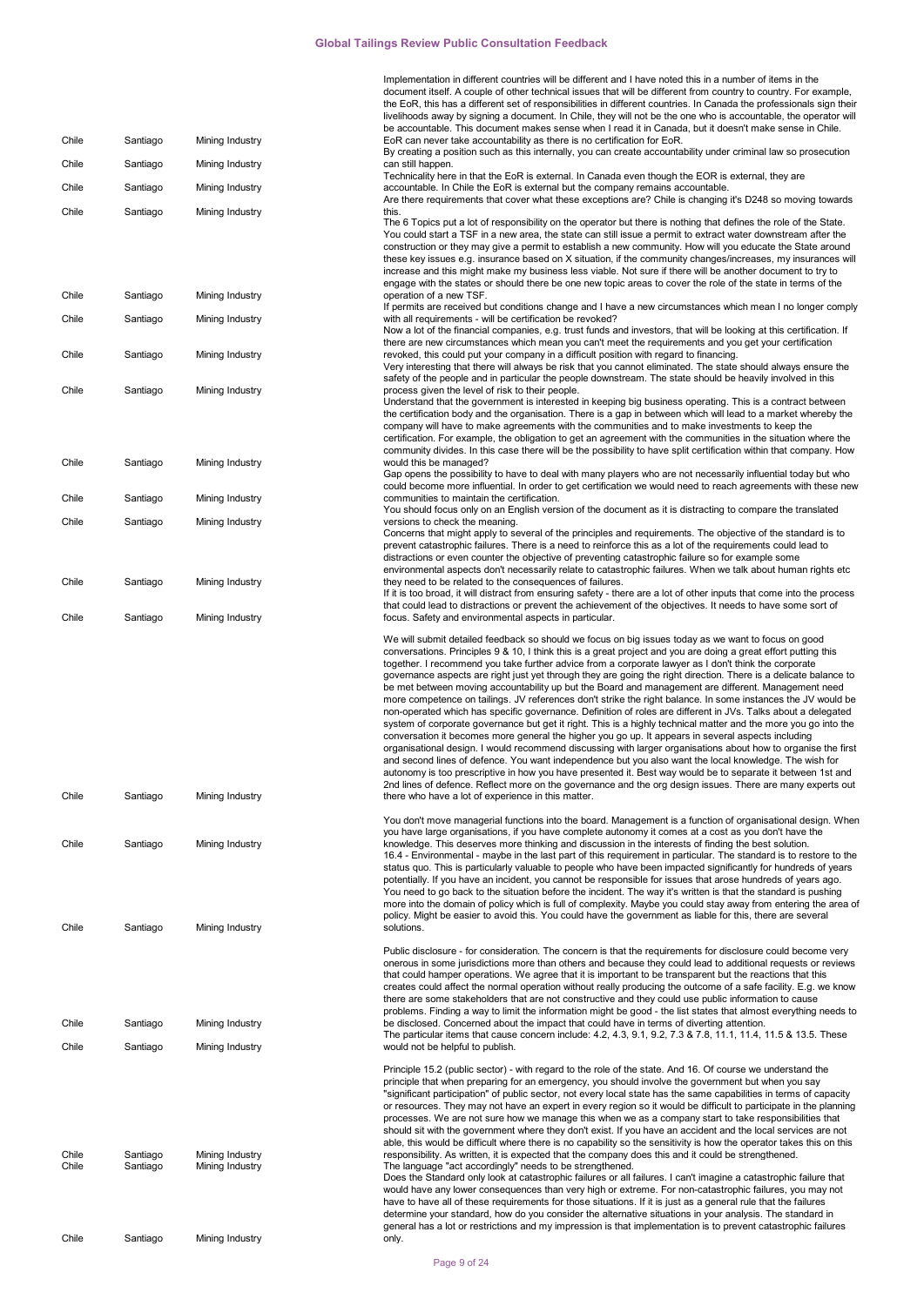|                |                      |                                    | Implementation in different countries will be different and I have noted this in a number of items in the<br>document itself. A couple of other technical issues that will be different from country to country. For example,<br>the EoR, this has a different set of responsibilities in different countries. In Canada the professionals sign their<br>livelihoods away by signing a document. In Chile, they will not be the one who is accountable, the operator will<br>be accountable. This document makes sense when I read it in Canada, but it doesn't make sense in Chile.                                                                                                                                                                                                                                                                                                                                                                                                                                                                                                                                                                                                                                                                                                                                                                                                                                                                                                                                              |
|----------------|----------------------|------------------------------------|-----------------------------------------------------------------------------------------------------------------------------------------------------------------------------------------------------------------------------------------------------------------------------------------------------------------------------------------------------------------------------------------------------------------------------------------------------------------------------------------------------------------------------------------------------------------------------------------------------------------------------------------------------------------------------------------------------------------------------------------------------------------------------------------------------------------------------------------------------------------------------------------------------------------------------------------------------------------------------------------------------------------------------------------------------------------------------------------------------------------------------------------------------------------------------------------------------------------------------------------------------------------------------------------------------------------------------------------------------------------------------------------------------------------------------------------------------------------------------------------------------------------------------------|
| Chile          | Santiago             | Mining Industry                    | EoR can never take accountability as there is no certification for EoR.<br>By creating a position such as this internally, you can create accountability under criminal law so prosecution                                                                                                                                                                                                                                                                                                                                                                                                                                                                                                                                                                                                                                                                                                                                                                                                                                                                                                                                                                                                                                                                                                                                                                                                                                                                                                                                        |
| Chile          | Santiago             | Mining Industry                    | can still happen.                                                                                                                                                                                                                                                                                                                                                                                                                                                                                                                                                                                                                                                                                                                                                                                                                                                                                                                                                                                                                                                                                                                                                                                                                                                                                                                                                                                                                                                                                                                 |
| Chile          | Santiago             | Mining Industry                    | Technicality here in that the EoR is external. In Canada even though the EOR is external, they are<br>accountable. In Chile the EoR is external but the company remains accountable.                                                                                                                                                                                                                                                                                                                                                                                                                                                                                                                                                                                                                                                                                                                                                                                                                                                                                                                                                                                                                                                                                                                                                                                                                                                                                                                                              |
| Chile          | Santiago             | Mining Industry                    | Are there requirements that cover what these exceptions are? Chile is changing it's D248 so moving towards<br>this.                                                                                                                                                                                                                                                                                                                                                                                                                                                                                                                                                                                                                                                                                                                                                                                                                                                                                                                                                                                                                                                                                                                                                                                                                                                                                                                                                                                                               |
|                |                      |                                    | The 6 Topics put a lot of responsibility on the operator but there is nothing that defines the role of the State.<br>You could start a TSF in a new area, the state can still issue a permit to extract water downstream after the<br>construction or they may give a permit to establish a new community. How will you educate the State around<br>these key issues e.g. insurance based on X situation, if the community changes/increases, my insurances will<br>increase and this might make my business less viable. Not sure if there will be another document to try to<br>engage with the states or should there be one new topic areas to cover the role of the state in terms of the                                                                                                                                                                                                                                                                                                                                                                                                                                                                                                                                                                                                                                                                                                                                                                                                                                    |
| Chile          | Santiago             | Mining Industry                    | operation of a new TSF.<br>If permits are received but conditions change and I have a new circumstances which mean I no longer comply                                                                                                                                                                                                                                                                                                                                                                                                                                                                                                                                                                                                                                                                                                                                                                                                                                                                                                                                                                                                                                                                                                                                                                                                                                                                                                                                                                                             |
| Chile          | Santiago             | Mining Industry                    | with all requirements - will be certification be revoked?<br>Now a lot of the financial companies, e.g. trust funds and investors, that will be looking at this certification. If<br>there are new circumstances which mean you can't meet the requirements and you get your certification                                                                                                                                                                                                                                                                                                                                                                                                                                                                                                                                                                                                                                                                                                                                                                                                                                                                                                                                                                                                                                                                                                                                                                                                                                        |
| Chile          | Santiago             | Mining Industry                    | revoked, this could put your company in a difficult position with regard to financing.<br>Very interesting that there will always be risk that you cannot eliminated. The state should always ensure the<br>safety of the people and in particular the people downstream. The state should be heavily involved in this                                                                                                                                                                                                                                                                                                                                                                                                                                                                                                                                                                                                                                                                                                                                                                                                                                                                                                                                                                                                                                                                                                                                                                                                            |
| Chile          | Santiago             | Mining Industry                    | process given the level of risk to their people.<br>Understand that the government is interested in keeping big business operating. This is a contract between<br>the certification body and the organisation. There is a gap in between which will lead to a market whereby the<br>company will have to make agreements with the communities and to make investments to keep the<br>certification. For example, the obligation to get an agreement with the communities in the situation where the                                                                                                                                                                                                                                                                                                                                                                                                                                                                                                                                                                                                                                                                                                                                                                                                                                                                                                                                                                                                                               |
| Chile          | Santiago             | Mining Industry                    | community divides. In this case there will be the possibility to have split certification within that company. How<br>would this be managed?<br>Gap opens the possibility to have to deal with many players who are not necessarily influential today but who                                                                                                                                                                                                                                                                                                                                                                                                                                                                                                                                                                                                                                                                                                                                                                                                                                                                                                                                                                                                                                                                                                                                                                                                                                                                     |
| Chile          | Santiago             | Mining Industry                    | could become more influential. In order to get certification we would need to reach agreements with these new<br>communities to maintain the certification.                                                                                                                                                                                                                                                                                                                                                                                                                                                                                                                                                                                                                                                                                                                                                                                                                                                                                                                                                                                                                                                                                                                                                                                                                                                                                                                                                                       |
| Chile          | Santiago             | Mining Industry                    | You should focus only on an English version of the document as it is distracting to compare the translated<br>versions to check the meaning.                                                                                                                                                                                                                                                                                                                                                                                                                                                                                                                                                                                                                                                                                                                                                                                                                                                                                                                                                                                                                                                                                                                                                                                                                                                                                                                                                                                      |
|                |                      |                                    | Concerns that might apply to several of the principles and requirements. The objective of the standard is to<br>prevent catastrophic failures. There is a need to reinforce this as a lot of the requirements could lead to<br>distractions or even counter the objective of preventing catastrophic failure so for example some                                                                                                                                                                                                                                                                                                                                                                                                                                                                                                                                                                                                                                                                                                                                                                                                                                                                                                                                                                                                                                                                                                                                                                                                  |
| Chile          | Santiago             | Mining Industry                    | environmental aspects don't necessarily relate to catastrophic failures. When we talk about human rights etc<br>they need to be related to the consequences of failures.<br>If it is too broad, it will distract from ensuring safety - there are a lot of other inputs that come into the process<br>that could lead to distractions or prevent the achievement of the objectives. It needs to have some sort of                                                                                                                                                                                                                                                                                                                                                                                                                                                                                                                                                                                                                                                                                                                                                                                                                                                                                                                                                                                                                                                                                                                 |
| Chile          | Santiago             | Mining Industry                    | focus. Safety and environmental aspects in particular.                                                                                                                                                                                                                                                                                                                                                                                                                                                                                                                                                                                                                                                                                                                                                                                                                                                                                                                                                                                                                                                                                                                                                                                                                                                                                                                                                                                                                                                                            |
| Chile          | Santiago             | Mining Industry                    | We will submit detailed feedback so should we focus on big issues today as we want to focus on good<br>conversations. Principles 9 & 10, I think this is a great project and you are doing a great effort putting this<br>together. I recommend you take further advice from a corporate lawyer as I don't think the corporate<br>governance aspects are right just yet through they are going the right direction. There is a delicate balance to<br>be met between moving accountability up but the Board and management are different. Management need<br>more competence on tailings. JV references don't strike the right balance. In some instances the JV would be<br>non-operated which has specific governance. Definition of roles are different in JVs. Talks about a delegated<br>system of corporate governance but get it right. This is a highly technical matter and the more you go into the<br>conversation it becomes more general the higher you go up. It appears in several aspects including<br>organisational design. I would recommend discussing with larger organisations about how to organise the first<br>and second lines of defence. You want independence but you also want the local knowledge. The wish for<br>autonomy is too prescriptive in how you have presented it. Best way would be to separate it between 1st and<br>2nd lines of defence. Reflect more on the governance and the org design issues. There are many experts out<br>there who have a lot of experience in this matter. |
| Chile          | Santiago             | Mining Industry                    | You don't move managerial functions into the board. Management is a function of organisational design. When<br>you have large organisations, if you have complete autonomy it comes at a cost as you don't have the<br>knowledge. This deserves more thinking and discussion in the interests of finding the best solution.<br>16.4 - Environmental - maybe in the last part of this requirement in particular. The standard is to restore to the                                                                                                                                                                                                                                                                                                                                                                                                                                                                                                                                                                                                                                                                                                                                                                                                                                                                                                                                                                                                                                                                                 |
| Chile          | Santiago             | Mining Industry                    | status quo. This is particularly valuable to people who have been impacted significantly for hundreds of years<br>potentially. If you have an incident, you cannot be responsible for issues that arose hundreds of years ago.<br>You need to go back to the situation before the incident. The way it's written is that the standard is pushing<br>more into the domain of policy which is full of complexity. Maybe you could stay away from entering the area of<br>policy. Might be easier to avoid this. You could have the government as liable for this, there are several<br>solutions.                                                                                                                                                                                                                                                                                                                                                                                                                                                                                                                                                                                                                                                                                                                                                                                                                                                                                                                                   |
| Chile          | Santiago             | Mining Industry                    | Public disclosure - for consideration. The concern is that the requirements for disclosure could become very<br>onerous in some jurisdictions more than others and because they could lead to additional requests or reviews<br>that could hamper operations. We agree that it is important to be transparent but the reactions that this<br>creates could affect the normal operation without really producing the outcome of a safe facility. E.g. we know<br>there are some stakeholders that are not constructive and they could use public information to cause<br>problems. Finding a way to limit the information might be good - the list states that almost everything needs to<br>be disclosed. Concerned about the impact that could have in terms of diverting attention.                                                                                                                                                                                                                                                                                                                                                                                                                                                                                                                                                                                                                                                                                                                                             |
|                |                      |                                    | The particular items that cause concern include: 4.2, 4.3, 9.1, 9.2, 7.3 & 7.8, 11.1, 11.4, 11.5 & 13.5. These                                                                                                                                                                                                                                                                                                                                                                                                                                                                                                                                                                                                                                                                                                                                                                                                                                                                                                                                                                                                                                                                                                                                                                                                                                                                                                                                                                                                                    |
| Chile          | Santiago             | Mining Industry                    | would not be helpful to publish.                                                                                                                                                                                                                                                                                                                                                                                                                                                                                                                                                                                                                                                                                                                                                                                                                                                                                                                                                                                                                                                                                                                                                                                                                                                                                                                                                                                                                                                                                                  |
| Chile<br>Chile | Santiago<br>Santiago | Mining Industry<br>Mining Industry | Principle 15.2 (public sector) - with regard to the role of the state. And 16. Of course we understand the<br>principle that when preparing for an emergency, you should involve the government but when you say<br>"significant participation" of public sector, not every local state has the same capabilities in terms of capacity<br>or resources. They may not have an expert in every region so it would be difficult to participate in the planning<br>processes. We are not sure how we manage this when we as a company start to take responsibilities that<br>should sit with the government where they don't exist. If you have an accident and the local services are not<br>able, this would be difficult where there is no capability so the sensitivity is how the operator takes this on this<br>responsibility. As written, it is expected that the company does this and it could be strengthened.<br>The language "act accordingly" needs to be strengthened.<br>Does the Standard only look at catastrophic failures or all failures. I can't imagine a catastrophic failure that<br>would have any lower consequences than very high or extreme. For non-catastrophic failures, you may not                                                                                                                                                                                                                                                                                                                 |
|                |                      |                                    | have to have all of these requirements for those situations. If it is just as a general rule that the failures<br>determine your standard, how do you consider the alternative situations in your analysis. The standard in                                                                                                                                                                                                                                                                                                                                                                                                                                                                                                                                                                                                                                                                                                                                                                                                                                                                                                                                                                                                                                                                                                                                                                                                                                                                                                       |
| Chile          | Santiago             | Mining Industry                    | general has a lot or restrictions and my impression is that implementation is to prevent catastrophic failures<br>only.                                                                                                                                                                                                                                                                                                                                                                                                                                                                                                                                                                                                                                                                                                                                                                                                                                                                                                                                                                                                                                                                                                                                                                                                                                                                                                                                                                                                           |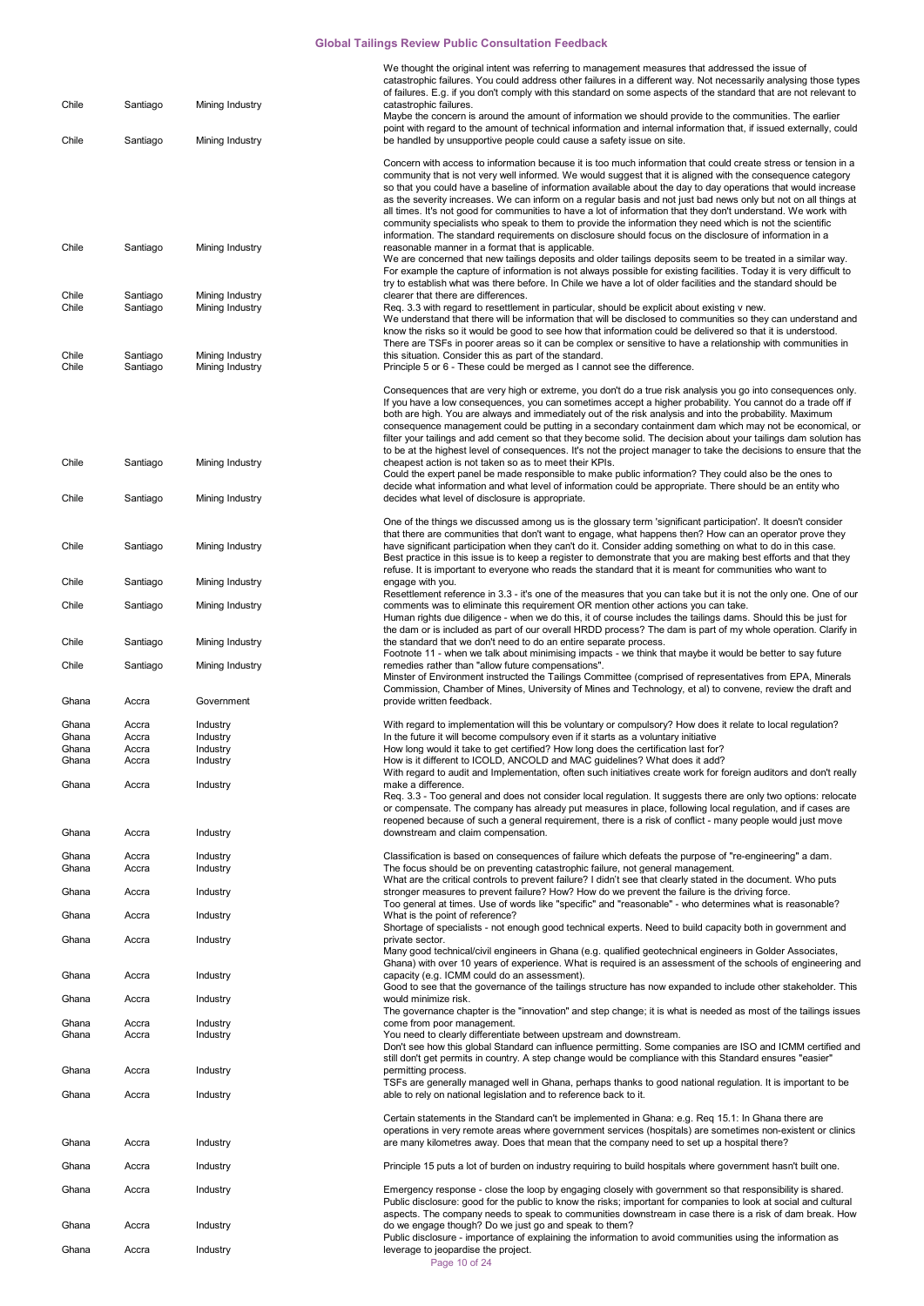| Chile                   | Santiago                | Mining Industry                    | We thought the original intent was referring to management measures that addressed the issue of<br>catastrophic failures. You could address other failures in a different way. Not necessarily analysing those types<br>of failures. E.g. if you don't comply with this standard on some aspects of the standard that are not relevant to<br>catastrophic failures.                                                                                                                                                                                                                                                                                                                                                                                                       |
|-------------------------|-------------------------|------------------------------------|---------------------------------------------------------------------------------------------------------------------------------------------------------------------------------------------------------------------------------------------------------------------------------------------------------------------------------------------------------------------------------------------------------------------------------------------------------------------------------------------------------------------------------------------------------------------------------------------------------------------------------------------------------------------------------------------------------------------------------------------------------------------------|
|                         |                         |                                    | Maybe the concern is around the amount of information we should provide to the communities. The earlier<br>point with regard to the amount of technical information and internal information that, if issued externally, could                                                                                                                                                                                                                                                                                                                                                                                                                                                                                                                                            |
| Chile                   | Santiago                | Mining Industry                    | be handled by unsupportive people could cause a safety issue on site.<br>Concern with access to information because it is too much information that could create stress or tension in a<br>community that is not very well informed. We would suggest that it is aligned with the consequence category<br>so that you could have a baseline of information available about the day to day operations that would increase<br>as the severity increases. We can inform on a regular basis and not just bad news only but not on all things at<br>all times. It's not good for communities to have a lot of information that they don't understand. We work with<br>community specialists who speak to them to provide the information they need which is not the scientific |
| Chile                   | Santiago                | Mining Industry                    | information. The standard requirements on disclosure should focus on the disclosure of information in a<br>reasonable manner in a format that is applicable.<br>We are concerned that new tailings deposits and older tailings deposits seem to be treated in a similar way.<br>For example the capture of information is not always possible for existing facilities. Today it is very difficult to<br>try to establish what was there before. In Chile we have a lot of older facilities and the standard should be                                                                                                                                                                                                                                                     |
| Chile<br>Chile          | Santiago<br>Santiago    | Mining Industry<br>Mining Industry | clearer that there are differences.<br>Req. 3.3 with regard to resettlement in particular, should be explicit about existing v new.<br>We understand that there will be information that will be disclosed to communities so they can understand and<br>know the risks so it would be good to see how that information could be delivered so that it is understood.<br>There are TSFs in poorer areas so it can be complex or sensitive to have a relationship with communities in                                                                                                                                                                                                                                                                                        |
| Chile<br>Chile          | Santiago<br>Santiago    | Mining Industry<br>Mining Industry | this situation. Consider this as part of the standard.<br>Principle 5 or 6 - These could be merged as I cannot see the difference.                                                                                                                                                                                                                                                                                                                                                                                                                                                                                                                                                                                                                                        |
| Chile                   | Santiago                | Mining Industry                    | Consequences that are very high or extreme, you don't do a true risk analysis you go into consequences only.<br>If you have a low consequences, you can sometimes accept a higher probability. You cannot do a trade off if<br>both are high. You are always and immediately out of the risk analysis and into the probability. Maximum<br>consequence management could be putting in a secondary containment dam which may not be economical, or<br>filter your tailings and add cement so that they become solid. The decision about your tailings dam solution has<br>to be at the highest level of consequences. It's not the project manager to take the decisions to ensure that the<br>cheapest action is not taken so as to meet their KPIs.                      |
| Chile                   | Santiago                | Mining Industry                    | Could the expert panel be made responsible to make public information? They could also be the ones to<br>decide what information and what level of information could be appropriate. There should be an entity who<br>decides what level of disclosure is appropriate.                                                                                                                                                                                                                                                                                                                                                                                                                                                                                                    |
| Chile                   | Santiago                | Mining Industry                    | One of the things we discussed among us is the glossary term 'significant participation'. It doesn't consider<br>that there are communities that don't want to engage, what happens then? How can an operator prove they<br>have significant participation when they can't do it. Consider adding something on what to do in this case.<br>Best practice in this issue is to keep a register to demonstrate that you are making best efforts and that they                                                                                                                                                                                                                                                                                                                |
| Chile                   | Santiago                | Mining Industry                    | refuse. It is important to everyone who reads the standard that it is meant for communities who want to<br>engage with you.<br>Resettlement reference in 3.3 - it's one of the measures that you can take but it is not the only one. One of our                                                                                                                                                                                                                                                                                                                                                                                                                                                                                                                          |
| Chile                   | Santiago                | Mining Industry                    | comments was to eliminate this requirement OR mention other actions you can take.<br>Human rights due diligence - when we do this, it of course includes the tailings dams. Should this be just for<br>the dam or is included as part of our overall HRDD process? The dam is part of my whole operation. Clarify in                                                                                                                                                                                                                                                                                                                                                                                                                                                      |
| Chile                   | Santiago                | Mining Industry                    | the standard that we don't need to do an entire separate process.<br>Footnote 11 - when we talk about minimising impacts - we think that maybe it would be better to say future                                                                                                                                                                                                                                                                                                                                                                                                                                                                                                                                                                                           |
| Chile                   | Santiago                | Mining Industry                    | remedies rather than "allow future compensations".<br>Minster of Environment instructed the Tailings Committee (comprised of representatives from EPA, Minerals<br>Commission, Chamber of Mines, University of Mines and Technology, et al) to convene, review the draft and                                                                                                                                                                                                                                                                                                                                                                                                                                                                                              |
| Ghana<br>Ghana          | Accra<br>Accra          | Government<br>Industry             | provide written feedback.<br>With regard to implementation will this be voluntary or compulsory? How does it relate to local regulation?                                                                                                                                                                                                                                                                                                                                                                                                                                                                                                                                                                                                                                  |
| Ghana<br>Ghana<br>Ghana | Accra<br>Accra<br>Accra | Industry<br>Industry<br>Industry   | In the future it will become compulsory even if it starts as a voluntary initiative<br>How long would it take to get certified? How long does the certification last for?<br>How is it different to ICOLD, ANCOLD and MAC quidelines? What does it add?                                                                                                                                                                                                                                                                                                                                                                                                                                                                                                                   |
| Ghana                   | Accra                   | Industry                           | With regard to audit and Implementation, often such initiatives create work for foreign auditors and don't really<br>make a difference.<br>Req. 3.3 - Too general and does not consider local regulation. It suggests there are only two options: relocate<br>or compensate. The company has already put measures in place, following local regulation, and if cases are                                                                                                                                                                                                                                                                                                                                                                                                  |
| Ghana                   | Accra                   | Industry                           | reopened because of such a general requirement, there is a risk of conflict - many people would just move<br>downstream and claim compensation.                                                                                                                                                                                                                                                                                                                                                                                                                                                                                                                                                                                                                           |
| Ghana<br>Ghana          | Accra<br>Accra          | Industry<br>Industry               | Classification is based on consequences of failure which defeats the purpose of "re-engineering" a dam.<br>The focus should be on preventing catastrophic failure, not general management.                                                                                                                                                                                                                                                                                                                                                                                                                                                                                                                                                                                |
| Ghana                   | Accra                   | Industry                           | What are the critical controls to prevent failure? I didn't see that clearly stated in the document. Who puts<br>stronger measures to prevent failure? How? How do we prevent the failure is the driving force.<br>Too general at times. Use of words like "specific" and "reasonable" - who determines what is reasonable?                                                                                                                                                                                                                                                                                                                                                                                                                                               |
| Ghana                   | Accra                   | Industry                           | What is the point of reference?<br>Shortage of specialists - not enough good technical experts. Need to build capacity both in government and                                                                                                                                                                                                                                                                                                                                                                                                                                                                                                                                                                                                                             |
| Ghana                   | Accra                   | Industry                           | private sector.<br>Many good technical/civil engineers in Ghana (e.g. qualified geotechnical engineers in Golder Associates,                                                                                                                                                                                                                                                                                                                                                                                                                                                                                                                                                                                                                                              |
| Ghana                   | Accra                   | Industry                           | Ghana) with over 10 years of experience. What is required is an assessment of the schools of engineering and<br>capacity (e.g. ICMM could do an assessment).<br>Good to see that the governance of the tailings structure has now expanded to include other stakeholder. This                                                                                                                                                                                                                                                                                                                                                                                                                                                                                             |
| Ghana                   | Accra                   | Industry                           | would minimize risk.<br>The governance chapter is the "innovation" and step change; it is what is needed as most of the tailings issues                                                                                                                                                                                                                                                                                                                                                                                                                                                                                                                                                                                                                                   |
| Ghana<br>Ghana          | Accra<br>Accra          | Industry<br>Industry               | come from poor management.<br>You need to clearly differentiate between upstream and downstream.<br>Don't see how this global Standard can influence permitting. Some companies are ISO and ICMM certified and                                                                                                                                                                                                                                                                                                                                                                                                                                                                                                                                                            |
| Ghana                   | Accra                   | Industry                           | still don't get permits in country. A step change would be compliance with this Standard ensures "easier"<br>permitting process.<br>TSFs are generally managed well in Ghana, perhaps thanks to good national regulation. It is important to be                                                                                                                                                                                                                                                                                                                                                                                                                                                                                                                           |
| Ghana                   | Accra                   | Industry                           | able to rely on national legislation and to reference back to it.                                                                                                                                                                                                                                                                                                                                                                                                                                                                                                                                                                                                                                                                                                         |
| Ghana                   | Accra                   | Industry                           | Certain statements in the Standard can't be implemented in Ghana: e.g. Req 15.1: In Ghana there are<br>operations in very remote areas where government services (hospitals) are sometimes non-existent or clinics<br>are many kilometres away. Does that mean that the company need to set up a hospital there?                                                                                                                                                                                                                                                                                                                                                                                                                                                          |
| Ghana                   | Accra                   | Industry                           | Principle 15 puts a lot of burden on industry requiring to build hospitals where government hasn't built one.                                                                                                                                                                                                                                                                                                                                                                                                                                                                                                                                                                                                                                                             |
| Ghana                   | Accra                   | Industry                           | Emergency response - close the loop by engaging closely with government so that responsibility is shared.<br>Public disclosure: good for the public to know the risks; important for companies to look at social and cultural                                                                                                                                                                                                                                                                                                                                                                                                                                                                                                                                             |
| Ghana                   | Accra                   | Industry                           | aspects. The company needs to speak to communities downstream in case there is a risk of dam break. How<br>do we engage though? Do we just go and speak to them?<br>Public disclosure - importance of explaining the information to avoid communities using the information as                                                                                                                                                                                                                                                                                                                                                                                                                                                                                            |
| Ghana                   | Accra                   | Industry                           | leverage to jeopardise the project.                                                                                                                                                                                                                                                                                                                                                                                                                                                                                                                                                                                                                                                                                                                                       |

Page 10 of 24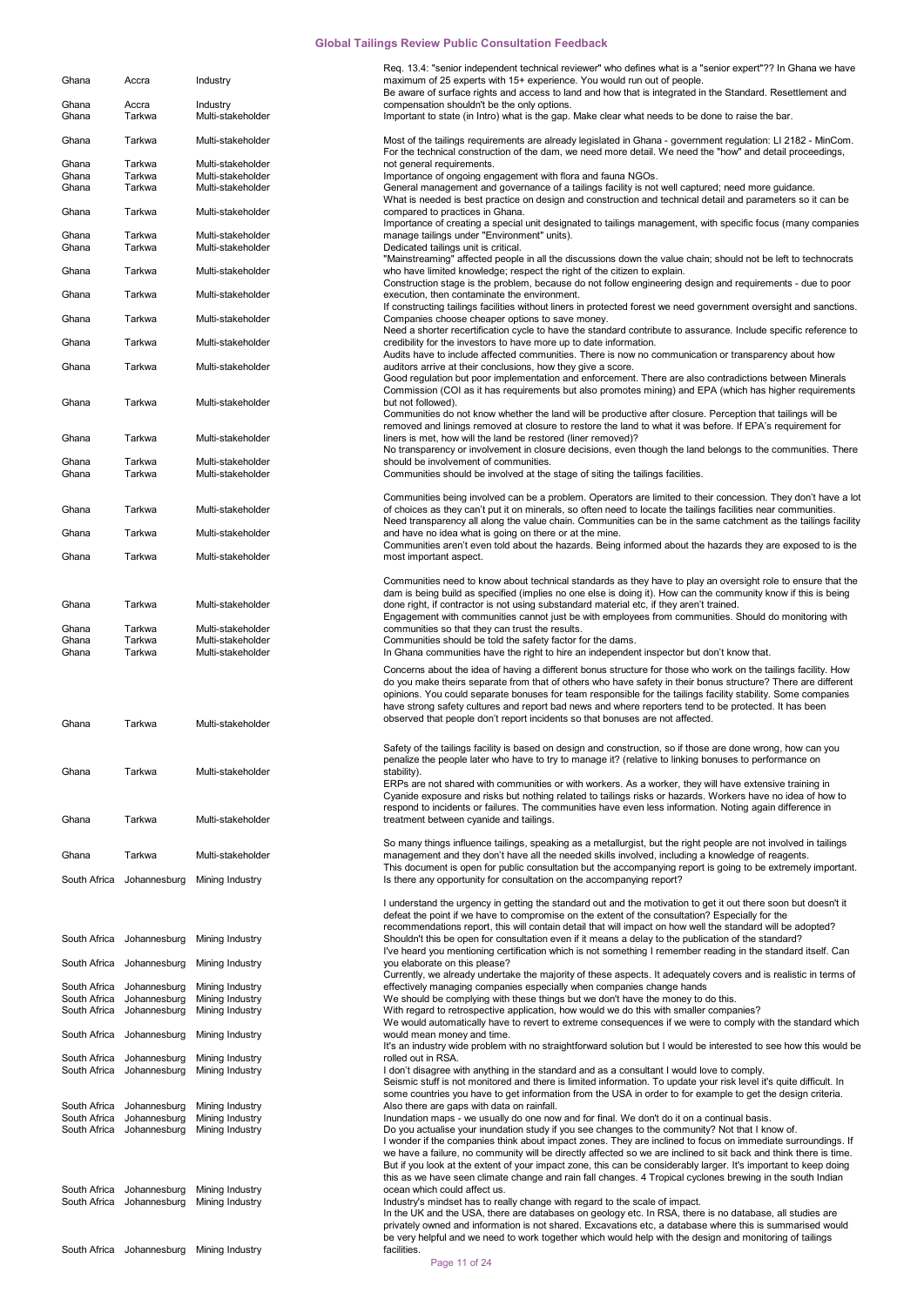|              |              |                              | Req. 13.4: "senior independent technical reviewer" who defines what is a "senior expert"?? In Ghana we have             |
|--------------|--------------|------------------------------|-------------------------------------------------------------------------------------------------------------------------|
| Ghana        | Accra        | Industry                     | maximum of 25 experts with 15+ experience. You would run out of people.                                                 |
|              |              |                              | Be aware of surface rights and access to land and how that is integrated in the Standard. Resettlement and              |
| Ghana        | Accra        | Industry                     | compensation shouldn't be the only options.                                                                             |
| Ghana        | Tarkwa       | Multi-stakeholder            | Important to state (in Intro) what is the gap. Make clear what needs to be done to raise the bar.                       |
|              |              |                              |                                                                                                                         |
| Ghana        | Tarkwa       | Multi-stakeholder            | Most of the tailings requirements are already legislated in Ghana - government regulation: LI 2182 - MinCom.            |
|              |              |                              | For the technical construction of the dam, we need more detail. We need the "how" and detail proceedings,               |
|              |              |                              |                                                                                                                         |
| Ghana        | Tarkwa       | Multi-stakeholder            | not general requirements.                                                                                               |
| Ghana        | Tarkwa       | Multi-stakeholder            | Importance of ongoing engagement with flora and fauna NGOs.                                                             |
| Ghana        | Tarkwa       | Multi-stakeholder            | General management and governance of a tailings facility is not well captured; need more guidance.                      |
|              |              |                              | What is needed is best practice on design and construction and technical detail and parameters so it can be             |
| Ghana        | Tarkwa       | Multi-stakeholder            | compared to practices in Ghana.                                                                                         |
|              |              |                              | Importance of creating a special unit designated to tailings management, with specific focus (many companies            |
| Ghana        | Tarkwa       | Multi-stakeholder            | manage tailings under "Environment" units).                                                                             |
| Ghana        | Tarkwa       | Multi-stakeholder            | Dedicated tailings unit is critical.                                                                                    |
|              |              |                              | "Mainstreaming" affected people in all the discussions down the value chain; should not be left to technocrats          |
| Ghana        | Tarkwa       | Multi-stakeholder            | who have limited knowledge; respect the right of the citizen to explain.                                                |
|              |              |                              | Construction stage is the problem, because do not follow engineering design and requirements - due to poor              |
| Ghana        | Tarkwa       | Multi-stakeholder            | execution, then contaminate the environment.                                                                            |
|              |              |                              | If constructing tailings facilities without liners in protected forest we need government oversight and sanctions.      |
| Ghana        | Tarkwa       | Multi-stakeholder            | Companies choose cheaper options to save money.                                                                         |
|              |              |                              |                                                                                                                         |
|              |              |                              | Need a shorter recertification cycle to have the standard contribute to assurance. Include specific reference to        |
| Ghana        | Tarkwa       | Multi-stakeholder            | credibility for the investors to have more up to date information.                                                      |
|              |              |                              | Audits have to include affected communities. There is now no communication or transparency about how                    |
| Ghana        | Tarkwa       | Multi-stakeholder            | auditors arrive at their conclusions, how they give a score.                                                            |
|              |              |                              | Good regulation but poor implementation and enforcement. There are also contradictions between Minerals                 |
|              |              |                              | Commission (COI as it has requirements but also promotes mining) and EPA (which has higher requirements                 |
| Ghana        | Tarkwa       | Multi-stakeholder            | but not followed).                                                                                                      |
|              |              |                              | Communities do not know whether the land will be productive after closure. Perception that tailings will be             |
|              |              |                              | removed and linings removed at closure to restore the land to what it was before. If EPA's requirement for              |
|              |              |                              |                                                                                                                         |
| Ghana        | Tarkwa       | Multi-stakeholder            | liners is met, how will the land be restored (liner removed)?                                                           |
|              |              |                              | No transparency or involvement in closure decisions, even though the land belongs to the communities. There             |
| Ghana        | Tarkwa       | Multi-stakeholder            | should be involvement of communities.                                                                                   |
| Ghana        | Tarkwa       | Multi-stakeholder            | Communities should be involved at the stage of siting the tailings facilities.                                          |
|              |              |                              |                                                                                                                         |
|              |              |                              | Communities being involved can be a problem. Operators are limited to their concession. They don't have a lot           |
| Ghana        | Tarkwa       | Multi-stakeholder            | of choices as they can't put it on minerals, so often need to locate the tailings facilities near communities.          |
|              |              |                              | Need transparency all along the value chain. Communities can be in the same catchment as the tailings facility          |
| Ghana        | Tarkwa       | Multi-stakeholder            | and have no idea what is going on there or at the mine.                                                                 |
|              |              |                              | Communities aren't even told about the hazards. Being informed about the hazards they are exposed to is the             |
|              | Tarkwa       | Multi-stakeholder            |                                                                                                                         |
| Ghana        |              |                              | most important aspect.                                                                                                  |
|              |              |                              |                                                                                                                         |
|              |              |                              | Communities need to know about technical standards as they have to play an oversight role to ensure that the            |
|              |              |                              | dam is being build as specified (implies no one else is doing it). How can the community know if this is being          |
| Ghana        | Tarkwa       | Multi-stakeholder            | done right, if contractor is not using substandard material etc, if they aren't trained.                                |
|              |              |                              | Engagement with communities cannot just be with employees from communities. Should do monitoring with                   |
| Ghana        | Tarkwa       | Multi-stakeholder            | communities so that they can trust the results.                                                                         |
| Ghana        | Tarkwa       | Multi-stakeholder            | Communities should be told the safety factor for the dams.                                                              |
| Ghana        | Tarkwa       | Multi-stakeholder            | In Ghana communities have the right to hire an independent inspector but don't know that.                               |
|              |              |                              |                                                                                                                         |
|              |              |                              | Concerns about the idea of having a different bonus structure for those who work on the tailings facility. How          |
|              |              |                              | do you make theirs separate from that of others who have safety in their bonus structure? There are different           |
|              |              |                              | opinions. You could separate bonuses for team responsible for the tailings facility stability. Some companies           |
|              |              |                              | have strong safety cultures and report bad news and where reporters tend to be protected. It has been                   |
|              |              |                              | observed that people don't report incidents so that bonuses are not affected.                                           |
| Ghana        | Tarkwa       | Multi-stakeholder            |                                                                                                                         |
|              |              |                              |                                                                                                                         |
|              |              |                              | Safety of the tailings facility is based on design and construction, so if those are done wrong, how can you            |
|              |              |                              | penalize the people later who have to try to manage it? (relative to linking bonuses to performance on                  |
| Ghana        | Tarkwa       | Multi-stakeholder            | stability).                                                                                                             |
|              |              |                              | ERPs are not shared with communities or with workers. As a worker, they will have extensive training in                 |
|              |              |                              | Cyanide exposure and risks but nothing related to tailings risks or hazards. Workers have no idea of how to             |
|              |              |                              | respond to incidents or failures. The communities have even less information. Noting again difference in                |
| Ghana        | Tarkwa       | Multi-stakeholder            | treatment between cyanide and tailings.                                                                                 |
|              |              |                              |                                                                                                                         |
|              |              |                              |                                                                                                                         |
|              |              |                              | So many things influence tailings, speaking as a metallurgist, but the right people are not involved in tailings        |
| Ghana        | Tarkwa       | Multi-stakeholder            | management and they don't have all the needed skills involved, including a knowledge of reagents.                       |
|              |              |                              | This document is open for public consultation but the accompanying report is going to be extremely important.           |
| South Africa | Johannesburg | Mining Industry              | Is there any opportunity for consultation on the accompanying report?                                                   |
|              |              |                              |                                                                                                                         |
|              |              |                              | I understand the urgency in getting the standard out and the motivation to get it out there soon but doesn't it         |
|              |              |                              | defeat the point if we have to compromise on the extent of the consultation? Especially for the                         |
|              |              |                              | recommendations report, this will contain detail that will impact on how well the standard will be adopted?             |
| South Africa | Johannesburg | Mining Industry              | Shouldn't this be open for consultation even if it means a delay to the publication of the standard?                    |
|              |              |                              |                                                                                                                         |
|              |              |                              | I've heard you mentioning certification which is not something I remember reading in the standard itself. Can           |
| South Africa | Johannesburg | Mining Industry              | you elaborate on this please?                                                                                           |
|              |              |                              | Currently, we already undertake the majority of these aspects. It adequately covers and is realistic in terms of        |
| South Africa | Johannesburg | Mining Industry              | effectively managing companies especially when companies change hands                                                   |
| South Africa | Johannesburg | Mining Industry              | We should be complying with these things but we don't have the money to do this.                                        |
| South Africa | Johannesburg | Mining Industry              | With regard to retrospective application, how would we do this with smaller companies?                                  |
|              |              |                              | We would automatically have to revert to extreme consequences if we were to comply with the standard which              |
| South Africa | Johannesburg | Mining Industry              | would mean money and time.                                                                                              |
|              |              |                              | It's an industry wide problem with no straightforward solution but I would be interested to see how this would be       |
| South Africa | Johannesburg | Mining Industry              | rolled out in RSA.                                                                                                      |
| South Africa | Johannesburg | Mining Industry              | I don't disagree with anything in the standard and as a consultant I would love to comply.                              |
|              |              |                              | Seismic stuff is not monitored and there is limited information. To update your risk level it's quite difficult. In     |
|              |              |                              | some countries you have to get information from the USA in order to for example to get the design criteria.             |
|              |              |                              |                                                                                                                         |
| South Africa | Johannesburg | Mining Industry              | Also there are gaps with data on rainfall.                                                                              |
| South Africa | Johannesburg | Mining Industry              | Inundation maps - we usually do one now and for final. We don't do it on a continual basis.                             |
| South Africa | Johannesburg | Mining Industry              | Do you actualise your inundation study if you see changes to the community? Not that I know of.                         |
|              |              |                              | I wonder if the companies think about impact zones. They are inclined to focus on immediate surroundings. If            |
|              |              |                              | we have a failure, no community will be directly affected so we are inclined to sit back and think there is time.       |
|              |              |                              | But if you look at the extent of your impact zone, this can be considerably larger. It's important to keep doing        |
|              |              |                              | this as we have seen climate change and rain fall changes. 4 Tropical cyclones brewing in the south Indian              |
| South Africa |              |                              |                                                                                                                         |
|              | Johannesburg | Mining Industry              | ocean which could affect us.                                                                                            |
| South Africa | Johannesburg | Mining Industry              | Industry's mindset has to really change with regard to the scale of impact.                                             |
|              |              |                              | In the UK and the USA, there are databases on geology etc. In RSA, there is no database, all studies are                |
|              |              |                              |                                                                                                                         |
|              |              |                              | privately owned and information is not shared. Excavations etc, a database where this is summarised would               |
| South Africa |              | Johannesburg Mining Industry | be very helpful and we need to work together which would help with the design and monitoring of tailings<br>facilities. |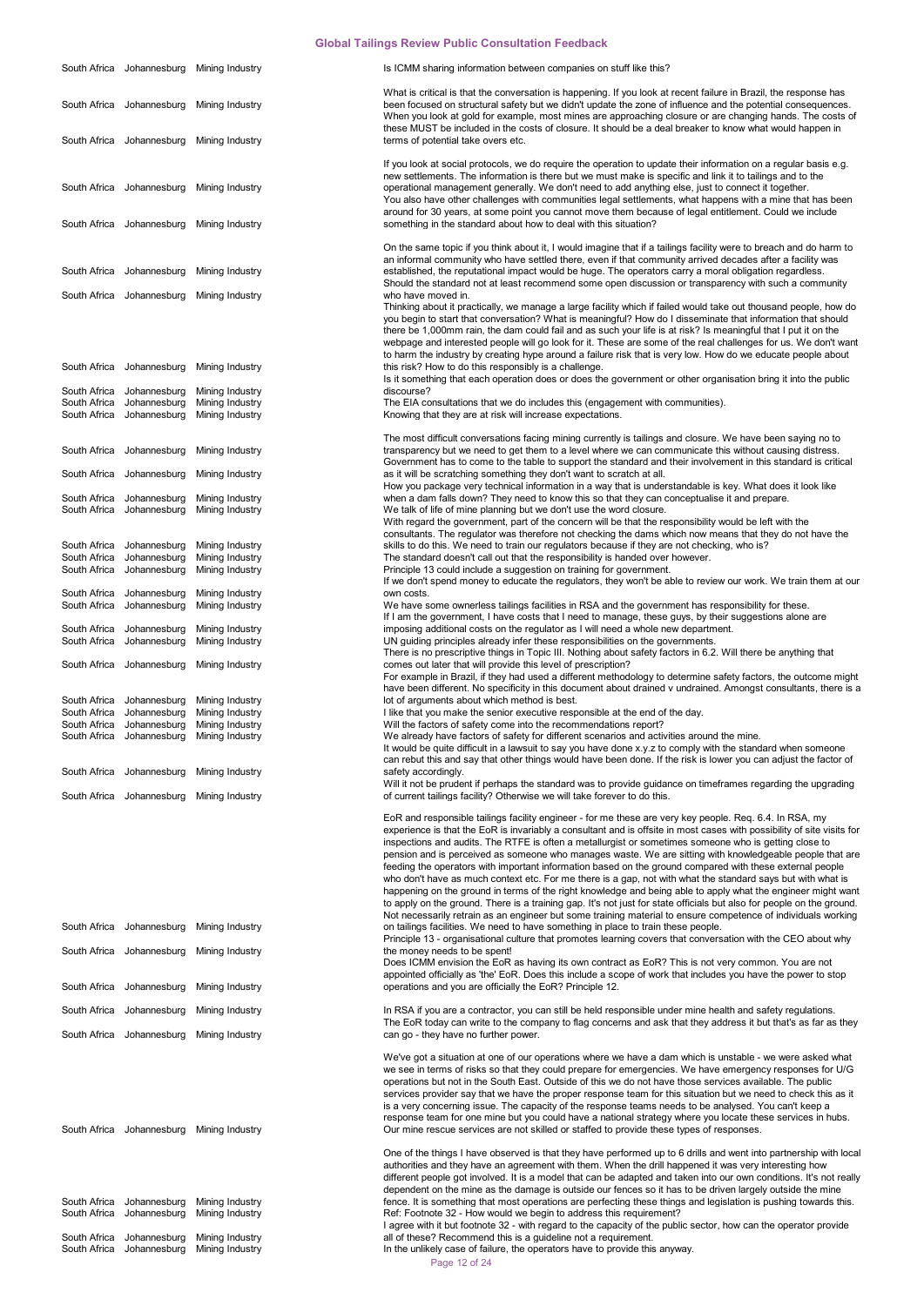|                                              |                                              | South Africa Johannesburg Mining Industry             | Is ICMM sharing information between companies on stuff like this?                                                                                                                                                                                                                                                                                                                                                                                                                                                                                                                                                                                                                                                                                                                                                                                                                                                                                                                                                                           |
|----------------------------------------------|----------------------------------------------|-------------------------------------------------------|---------------------------------------------------------------------------------------------------------------------------------------------------------------------------------------------------------------------------------------------------------------------------------------------------------------------------------------------------------------------------------------------------------------------------------------------------------------------------------------------------------------------------------------------------------------------------------------------------------------------------------------------------------------------------------------------------------------------------------------------------------------------------------------------------------------------------------------------------------------------------------------------------------------------------------------------------------------------------------------------------------------------------------------------|
|                                              | South Africa Johannesburg                    | Mining Industry                                       | What is critical is that the conversation is happening. If you look at recent failure in Brazil, the response has<br>been focused on structural safety but we didn't update the zone of influence and the potential consequences.<br>When you look at gold for example, most mines are approaching closure or are changing hands. The costs of<br>these MUST be included in the costs of closure. It should be a deal breaker to know what would happen in                                                                                                                                                                                                                                                                                                                                                                                                                                                                                                                                                                                  |
|                                              | South Africa Johannesburg                    | Mining Industry                                       | terms of potential take overs etc.                                                                                                                                                                                                                                                                                                                                                                                                                                                                                                                                                                                                                                                                                                                                                                                                                                                                                                                                                                                                          |
|                                              | South Africa Johannesburg                    | Mining Industry                                       | If you look at social protocols, we do require the operation to update their information on a regular basis e.g.<br>new settlements. The information is there but we must make is specific and link it to tailings and to the<br>operational management generally. We don't need to add anything else, just to connect it together.<br>You also have other challenges with communities legal settlements, what happens with a mine that has been<br>around for 30 years, at some point you cannot move them because of legal entitlement. Could we include                                                                                                                                                                                                                                                                                                                                                                                                                                                                                  |
|                                              | South Africa Johannesburg                    | Mining Industry                                       | something in the standard about how to deal with this situation?<br>On the same topic if you think about it, I would imagine that if a tailings facility were to breach and do harm to                                                                                                                                                                                                                                                                                                                                                                                                                                                                                                                                                                                                                                                                                                                                                                                                                                                      |
| South Africa                                 | Johannesburg                                 | Mining Industry                                       | an informal community who have settled there, even if that community arrived decades after a facility was<br>established, the reputational impact would be huge. The operators carry a moral obligation regardless.                                                                                                                                                                                                                                                                                                                                                                                                                                                                                                                                                                                                                                                                                                                                                                                                                         |
|                                              | South Africa Johannesburg                    | Mining Industry                                       | Should the standard not at least recommend some open discussion or transparency with such a community<br>who have moved in.<br>Thinking about it practically, we manage a large facility which if failed would take out thousand people, how do<br>you begin to start that conversation? What is meaningful? How do I disseminate that information that should<br>there be 1,000mm rain, the dam could fail and as such your life is at risk? Is meaningful that I put it on the<br>webpage and interested people will go look for it. These are some of the real challenges for us. We don't want<br>to harm the industry by creating hype around a failure risk that is very low. How do we educate people about                                                                                                                                                                                                                                                                                                                          |
| South Africa                                 | Johannesburg                                 | Mining Industry                                       | this risk? How to do this responsibly is a challenge.<br>Is it something that each operation does or does the government or other organisation bring it into the public                                                                                                                                                                                                                                                                                                                                                                                                                                                                                                                                                                                                                                                                                                                                                                                                                                                                     |
| South Africa<br>South Africa<br>South Africa | Johannesburg<br>Johannesburg<br>Johannesburg | Mining Industry<br>Mining Industry<br>Mining Industry | discourse?<br>The EIA consultations that we do includes this (engagement with communities).<br>Knowing that they are at risk will increase expectations.<br>The most difficult conversations facing mining currently is tailings and closure. We have been saying no to                                                                                                                                                                                                                                                                                                                                                                                                                                                                                                                                                                                                                                                                                                                                                                     |
| South Africa                                 | Johannesburg                                 | Mining Industry                                       | transparency but we need to get them to a level where we can communicate this without causing distress.<br>Government has to come to the table to support the standard and their involvement in this standard is critical                                                                                                                                                                                                                                                                                                                                                                                                                                                                                                                                                                                                                                                                                                                                                                                                                   |
| South Africa<br>South Africa                 | Johannesburg                                 | Mining Industry<br>Mining Industry                    | as it will be scratching something they don't want to scratch at all.<br>How you package very technical information in a way that is understandable is key. What does it look like<br>when a dam falls down? They need to know this so that they can conceptualise it and prepare.                                                                                                                                                                                                                                                                                                                                                                                                                                                                                                                                                                                                                                                                                                                                                          |
| South Africa                                 | Johannesburg<br>Johannesburg                 | Mining Industry                                       | We talk of life of mine planning but we don't use the word closure.<br>With regard the government, part of the concern will be that the responsibility would be left with the<br>consultants. The regulator was therefore not checking the dams which now means that they do not have the                                                                                                                                                                                                                                                                                                                                                                                                                                                                                                                                                                                                                                                                                                                                                   |
| South Africa<br>South Africa                 | Johannesburg<br>Johannesburg                 | Mining Industry<br>Mining Industry                    | skills to do this. We need to train our regulators because if they are not checking, who is?<br>The standard doesn't call out that the responsibility is handed over however.                                                                                                                                                                                                                                                                                                                                                                                                                                                                                                                                                                                                                                                                                                                                                                                                                                                               |
| South Africa                                 | Johannesburg                                 | Mining Industry                                       | Principle 13 could include a suggestion on training for government.<br>If we don't spend money to educate the regulators, they won't be able to review our work. We train them at our                                                                                                                                                                                                                                                                                                                                                                                                                                                                                                                                                                                                                                                                                                                                                                                                                                                       |
| South Africa<br>South Africa                 | Johannesburg<br>Johannesburg                 | Mining Industry<br>Mining Industry                    | own costs.<br>We have some ownerless tailings facilities in RSA and the government has responsibility for these.<br>If I am the government, I have costs that I need to manage, these guys, by their suggestions alone are                                                                                                                                                                                                                                                                                                                                                                                                                                                                                                                                                                                                                                                                                                                                                                                                                  |
| South Africa<br>South Africa                 | Johannesburg<br>Johannesburg                 | Mining Industry<br>Mining Industry                    | imposing additional costs on the regulator as I will need a whole new department.<br>UN guiding principles already infer these responsibilities on the governments.                                                                                                                                                                                                                                                                                                                                                                                                                                                                                                                                                                                                                                                                                                                                                                                                                                                                         |
|                                              | South Africa Johannesburg                    | Mining Industry                                       | There is no prescriptive things in Topic III. Nothing about safety factors in 6.2. Will there be anything that<br>comes out later that will provide this level of prescription?<br>For example in Brazil, if they had used a different methodology to determine safety factors, the outcome might<br>have been different. No specificity in this document about drained v undrained. Amongst consultants, there is a                                                                                                                                                                                                                                                                                                                                                                                                                                                                                                                                                                                                                        |
| South Africa                                 | Johannesburg                                 | Mining Industry                                       | lot of arguments about which method is best.                                                                                                                                                                                                                                                                                                                                                                                                                                                                                                                                                                                                                                                                                                                                                                                                                                                                                                                                                                                                |
| South Africa<br>South Africa                 | Johannesburg<br>Johannesburg                 | Mining Industry<br>Mining Industry                    | I like that you make the senior executive responsible at the end of the day.<br>Will the factors of safety come into the recommendations report?                                                                                                                                                                                                                                                                                                                                                                                                                                                                                                                                                                                                                                                                                                                                                                                                                                                                                            |
|                                              | South Africa Johannesburg                    | Mining Industry                                       | We already have factors of safety for different scenarios and activities around the mine.<br>It would be quite difficult in a lawsuit to say you have done x.y.z to comply with the standard when someone<br>can rebut this and say that other things would have been done. If the risk is lower you can adjust the factor of                                                                                                                                                                                                                                                                                                                                                                                                                                                                                                                                                                                                                                                                                                               |
|                                              | South Africa Johannesburg                    | Mining Industry                                       | safety accordingly.<br>Will it not be prudent if perhaps the standard was to provide guidance on timeframes regarding the upgrading                                                                                                                                                                                                                                                                                                                                                                                                                                                                                                                                                                                                                                                                                                                                                                                                                                                                                                         |
|                                              | South Africa Johannesburg                    | Mining Industry                                       | of current tailings facility? Otherwise we will take forever to do this.                                                                                                                                                                                                                                                                                                                                                                                                                                                                                                                                                                                                                                                                                                                                                                                                                                                                                                                                                                    |
|                                              |                                              |                                                       | EoR and responsible tailings facility engineer - for me these are very key people. Req. 6.4. In RSA, my<br>experience is that the EoR is invariably a consultant and is offsite in most cases with possibility of site visits for<br>inspections and audits. The RTFE is often a metallurgist or sometimes someone who is getting close to<br>pension and is perceived as someone who manages waste. We are sitting with knowledgeable people that are<br>feeding the operators with important information based on the ground compared with these external people<br>who don't have as much context etc. For me there is a gap, not with what the standard says but with what is<br>happening on the ground in terms of the right knowledge and being able to apply what the engineer might want<br>to apply on the ground. There is a training gap. It's not just for state officials but also for people on the ground.<br>Not necessarily retrain as an engineer but some training material to ensure competence of individuals working |
| South Africa                                 | Johannesburg                                 | Mining Industry                                       | on tailings facilities. We need to have something in place to train these people.<br>Principle 13 - organisational culture that promotes learning covers that conversation with the CEO about why                                                                                                                                                                                                                                                                                                                                                                                                                                                                                                                                                                                                                                                                                                                                                                                                                                           |
|                                              | South Africa Johannesburg                    | Mining Industry                                       | the money needs to be spent!<br>Does ICMM envision the EoR as having its own contract as EoR? This is not very common. You are not<br>appointed officially as 'the' EoR. Does this include a scope of work that includes you have the power to stop                                                                                                                                                                                                                                                                                                                                                                                                                                                                                                                                                                                                                                                                                                                                                                                         |
| South Africa                                 | Johannesburg                                 | Mining Industry                                       | operations and you are officially the EoR? Principle 12.                                                                                                                                                                                                                                                                                                                                                                                                                                                                                                                                                                                                                                                                                                                                                                                                                                                                                                                                                                                    |
| South Africa                                 | Johannesburg                                 | Mining Industry                                       | In RSA if you are a contractor, you can still be held responsible under mine health and safety regulations.                                                                                                                                                                                                                                                                                                                                                                                                                                                                                                                                                                                                                                                                                                                                                                                                                                                                                                                                 |
|                                              | South Africa Johannesburg                    | Mining Industry                                       | The EoR today can write to the company to flag concerns and ask that they address it but that's as far as they<br>can go - they have no further power.                                                                                                                                                                                                                                                                                                                                                                                                                                                                                                                                                                                                                                                                                                                                                                                                                                                                                      |
|                                              |                                              | South Africa Johannesburg Mining Industry             | We've got a situation at one of our operations where we have a dam which is unstable - we were asked what<br>we see in terms of risks so that they could prepare for emergencies. We have emergency responses for U/G<br>operations but not in the South East. Outside of this we do not have those services available. The public<br>services provider say that we have the proper response team for this situation but we need to check this as it<br>is a very concerning issue. The capacity of the response teams needs to be analysed. You can't keep a<br>response team for one mine but you could have a national strategy where you locate these services in hubs.<br>Our mine rescue services are not skilled or staffed to provide these types of responses.                                                                                                                                                                                                                                                                     |
| South Africa                                 | Johannesburg                                 | Mining Industry                                       | One of the things I have observed is that they have performed up to 6 drills and went into partnership with local<br>authorities and they have an agreement with them. When the drill happened it was very interesting how<br>different people got involved. It is a model that can be adapted and taken into our own conditions. It's not really<br>dependent on the mine as the damage is outside our fences so it has to be driven largely outside the mine<br>fence. It is something that most operations are perfecting these things and legislation is pushing towards this.                                                                                                                                                                                                                                                                                                                                                                                                                                                          |
| South Africa                                 | Johannesburg                                 | Mining Industry                                       | Ref: Footnote 32 - How would we begin to address this requirement?<br>I agree with it but footnote 32 - with regard to the capacity of the public sector, how can the operator provide                                                                                                                                                                                                                                                                                                                                                                                                                                                                                                                                                                                                                                                                                                                                                                                                                                                      |
| South Africa<br>South Africa                 | Johannesburg<br>Johannesburg                 | Mining Industry<br>Mining Industry                    | all of these? Recommend this is a guideline not a requirement.<br>In the unlikely case of failure, the operators have to provide this anyway.                                                                                                                                                                                                                                                                                                                                                                                                                                                                                                                                                                                                                                                                                                                                                                                                                                                                                               |

Page 12 of 24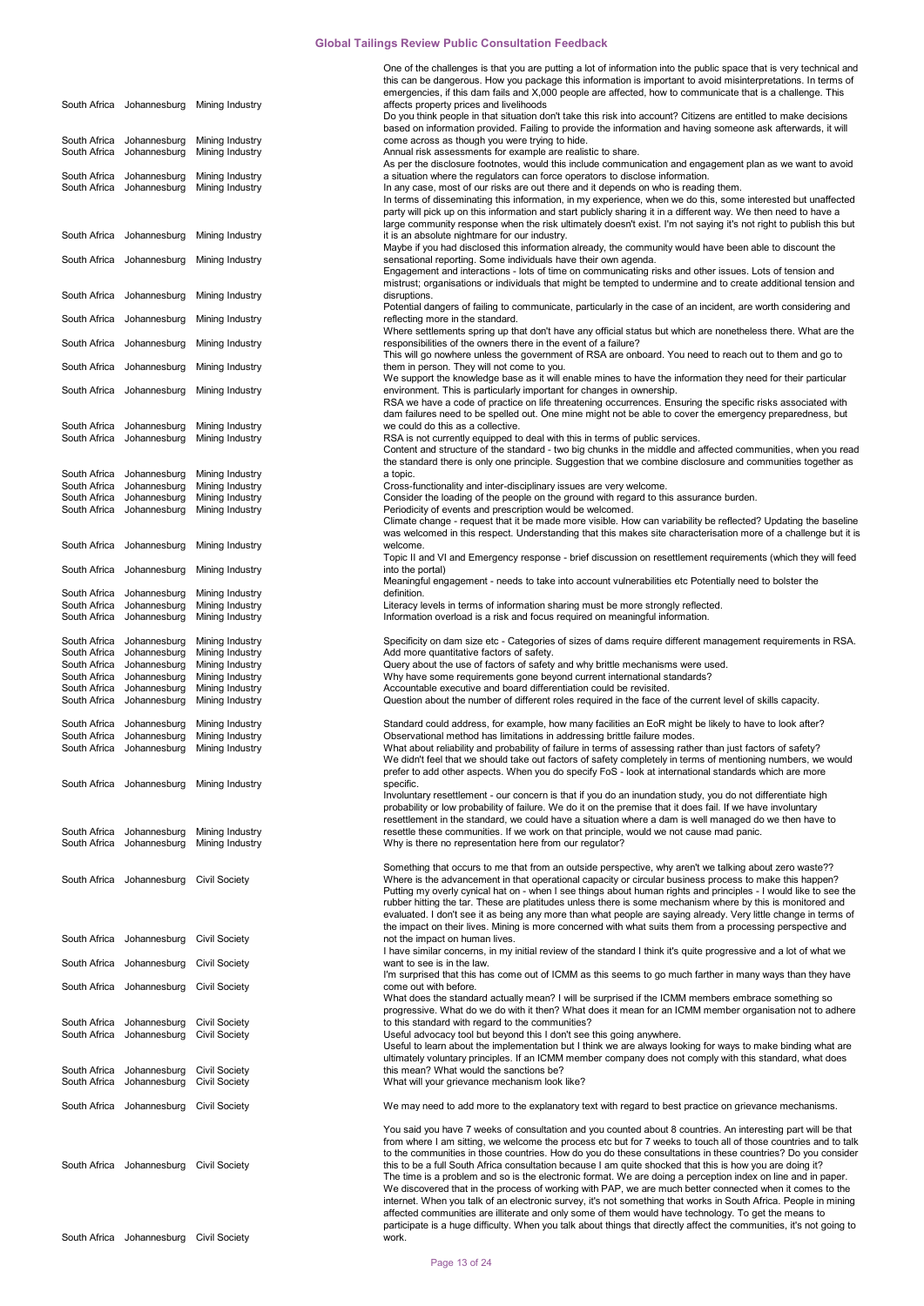One of the challenges is that you are putting a lot of information into the public space that is very technical and

|                              |                                                        |                                           | this can be dangerous. How you package this information is important to avoid misinterpretations. In terms of<br>emergencies, if this dam fails and X,000 people are affected, how to communicate that is a challenge. This      |
|------------------------------|--------------------------------------------------------|-------------------------------------------|----------------------------------------------------------------------------------------------------------------------------------------------------------------------------------------------------------------------------------|
|                              |                                                        | South Africa Johannesburg Mining Industry | affects property prices and livelihoods                                                                                                                                                                                          |
|                              |                                                        |                                           | Do you think people in that situation don't take this risk into account? Citizens are entitled to make decisions                                                                                                                 |
| South Africa                 |                                                        |                                           | based on information provided. Failing to provide the information and having someone ask afterwards, it will                                                                                                                     |
| South Africa                 | Johannesburg<br>Johannesburg                           | Mining Industry<br>Mining Industry        | come across as though you were trying to hide.<br>Annual risk assessments for example are realistic to share.                                                                                                                    |
|                              |                                                        |                                           | As per the disclosure footnotes, would this include communication and engagement plan as we want to avoid                                                                                                                        |
|                              | South Africa Johannesburg                              | Mining Industry                           | a situation where the regulators can force operators to disclose information.                                                                                                                                                    |
| South Africa                 | Johannesburg                                           | Mining Industry                           | In any case, most of our risks are out there and it depends on who is reading them.<br>In terms of disseminating this information, in my experience, when we do this, some interested but unaffected                             |
|                              |                                                        |                                           | party will pick up on this information and start publicly sharing it in a different way. We then need to have a                                                                                                                  |
|                              |                                                        |                                           | large community response when the risk ultimately doesn't exist. I'm not saying it's not right to publish this but                                                                                                               |
| South Africa                 | Johannesburg                                           | Mining Industry                           | it is an absolute nightmare for our industry.<br>Maybe if you had disclosed this information already, the community would have been able to discount the                                                                         |
|                              | South Africa Johannesburg                              | Mining Industry                           | sensational reporting. Some individuals have their own agenda.                                                                                                                                                                   |
|                              |                                                        |                                           | Engagement and interactions - lots of time on communicating risks and other issues. Lots of tension and                                                                                                                          |
|                              | South Africa Johannesburg                              | Mining Industry                           | mistrust; organisations or individuals that might be tempted to undermine and to create additional tension and<br>disruptions.                                                                                                   |
|                              |                                                        |                                           | Potential dangers of failing to communicate, particularly in the case of an incident, are worth considering and                                                                                                                  |
|                              | South Africa Johannesburg                              | Mining Industry                           | reflecting more in the standard.                                                                                                                                                                                                 |
| South Africa                 | Johannesburg                                           | Mining Industry                           | Where settlements spring up that don't have any official status but which are nonetheless there. What are the<br>responsibilities of the owners there in the event of a failure?                                                 |
|                              |                                                        |                                           | This will go nowhere unless the government of RSA are onboard. You need to reach out to them and go to                                                                                                                           |
| South Africa                 | Johannesburg                                           | Mining Industry                           | them in person. They will not come to you.                                                                                                                                                                                       |
|                              |                                                        |                                           | We support the knowledge base as it will enable mines to have the information they need for their particular<br>environment. This is particularly important for changes in ownership.                                            |
|                              | South Africa Johannesburg                              | Mining Industry                           | RSA we have a code of practice on life threatening occurrences. Ensuring the specific risks associated with                                                                                                                      |
|                              |                                                        |                                           | dam failures need to be spelled out. One mine might not be able to cover the emergency preparedness, but                                                                                                                         |
| South Africa                 | Johannesburg                                           | Mining Industry                           | we could do this as a collective.                                                                                                                                                                                                |
| South Africa                 | Johannesburg                                           | Mining Industry                           | RSA is not currently equipped to deal with this in terms of public services.<br>Content and structure of the standard - two big chunks in the middle and affected communities, when you read                                     |
|                              |                                                        |                                           | the standard there is only one principle. Suggestion that we combine disclosure and communities together as                                                                                                                      |
|                              | South Africa Johannesburg                              | Mining Industry                           | a topic.                                                                                                                                                                                                                         |
|                              | South Africa Johannesburg<br>South Africa Johannesburg | Mining Industry<br>Mining Industry        | Cross-functionality and inter-disciplinary issues are very welcome.<br>Consider the loading of the people on the ground with regard to this assurance burden.                                                                    |
|                              | South Africa Johannesburg                              | Mining Industry                           | Periodicity of events and prescription would be welcomed.                                                                                                                                                                        |
|                              |                                                        |                                           | Climate change - request that it be made more visible. How can variability be reflected? Updating the baseline                                                                                                                   |
|                              | South Africa Johannesburg                              | Mining Industry                           | was welcomed in this respect. Understanding that this makes site characterisation more of a challenge but it is<br>welcome.                                                                                                      |
|                              |                                                        |                                           | Topic II and VI and Emergency response - brief discussion on resettlement requirements (which they will feed                                                                                                                     |
|                              | South Africa Johannesburg                              | Mining Industry                           | into the portal)                                                                                                                                                                                                                 |
|                              | South Africa Johannesburg                              | Mining Industry                           | Meaningful engagement - needs to take into account vulnerabilities etc Potentially need to bolster the<br>definition.                                                                                                            |
|                              | South Africa Johannesburg                              | Mining Industry                           | Literacy levels in terms of information sharing must be more strongly reflected.                                                                                                                                                 |
| South Africa                 | Johannesburg                                           | Mining Industry                           | Information overload is a risk and focus required on meaningful information.                                                                                                                                                     |
|                              | South Africa Johannesburg                              | Mining Industry                           | Specificity on dam size etc - Categories of sizes of dams require different management requirements in RSA.                                                                                                                      |
|                              | South Africa Johannesburg                              | Mining Industry                           | Add more quantitative factors of safety.                                                                                                                                                                                         |
|                              | South Africa Johannesburg                              | Mining Industry                           | Query about the use of factors of safety and why brittle mechanisms were used.                                                                                                                                                   |
|                              | South Africa Johannesburg                              | Mining Industry                           | Why have some requirements gone beyond current international standards?<br>Accountable executive and board differentiation could be revisited.                                                                                   |
|                              | South Africa Johannesburg<br>South Africa Johannesburg | Mining Industry<br>Mining Industry        | Question about the number of different roles required in the face of the current level of skills capacity.                                                                                                                       |
|                              |                                                        |                                           |                                                                                                                                                                                                                                  |
|                              | South Africa Johannesburg<br>Johannesburg              | Mining Industry                           | Standard could address, for example, how many facilities an EoR might be likely to have to look after?                                                                                                                           |
| South Africa                 | South Africa Johannesburg                              | Mining Industry<br>Mining Industry        | Observational method has limitations in addressing brittle failure modes.<br>What about reliability and probability of failure in terms of assessing rather than just factors of safety?                                         |
|                              |                                                        |                                           | We didn't feel that we should take out factors of safety completely in terms of mentioning numbers, we would                                                                                                                     |
|                              |                                                        |                                           | prefer to add other aspects. When you do specify FoS - look at international standards which are more                                                                                                                            |
|                              |                                                        | South Africa Johannesburg Mining Industry | specific.<br>Involuntary resettlement - our concern is that if you do an inundation study, you do not differentiate high                                                                                                         |
|                              |                                                        |                                           | probability or low probability of failure. We do it on the premise that it does fail. If we have involuntary                                                                                                                     |
|                              |                                                        |                                           | resettlement in the standard, we could have a situation where a dam is well managed do we then have to                                                                                                                           |
| South Africa<br>South Africa | Johannesburg<br>Johannesburg                           | Mining Industry<br>Mining Industry        | resettle these communities. If we work on that principle, would we not cause mad panic.<br>Why is there no representation here from our regulator?                                                                               |
|                              |                                                        |                                           |                                                                                                                                                                                                                                  |
|                              |                                                        |                                           | Something that occurs to me that from an outside perspective, why aren't we talking about zero waste??                                                                                                                           |
|                              | South Africa Johannesburg Civil Society                |                                           | Where is the advancement in that operational capacity or circular business process to make this happen?<br>Putting my overly cynical hat on - when I see things about human rights and principles - I would like to see the      |
|                              |                                                        |                                           | rubber hitting the tar. These are platitudes unless there is some mechanism where by this is monitored and                                                                                                                       |
|                              |                                                        |                                           | evaluated. I don't see it as being any more than what people are saying already. Very little change in terms of                                                                                                                  |
|                              | South Africa Johannesburg                              | <b>Civil Society</b>                      | the impact on their lives. Mining is more concerned with what suits them from a processing perspective and<br>not the impact on human lives.                                                                                     |
|                              |                                                        |                                           | I have similar concerns, in my initial review of the standard I think it's quite progressive and a lot of what we                                                                                                                |
|                              | South Africa Johannesburg                              | <b>Civil Society</b>                      | want to see is in the law.                                                                                                                                                                                                       |
|                              |                                                        |                                           | I'm surprised that this has come out of ICMM as this seems to go much farther in many ways than they have                                                                                                                        |
|                              | South Africa Johannesburg                              | <b>Civil Society</b>                      | come out with before.<br>What does the standard actually mean? I will be surprised if the ICMM members embrace something so                                                                                                      |
|                              |                                                        |                                           | progressive. What do we do with it then? What does it mean for an ICMM member organisation not to adhere                                                                                                                         |
| South Africa                 | Johannesburg                                           | <b>Civil Society</b>                      | to this standard with regard to the communities?                                                                                                                                                                                 |
| South Africa                 | Johannesburg                                           | <b>Civil Society</b>                      | Useful advocacy tool but beyond this I don't see this going anywhere.<br>Useful to learn about the implementation but I think we are always looking for ways to make binding what are                                            |
|                              |                                                        |                                           | ultimately voluntary principles. If an ICMM member company does not comply with this standard, what does                                                                                                                         |
| South Africa                 | Johannesburg                                           | <b>Civil Society</b>                      | this mean? What would the sanctions be?                                                                                                                                                                                          |
| South Africa                 | Johannesburg                                           | <b>Civil Society</b>                      | What will your grievance mechanism look like?                                                                                                                                                                                    |
|                              | South Africa Johannesburg                              | <b>Civil Society</b>                      | We may need to add more to the explanatory text with regard to best practice on grievance mechanisms.                                                                                                                            |
|                              |                                                        |                                           |                                                                                                                                                                                                                                  |
|                              |                                                        |                                           | You said you have 7 weeks of consultation and you counted about 8 countries. An interesting part will be that<br>from where I am sitting, we welcome the process etc but for 7 weeks to touch all of those countries and to talk |
|                              |                                                        |                                           | to the communities in those countries. How do you do these consultations in these countries? Do you consider                                                                                                                     |
|                              | South Africa Johannesburg Civil Society                |                                           | this to be a full South Africa consultation because I am quite shocked that this is how you are doing it?                                                                                                                        |
|                              |                                                        |                                           | The time is a problem and so is the electronic format. We are doing a perception index on line and in paper.<br>We discovered that in the process of working with PAP, we are much better connected when it comes to the         |
|                              |                                                        |                                           | internet. When you talk of an electronic survey, it's not something that works in South Africa. People in mining                                                                                                                 |
|                              |                                                        |                                           | affected communities are illiterate and only some of them would have technology. To get the means to                                                                                                                             |
|                              | South Africa Johannesburg Civil Society                |                                           | participate is a huge difficulty. When you talk about things that directly affect the communities, it's not going to<br>work.                                                                                                    |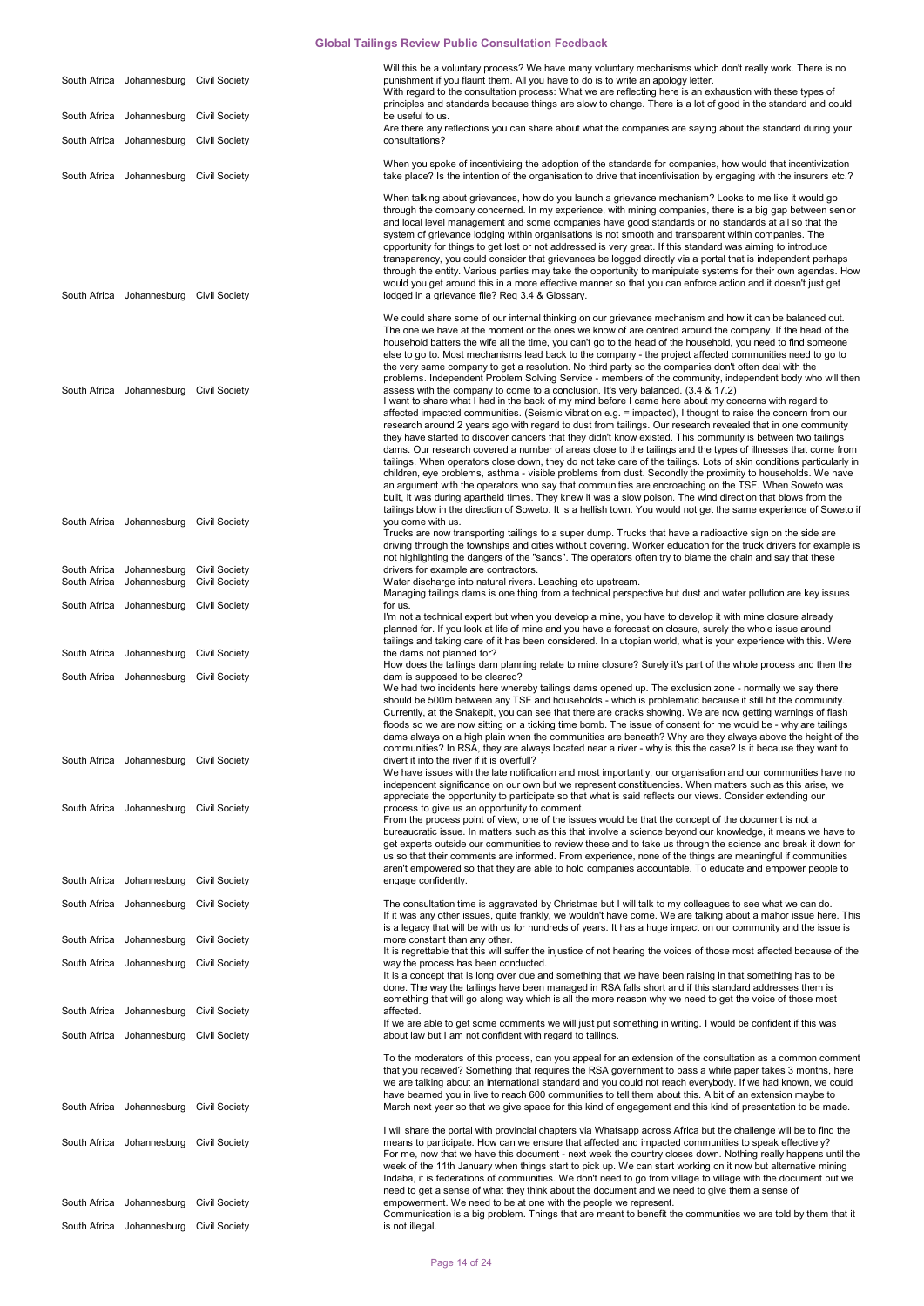|                              | South Africa Johannesburg Civil Society                |                                              | Will this be a voluntary process? We have many voluntary mechanisms which don't really work. There is no<br>punishment if you flaunt them. All you have to do is to write an apology letter.<br>With regard to the consultation process: What we are reflecting here is an exhaustion with these types of<br>principles and standards because things are slow to change. There is a lot of good in the standard and could                                                                                                                                                                                                                                                                                                                                                                                                                                                                                                                                                                                                                                                                                                                                                                                                                |
|------------------------------|--------------------------------------------------------|----------------------------------------------|------------------------------------------------------------------------------------------------------------------------------------------------------------------------------------------------------------------------------------------------------------------------------------------------------------------------------------------------------------------------------------------------------------------------------------------------------------------------------------------------------------------------------------------------------------------------------------------------------------------------------------------------------------------------------------------------------------------------------------------------------------------------------------------------------------------------------------------------------------------------------------------------------------------------------------------------------------------------------------------------------------------------------------------------------------------------------------------------------------------------------------------------------------------------------------------------------------------------------------------|
|                              | South Africa Johannesburg                              | <b>Civil Society</b>                         | be useful to us.<br>Are there any reflections you can share about what the companies are saying about the standard during your                                                                                                                                                                                                                                                                                                                                                                                                                                                                                                                                                                                                                                                                                                                                                                                                                                                                                                                                                                                                                                                                                                           |
|                              | South Africa Johannesburg                              | <b>Civil Society</b>                         | consultations?                                                                                                                                                                                                                                                                                                                                                                                                                                                                                                                                                                                                                                                                                                                                                                                                                                                                                                                                                                                                                                                                                                                                                                                                                           |
|                              | South Africa Johannesburg Civil Society                |                                              | When you spoke of incentivising the adoption of the standards for companies, how would that incentivization<br>take place? Is the intention of the organisation to drive that incentivisation by engaging with the insurers etc.?                                                                                                                                                                                                                                                                                                                                                                                                                                                                                                                                                                                                                                                                                                                                                                                                                                                                                                                                                                                                        |
|                              | South Africa Johannesburg                              | Civil Society                                | When talking about grievances, how do you launch a grievance mechanism? Looks to me like it would go<br>through the company concerned. In my experience, with mining companies, there is a big gap between senior<br>and local level management and some companies have good standards or no standards at all so that the<br>system of grievance lodging within organisations is not smooth and transparent within companies. The<br>opportunity for things to get lost or not addressed is very great. If this standard was aiming to introduce<br>transparency, you could consider that grievances be logged directly via a portal that is independent perhaps<br>through the entity. Various parties may take the opportunity to manipulate systems for their own agendas. How<br>would you get around this in a more effective manner so that you can enforce action and it doesn't just get<br>lodged in a grievance file? Req 3.4 & Glossary.                                                                                                                                                                                                                                                                                      |
|                              |                                                        |                                              | We could share some of our internal thinking on our grievance mechanism and how it can be balanced out.<br>The one we have at the moment or the ones we know of are centred around the company. If the head of the<br>household batters the wife all the time, you can't go to the head of the household, you need to find someone<br>else to go to. Most mechanisms lead back to the company - the project affected communities need to go to<br>the very same company to get a resolution. No third party so the companies don't often deal with the<br>problems. Independent Problem Solving Service - members of the community, independent body who will then                                                                                                                                                                                                                                                                                                                                                                                                                                                                                                                                                                       |
|                              | South Africa Johannesburg Civil Society                |                                              | assess with the company to come to a conclusion. It's very balanced. (3.4 & 17.2)<br>I want to share what I had in the back of my mind before I came here about my concerns with regard to<br>affected impacted communities. (Seismic vibration e.g. = impacted), I thought to raise the concern from our<br>research around 2 years ago with regard to dust from tailings. Our research revealed that in one community<br>they have started to discover cancers that they didn't know existed. This community is between two tailings<br>dams. Our research covered a number of areas close to the tailings and the types of illnesses that come from<br>tailings. When operators close down, they do not take care of the tailings. Lots of skin conditions particularly in<br>children, eye problems, asthma - visible problems from dust. Secondly the proximity to households. We have<br>an argument with the operators who say that communities are encroaching on the TSF. When Soweto was<br>built, it was during apartheid times. They knew it was a slow poison. The wind direction that blows from the<br>tailings blow in the direction of Soweto. It is a hellish town. You would not get the same experience of Soweto if |
|                              | South Africa Johannesburg Civil Society                |                                              | you come with us.<br>Trucks are now transporting tailings to a super dump. Trucks that have a radioactive sign on the side are<br>driving through the townships and cities without covering. Worker education for the truck drivers for example is<br>not highlighting the dangers of the "sands". The operators often try to blame the chain and say that these                                                                                                                                                                                                                                                                                                                                                                                                                                                                                                                                                                                                                                                                                                                                                                                                                                                                         |
| South Africa<br>South Africa | Johannesburg<br>Johannesburg                           | <b>Civil Society</b><br><b>Civil Society</b> | drivers for example are contractors.<br>Water discharge into natural rivers. Leaching etc upstream.                                                                                                                                                                                                                                                                                                                                                                                                                                                                                                                                                                                                                                                                                                                                                                                                                                                                                                                                                                                                                                                                                                                                      |
|                              | South Africa Johannesburg                              | <b>Civil Society</b>                         | Managing tailings dams is one thing from a technical perspective but dust and water pollution are key issues<br>for us.<br>I'm not a technical expert but when you develop a mine, you have to develop it with mine closure already<br>planned for. If you look at life of mine and you have a forecast on closure, surely the whole issue around                                                                                                                                                                                                                                                                                                                                                                                                                                                                                                                                                                                                                                                                                                                                                                                                                                                                                        |
|                              | South Africa Johannesburg                              | <b>Civil Society</b>                         | tailings and taking care of it has been considered. In a utopian world, what is your experience with this. Were<br>the dams not planned for?                                                                                                                                                                                                                                                                                                                                                                                                                                                                                                                                                                                                                                                                                                                                                                                                                                                                                                                                                                                                                                                                                             |
|                              | South Africa Johannesburg                              | Civil Society                                | How does the tailings dam planning relate to mine closure? Surely it's part of the whole process and then the<br>dam is supposed to be cleared?                                                                                                                                                                                                                                                                                                                                                                                                                                                                                                                                                                                                                                                                                                                                                                                                                                                                                                                                                                                                                                                                                          |
|                              | South Africa Johannesburg Civil Society                |                                              | We had two incidents here whereby tailings dams opened up. The exclusion zone - normally we say there<br>should be 500m between any TSF and households - which is problematic because it still hit the community.<br>Currently, at the Snakepit, you can see that there are cracks showing. We are now getting warnings of flash<br>floods so we are now sitting on a ticking time bomb. The issue of consent for me would be - why are tailings<br>dams always on a high plain when the communities are beneath? Why are they always above the height of the<br>communities? In RSA, they are always located near a river - why is this the case? Is it because they want to<br>divert it into the river if it is overfull?<br>We have issues with the late notification and most importantly, our organisation and our communities have no<br>independent significance on our own but we represent constituencies. When matters such as this arise, we                                                                                                                                                                                                                                                                                 |
|                              | South Africa Johannesburg Civil Society                |                                              | appreciate the opportunity to participate so that what is said reflects our views. Consider extending our<br>process to give us an opportunity to comment.<br>From the process point of view, one of the issues would be that the concept of the document is not a<br>bureaucratic issue. In matters such as this that involve a science beyond our knowledge, it means we have to<br>get experts outside our communities to review these and to take us through the science and break it down for<br>us so that their comments are informed. From experience, none of the things are meaningful if communities<br>aren't empowered so that they are able to hold companies accountable. To educate and empower people to                                                                                                                                                                                                                                                                                                                                                                                                                                                                                                                |
|                              | South Africa Johannesburg                              | <b>Civil Society</b>                         | engage confidently.                                                                                                                                                                                                                                                                                                                                                                                                                                                                                                                                                                                                                                                                                                                                                                                                                                                                                                                                                                                                                                                                                                                                                                                                                      |
|                              | South Africa Johannesburg<br>South Africa Johannesburg | Civil Society<br><b>Civil Society</b>        | The consultation time is aggravated by Christmas but I will talk to my colleagues to see what we can do.<br>If it was any other issues, quite frankly, we wouldn't have come. We are talking about a mahor issue here. This<br>is a legacy that will be with us for hundreds of years. It has a huge impact on our community and the issue is<br>more constant than any other.                                                                                                                                                                                                                                                                                                                                                                                                                                                                                                                                                                                                                                                                                                                                                                                                                                                           |
|                              |                                                        |                                              | It is regrettable that this will suffer the injustice of not hearing the voices of those most affected because of the                                                                                                                                                                                                                                                                                                                                                                                                                                                                                                                                                                                                                                                                                                                                                                                                                                                                                                                                                                                                                                                                                                                    |
|                              | South Africa Johannesburg                              | <b>Civil Society</b>                         | way the process has been conducted.<br>It is a concept that is long over due and something that we have been raising in that something has to be<br>done. The way the tailings have been managed in RSA falls short and if this standard addresses them is<br>something that will go along way which is all the more reason why we need to get the voice of those most                                                                                                                                                                                                                                                                                                                                                                                                                                                                                                                                                                                                                                                                                                                                                                                                                                                                   |
|                              | South Africa Johannesburg                              | <b>Civil Society</b>                         | affected.<br>If we are able to get some comments we will just put something in writing. I would be confident if this was                                                                                                                                                                                                                                                                                                                                                                                                                                                                                                                                                                                                                                                                                                                                                                                                                                                                                                                                                                                                                                                                                                                 |
|                              | South Africa Johannesburg Civil Society                |                                              | about law but I am not confident with regard to tailings.                                                                                                                                                                                                                                                                                                                                                                                                                                                                                                                                                                                                                                                                                                                                                                                                                                                                                                                                                                                                                                                                                                                                                                                |
|                              | South Africa Johannesburg Civil Society                |                                              | To the moderators of this process, can you appeal for an extension of the consultation as a common comment<br>that you received? Something that requires the RSA government to pass a white paper takes 3 months, here<br>we are talking about an international standard and you could not reach everybody. If we had known, we could<br>have beamed you in live to reach 600 communities to tell them about this. A bit of an extension maybe to<br>March next year so that we give space for this kind of engagement and this kind of presentation to be made.                                                                                                                                                                                                                                                                                                                                                                                                                                                                                                                                                                                                                                                                         |
|                              | South Africa Johannesburg Civil Society                |                                              | I will share the portal with provincial chapters via Whatsapp across Africa but the challenge will be to find the<br>means to participate. How can we ensure that affected and impacted communities to speak effectively?<br>For me, now that we have this document - next week the country closes down. Nothing really happens until the<br>week of the 11th January when things start to pick up. We can start working on it now but alternative mining<br>Indaba, it is federations of communities. We don't need to go from village to village with the document but we                                                                                                                                                                                                                                                                                                                                                                                                                                                                                                                                                                                                                                                              |
|                              | South Africa Johannesburg Civil Society                |                                              | need to get a sense of what they think about the document and we need to give them a sense of<br>empowerment. We need to be at one with the people we represent.                                                                                                                                                                                                                                                                                                                                                                                                                                                                                                                                                                                                                                                                                                                                                                                                                                                                                                                                                                                                                                                                         |
|                              | South Africa Johannesburg Civil Society                |                                              | Communication is a big problem. Things that are meant to benefit the communities we are told by them that it<br>is not illegal.                                                                                                                                                                                                                                                                                                                                                                                                                                                                                                                                                                                                                                                                                                                                                                                                                                                                                                                                                                                                                                                                                                          |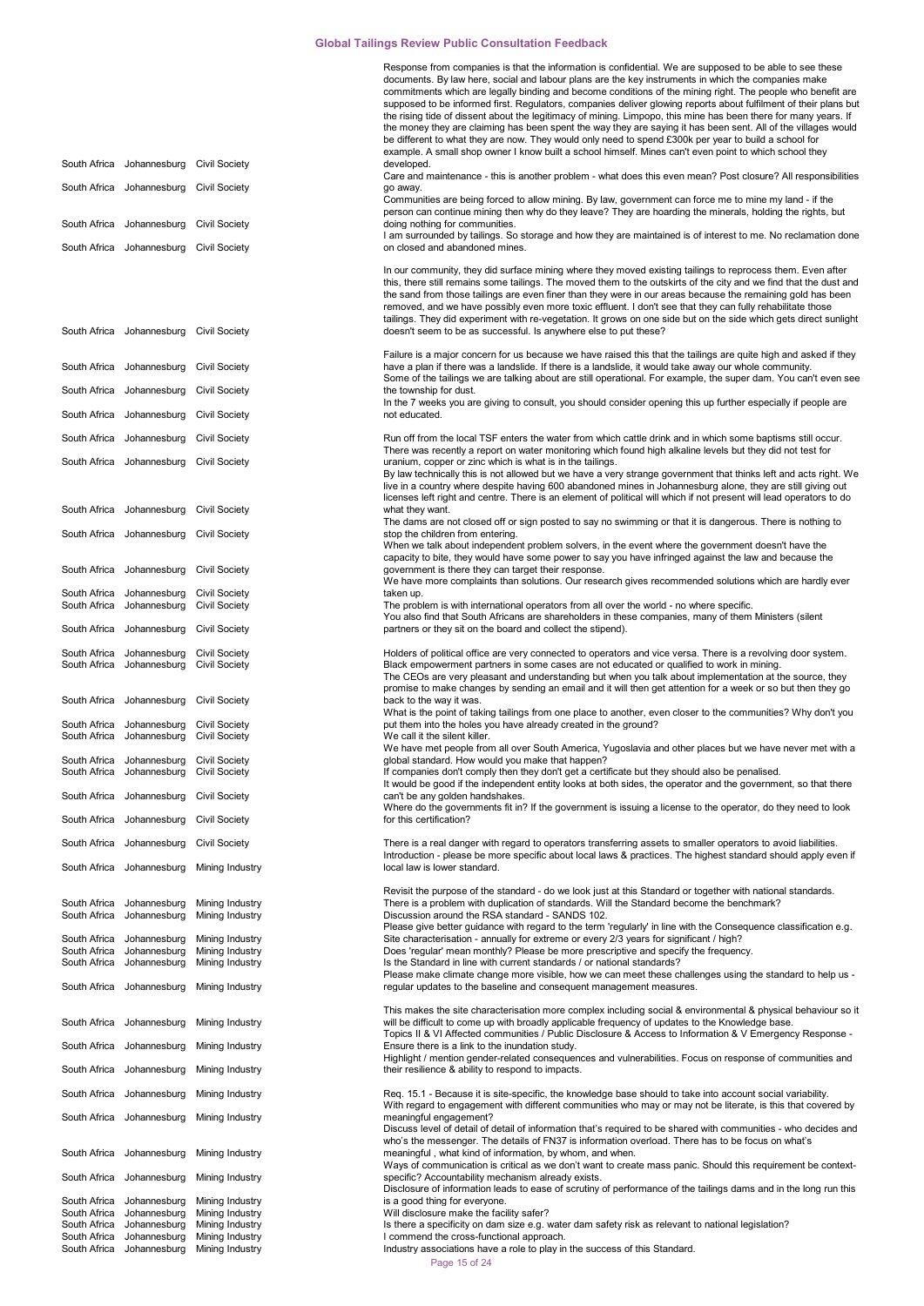|                              |                                                        |                                              | Response from companies is that the information is confidential. We are supposed to be able to see these                                                                                                                         |
|------------------------------|--------------------------------------------------------|----------------------------------------------|----------------------------------------------------------------------------------------------------------------------------------------------------------------------------------------------------------------------------------|
|                              |                                                        |                                              | documents. By law here, social and labour plans are the key instruments in which the companies make<br>commitments which are legally binding and become conditions of the mining right. The people who benefit are               |
|                              |                                                        |                                              | supposed to be informed first. Regulators, companies deliver glowing reports about fulfilment of their plans but                                                                                                                 |
|                              |                                                        |                                              | the rising tide of dissent about the legitimacy of mining. Limpopo, this mine has been there for many years. If                                                                                                                  |
|                              |                                                        |                                              | the money they are claiming has been spent the way they are saying it has been sent. All of the villages would<br>be different to what they are now. They would only need to spend £300k per year to build a school for          |
|                              |                                                        |                                              | example. A small shop owner I know built a school himself. Mines can't even point to which school they                                                                                                                           |
|                              | South Africa Johannesburg Civil Society                |                                              | developed.                                                                                                                                                                                                                       |
|                              | South Africa Johannesburg Civil Society                |                                              | Care and maintenance - this is another problem - what does this even mean? Post closure? All responsibilities<br>go away.                                                                                                        |
|                              |                                                        |                                              | Communities are being forced to allow mining. By law, government can force me to mine my land - if the                                                                                                                           |
|                              |                                                        |                                              | person can continue mining then why do they leave? They are hoarding the minerals, holding the rights, but                                                                                                                       |
|                              | South Africa Johannesburg Civil Society                |                                              | doing nothing for communities.<br>I am surrounded by tailings. So storage and how they are maintained is of interest to me. No reclamation done                                                                                  |
|                              | South Africa Johannesburg Civil Society                |                                              | on closed and abandoned mines.                                                                                                                                                                                                   |
|                              |                                                        |                                              |                                                                                                                                                                                                                                  |
|                              |                                                        |                                              | In our community, they did surface mining where they moved existing tailings to reprocess them. Even after<br>this, there still remains some tailings. The moved them to the outskirts of the city and we find that the dust and |
|                              |                                                        |                                              | the sand from those tailings are even finer than they were in our areas because the remaining gold has been                                                                                                                      |
|                              |                                                        |                                              | removed, and we have possibly even more toxic effluent. I don't see that they can fully rehabilitate those                                                                                                                       |
|                              | South Africa Johannesburg Civil Society                |                                              | tailings. They did experiment with re-vegetation. It grows on one side but on the side which gets direct sunlight<br>doesn't seem to be as successful. Is anywhere else to put these?                                            |
|                              |                                                        |                                              |                                                                                                                                                                                                                                  |
|                              |                                                        |                                              | Failure is a major concern for us because we have raised this that the tailings are quite high and asked if they                                                                                                                 |
|                              | South Africa Johannesburg                              | <b>Civil Society</b>                         | have a plan if there was a landslide. If there is a landslide, it would take away our whole community.<br>Some of the tailings we are talking about are still operational. For example, the super dam. You can't even see        |
|                              | South Africa Johannesburg                              | <b>Civil Society</b>                         | the township for dust.                                                                                                                                                                                                           |
|                              |                                                        |                                              | In the 7 weeks you are giving to consult, you should consider opening this up further especially if people are                                                                                                                   |
|                              | South Africa Johannesburg                              | <b>Civil Society</b>                         | not educated.                                                                                                                                                                                                                    |
|                              | South Africa Johannesburg                              | Civil Society                                | Run off from the local TSF enters the water from which cattle drink and in which some baptisms still occur.                                                                                                                      |
|                              |                                                        |                                              | There was recently a report on water monitoring which found high alkaline levels but they did not test for                                                                                                                       |
|                              | South Africa Johannesburg Civil Society                |                                              | uranium, copper or zinc which is what is in the tailings.<br>By law technically this is not allowed but we have a very strange government that thinks left and acts right. We                                                    |
|                              |                                                        |                                              | live in a country where despite having 600 abandoned mines in Johannesburg alone, they are still giving out                                                                                                                      |
|                              |                                                        |                                              | licenses left right and centre. There is an element of political will which if not present will lead operators to do                                                                                                             |
|                              | South Africa Johannesburg                              | <b>Civil Society</b>                         | what they want.<br>The dams are not closed off or sign posted to say no swimming or that it is dangerous. There is nothing to                                                                                                    |
|                              | South Africa Johannesburg Civil Society                |                                              | stop the children from entering.                                                                                                                                                                                                 |
|                              |                                                        |                                              | When we talk about independent problem solvers, in the event where the government doesn't have the                                                                                                                               |
|                              | South Africa Johannesburg                              | <b>Civil Society</b>                         | capacity to bite, they would have some power to say you have infringed against the law and because the<br>government is there they can target their response.                                                                    |
|                              |                                                        |                                              | We have more complaints than solutions. Our research gives recommended solutions which are hardly ever                                                                                                                           |
|                              | South Africa Johannesburg                              | <b>Civil Society</b>                         | taken up.                                                                                                                                                                                                                        |
| South Africa                 | Johannesburg                                           | <b>Civil Society</b>                         | The problem is with international operators from all over the world - no where specific.<br>You also find that South Africans are shareholders in these companies, many of them Ministers (silent                                |
|                              | South Africa Johannesburg                              | <b>Civil Society</b>                         | partners or they sit on the board and collect the stipend).                                                                                                                                                                      |
|                              |                                                        |                                              |                                                                                                                                                                                                                                  |
|                              | South Africa Johannesburg<br>South Africa Johannesburg | <b>Civil Society</b><br><b>Civil Society</b> | Holders of political office are very connected to operators and vice versa. There is a revolving door system.<br>Black empowerment partners in some cases are not educated or qualified to work in mining.                       |
|                              |                                                        |                                              | The CEOs are very pleasant and understanding but when you talk about implementation at the source, they                                                                                                                          |
|                              |                                                        |                                              | promise to make changes by sending an email and it will then get attention for a week or so but then they go                                                                                                                     |
|                              | South Africa Johannesburg Civil Society                |                                              | back to the way it was.<br>What is the point of taking tailings from one place to another, even closer to the communities? Why don't you                                                                                         |
|                              | South Africa Johannesburg Civil Society                |                                              | put them into the holes you have already created in the ground?                                                                                                                                                                  |
|                              | South Africa Johannesburg Civil Society                |                                              | We call it the silent killer.                                                                                                                                                                                                    |
|                              | South Africa Johannesburg Civil Society                |                                              | We have met people from all over South America, Yugoslavia and other places but we have never met with a<br>global standard. How would you make that happen?                                                                     |
|                              | South Africa Johannesburg Civil Society                |                                              | If companies don't comply then they don't get a certificate but they should also be penalised.                                                                                                                                   |
|                              |                                                        |                                              | It would be good if the independent entity looks at both sides, the operator and the government, so that there                                                                                                                   |
|                              | South Africa Johannesburg                              | <b>Civil Society</b>                         | can't be any golden handshakes.<br>Where do the governments fit in? If the government is issuing a license to the operator, do they need to look                                                                                 |
|                              | South Africa Johannesburg                              | <b>Civil Society</b>                         | for this certification?                                                                                                                                                                                                          |
|                              |                                                        |                                              |                                                                                                                                                                                                                                  |
|                              | South Africa Johannesburg                              | <b>Civil Society</b>                         | There is a real danger with regard to operators transferring assets to smaller operators to avoid liabilities.<br>Introduction - please be more specific about local laws & practices. The highest standard should apply even if |
|                              | South Africa Johannesburg                              | Mining Industry                              | local law is lower standard.                                                                                                                                                                                                     |
|                              |                                                        |                                              |                                                                                                                                                                                                                                  |
| South Africa                 | Johannesburg                                           | Mining Industry                              | Revisit the purpose of the standard - do we look just at this Standard or together with national standards.<br>There is a problem with duplication of standards. Will the Standard become the benchmark?                         |
| South Africa                 | Johannesburg                                           | Mining Industry                              | Discussion around the RSA standard - SANDS 102.                                                                                                                                                                                  |
|                              | South Africa Johannesburg                              | Mining Industry                              | Please give better guidance with regard to the term 'regularly' in line with the Consequence classification e.g.<br>Site characterisation - annually for extreme or every 2/3 years for significant / high?                      |
| South Africa                 | Johannesburg                                           | Mining Industry                              | Does 'reqular' mean monthly? Please be more prescriptive and specify the frequency.                                                                                                                                              |
| South Africa                 | Johannesburg                                           | Mining Industry                              | Is the Standard in line with current standards / or national standards?                                                                                                                                                          |
|                              | South Africa Johannesburg                              | Mining Industry                              | Please make climate change more visible, how we can meet these challenges using the standard to help us -<br>regular updates to the baseline and consequent management measures.                                                 |
|                              |                                                        |                                              |                                                                                                                                                                                                                                  |
|                              |                                                        |                                              | This makes the site characterisation more complex including social & environmental & physical behaviour so it                                                                                                                    |
|                              | South Africa Johannesburg                              | Mining Industry                              | will be difficult to come up with broadly applicable frequency of updates to the Knowledge base.<br>Topics II & VI Affected communities / Public Disclosure & Access to Information & V Emergency Response -                     |
|                              | South Africa Johannesburg                              | Mining Industry                              | Ensure there is a link to the inundation study.                                                                                                                                                                                  |
|                              |                                                        |                                              | Highlight / mention gender-related consequences and vulnerabilities. Focus on response of communities and                                                                                                                        |
|                              | South Africa Johannesburg                              | Mining Industry                              | their resilience & ability to respond to impacts.                                                                                                                                                                                |
|                              | South Africa Johannesburg                              | Mining Industry                              | Req. 15.1 - Because it is site-specific, the knowledge base should to take into account social variability.                                                                                                                      |
|                              |                                                        |                                              | With regard to engagement with different communities who may or may not be literate, is this that covered by                                                                                                                     |
|                              | South Africa Johannesburg                              | Mining Industry                              | meaningful engagement?<br>Discuss level of detail of detail of information that's required to be shared with communities - who decides and                                                                                       |
|                              |                                                        |                                              | who's the messenger. The details of FN37 is information overload. There has to be focus on what's                                                                                                                                |
|                              | South Africa Johannesburg                              | Mining Industry                              | meaningful, what kind of information, by whom, and when.                                                                                                                                                                         |
|                              | South Africa Johannesburg                              | Mining Industry                              | Ways of communication is critical as we don't want to create mass panic. Should this requirement be context-<br>specific? Accountability mechanism already exists.                                                               |
|                              |                                                        |                                              | Disclosure of information leads to ease of scrutiny of performance of the tailings dams and in the long run this                                                                                                                 |
| South Africa<br>South Africa | Johannesburg<br>Johannesburg                           | Mining Industry<br>Mining Industry           | is a good thing for everyone.<br>Will disclosure make the facility safer?                                                                                                                                                        |
| South Africa                 | Johannesburg                                           | Mining Industry                              | Is there a specificity on dam size e.g. water dam safety risk as relevant to national legislation?                                                                                                                               |
| South Africa                 | Johannesburg                                           | Mining Industry                              | I commend the cross-functional approach.                                                                                                                                                                                         |
| South Africa                 | Johannesburg                                           | Mining Industry                              | Industry associations have a role to play in the success of this Standard.                                                                                                                                                       |

Page 15 of 24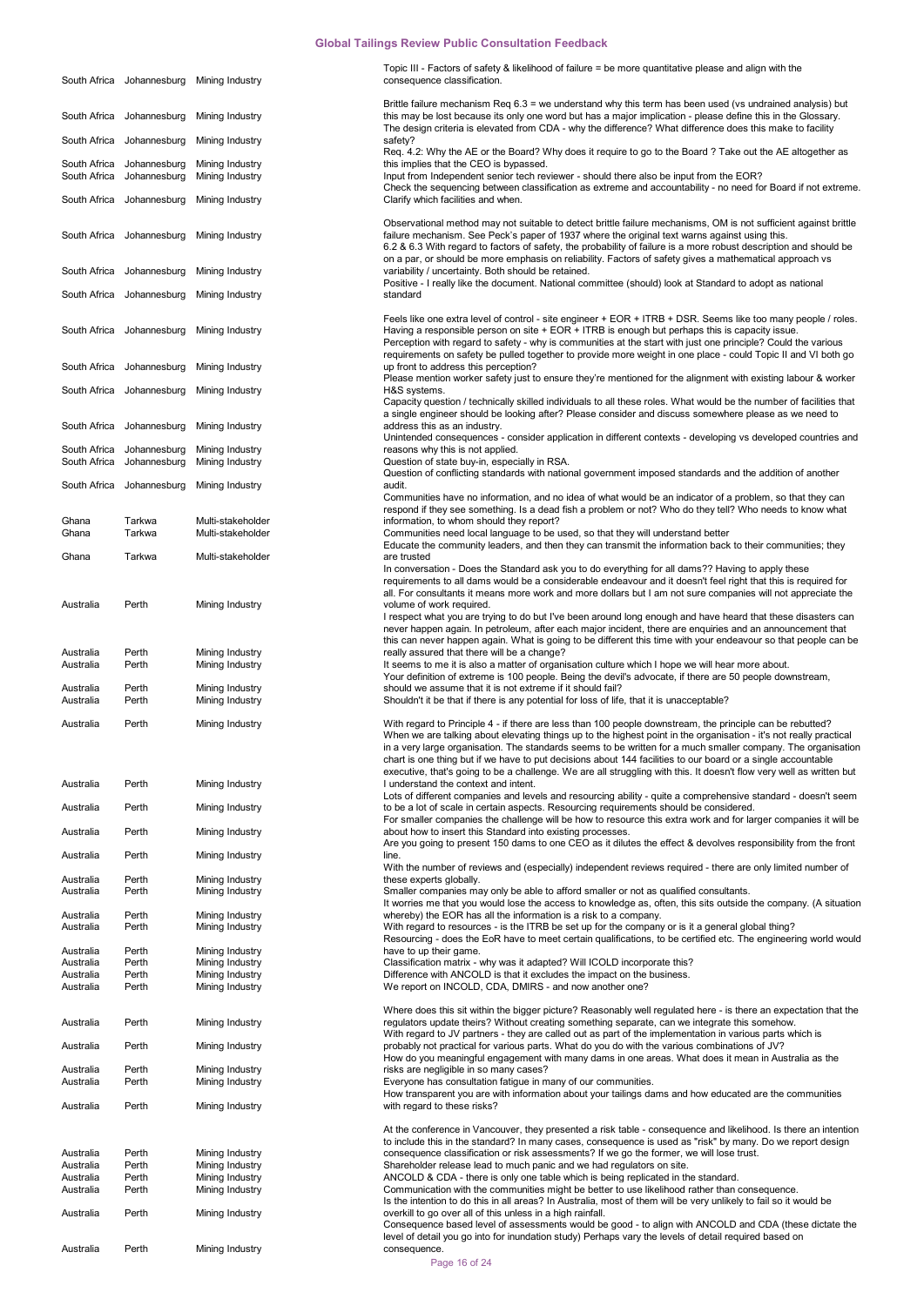|                        |                                                        | South Africa Johannesburg Mining Industry | Topic III - Factors of safety & likelihood of failure = be more quantitative please and align with the<br>consequence classification.                                                                                                                                                                                                                                                                                                                                                                                                                                                   |
|------------------------|--------------------------------------------------------|-------------------------------------------|-----------------------------------------------------------------------------------------------------------------------------------------------------------------------------------------------------------------------------------------------------------------------------------------------------------------------------------------------------------------------------------------------------------------------------------------------------------------------------------------------------------------------------------------------------------------------------------------|
|                        | South Africa Johannesburg                              | Mining Industry                           | Brittle failure mechanism Req 6.3 = we understand why this term has been used (vs undrained analysis) but<br>this may be lost because its only one word but has a major implication - please define this in the Glossary.                                                                                                                                                                                                                                                                                                                                                               |
|                        | South Africa Johannesburg                              | Mining Industry                           | The design criteria is elevated from CDA - why the difference? What difference does this make to facility<br>safety?                                                                                                                                                                                                                                                                                                                                                                                                                                                                    |
|                        | South Africa Johannesburg<br>South Africa Johannesburg | Mining Industry<br>Mining Industry        | Req. 4.2: Why the AE or the Board? Why does it require to go to the Board ? Take out the AE altogether as<br>this implies that the CEO is bypassed.<br>Input from Independent senior tech reviewer - should there also be input from the EOR?                                                                                                                                                                                                                                                                                                                                           |
|                        | South Africa Johannesburg                              | Mining Industry                           | Check the sequencing between classification as extreme and accountability - no need for Board if not extreme.<br>Clarify which facilities and when.                                                                                                                                                                                                                                                                                                                                                                                                                                     |
|                        | South Africa Johannesburg                              | Mining Industry                           | Observational method may not suitable to detect brittle failure mechanisms, OM is not sufficient against brittle<br>failure mechanism. See Peck's paper of 1937 where the original text warns against using this.<br>6.2 & 6.3 With regard to factors of safety, the probability of failure is a more robust description and should be                                                                                                                                                                                                                                                  |
|                        | South Africa Johannesburg                              | Mining Industry                           | on a par, or should be more emphasis on reliability. Factors of safety gives a mathematical approach vs<br>variability / uncertainty. Both should be retained.<br>Positive - I really like the document. National committee (should) look at Standard to adopt as national                                                                                                                                                                                                                                                                                                              |
|                        |                                                        | South Africa Johannesburg Mining Industry | standard                                                                                                                                                                                                                                                                                                                                                                                                                                                                                                                                                                                |
|                        |                                                        | South Africa Johannesburg Mining Industry | Feels like one extra level of control - site engineer + EOR + ITRB + DSR. Seems like too many people / roles.<br>Having a responsible person on site + EOR + ITRB is enough but perhaps this is capacity issue.<br>Perception with regard to safety - why is communities at the start with just one principle? Could the various<br>requirements on safety be pulled together to provide more weight in one place - could Topic II and VI both go                                                                                                                                       |
|                        | South Africa Johannesburg                              | Mining Industry                           | up front to address this perception?<br>Please mention worker safety just to ensure they're mentioned for the alignment with existing labour & worker                                                                                                                                                                                                                                                                                                                                                                                                                                   |
|                        | South Africa Johannesburg                              | Mining Industry                           | H&S systems.<br>Capacity question / technically skilled individuals to all these roles. What would be the number of facilities that                                                                                                                                                                                                                                                                                                                                                                                                                                                     |
|                        | South Africa Johannesburg                              | Mining Industry                           | a single engineer should be looking after? Please consider and discuss somewhere please as we need to<br>address this as an industry.<br>Unintended consequences - consider application in different contexts - developing vs developed countries and                                                                                                                                                                                                                                                                                                                                   |
|                        | South Africa Johannesburg<br>South Africa Johannesburg | Mining Industry<br>Mining Industry        | reasons why this is not applied.<br>Question of state buy-in, especially in RSA.                                                                                                                                                                                                                                                                                                                                                                                                                                                                                                        |
|                        | South Africa Johannesburg                              | Mining Industry                           | Question of conflicting standards with national government imposed standards and the addition of another<br>audit.<br>Communities have no information, and no idea of what would be an indicator of a problem, so that they can                                                                                                                                                                                                                                                                                                                                                         |
| Ghana<br>Ghana         | Tarkwa<br>Tarkwa                                       | Multi-stakeholder<br>Multi-stakeholder    | respond if they see something. Is a dead fish a problem or not? Who do they tell? Who needs to know what<br>information, to whom should they report?<br>Communities need local language to be used, so that they will understand better                                                                                                                                                                                                                                                                                                                                                 |
| Ghana                  | Tarkwa                                                 | Multi-stakeholder                         | Educate the community leaders, and then they can transmit the information back to their communities; they<br>are trusted                                                                                                                                                                                                                                                                                                                                                                                                                                                                |
| Australia              | Perth                                                  | Mining Industry                           | In conversation - Does the Standard ask you to do everything for all dams?? Having to apply these<br>requirements to all dams would be a considerable endeavour and it doesn't feel right that this is required for<br>all. For consultants it means more work and more dollars but I am not sure companies will not appreciate the<br>volume of work required.<br>I respect what you are trying to do but I've been around long enough and have heard that these disasters can                                                                                                         |
|                        |                                                        |                                           | never happen again. In petroleum, after each major incident, there are enquiries and an announcement that<br>this can never happen again. What is going to be different this time with your endeavour so that people can be                                                                                                                                                                                                                                                                                                                                                             |
| Australia<br>Australia | Perth<br>Perth                                         | Mining Industry<br>Mining Industry        | really assured that there will be a change?<br>It seems to me it is also a matter of organisation culture which I hope we will hear more about.<br>Your definition of extreme is 100 people. Being the devil's advocate, if there are 50 people downstream,                                                                                                                                                                                                                                                                                                                             |
| Australia<br>Australia | Perth<br>Perth                                         | Mining Industry<br>Mining Industry        | should we assume that it is not extreme if it should fail?<br>Shouldn't it be that if there is any potential for loss of life, that it is unacceptable?                                                                                                                                                                                                                                                                                                                                                                                                                                 |
| Australia              | Perth                                                  | Mining Industry                           | With regard to Principle 4 - if there are less than 100 people downstream, the principle can be rebutted?<br>When we are talking about elevating things up to the highest point in the organisation - it's not really practical<br>in a very large organisation. The standards seems to be written for a much smaller company. The organisation<br>chart is one thing but if we have to put decisions about 144 facilities to our board or a single accountable<br>executive, that's going to be a challenge. We are all struggling with this. It doesn't flow very well as written but |
| Australia              | Perth                                                  | Mining Industry                           | I understand the context and intent.<br>Lots of different companies and levels and resourcing ability - quite a comprehensive standard - doesn't seem                                                                                                                                                                                                                                                                                                                                                                                                                                   |
| Australia              | Perth                                                  | Mining Industry                           | to be a lot of scale in certain aspects. Resourcing requirements should be considered.<br>For smaller companies the challenge will be how to resource this extra work and for larger companies it will be                                                                                                                                                                                                                                                                                                                                                                               |
| Australia              | Perth                                                  | Mining Industry                           | about how to insert this Standard into existing processes.<br>Are you going to present 150 dams to one CEO as it dilutes the effect & devolves responsibility from the front                                                                                                                                                                                                                                                                                                                                                                                                            |
| Australia              | Perth                                                  | Mining Industry                           | line.<br>With the number of reviews and (especially) independent reviews required - there are only limited number of                                                                                                                                                                                                                                                                                                                                                                                                                                                                    |
| Australia<br>Australia | Perth<br>Perth                                         | Mining Industry<br>Mining Industry        | these experts globally.<br>Smaller companies may only be able to afford smaller or not as qualified consultants.                                                                                                                                                                                                                                                                                                                                                                                                                                                                        |
| Australia<br>Australia | Perth<br>Perth                                         | Mining Industry                           | It worries me that you would lose the access to knowledge as, often, this sits outside the company. (A situation<br>whereby) the EOR has all the information is a risk to a company.<br>With regard to resources - is the ITRB be set up for the company or is it a general global thing?                                                                                                                                                                                                                                                                                               |
| Australia              | Perth                                                  | Mining Industry<br>Mining Industry        | Resourcing - does the EoR have to meet certain qualifications, to be certified etc. The engineering world would<br>have to up their game.                                                                                                                                                                                                                                                                                                                                                                                                                                               |
| Australia              | Perth                                                  | Mining Industry                           | Classification matrix - why was it adapted? Will ICOLD incorporate this?                                                                                                                                                                                                                                                                                                                                                                                                                                                                                                                |
| Australia<br>Australia | Perth<br>Perth                                         | Mining Industry<br>Mining Industry        | Difference with ANCOLD is that it excludes the impact on the business.<br>We report on INCOLD, CDA, DMIRS - and now another one?                                                                                                                                                                                                                                                                                                                                                                                                                                                        |
| Australia              | Perth                                                  | Mining Industry                           | Where does this sit within the bigger picture? Reasonably well regulated here - is there an expectation that the<br>regulators update theirs? Without creating something separate, can we integrate this somehow.                                                                                                                                                                                                                                                                                                                                                                       |
| Australia              | Perth                                                  | Mining Industry                           | With regard to JV partners - they are called out as part of the implementation in various parts which is<br>probably not practical for various parts. What do you do with the various combinations of JV?                                                                                                                                                                                                                                                                                                                                                                               |
| Australia              | Perth                                                  | Mining Industry                           | How do you meaningful engagement with many dams in one areas. What does it mean in Australia as the<br>risks are negligible in so many cases?                                                                                                                                                                                                                                                                                                                                                                                                                                           |
| Australia<br>Australia | Perth<br>Perth                                         | Mining Industry<br>Mining Industry        | Everyone has consultation fatigue in many of our communities.<br>How transparent you are with information about your tailings dams and how educated are the communities<br>with regard to these risks?                                                                                                                                                                                                                                                                                                                                                                                  |
|                        |                                                        |                                           | At the conference in Vancouver, they presented a risk table - consequence and likelihood. Is there an intention                                                                                                                                                                                                                                                                                                                                                                                                                                                                         |
| Australia              | Perth                                                  | Mining Industry                           | to include this in the standard? In many cases, consequence is used as "risk" by many. Do we report design<br>consequence classification or risk assessments? If we go the former, we will lose trust.                                                                                                                                                                                                                                                                                                                                                                                  |
| Australia              | Perth                                                  | Mining Industry                           | Shareholder release lead to much panic and we had regulators on site.                                                                                                                                                                                                                                                                                                                                                                                                                                                                                                                   |
| Australia<br>Australia | Perth<br>Perth                                         | Mining Industry<br>Mining Industry        | ANCOLD & CDA - there is only one table which is being replicated in the standard.<br>Communication with the communities might be better to use likelihood rather than consequence.                                                                                                                                                                                                                                                                                                                                                                                                      |
|                        |                                                        |                                           | Is the intention to do this in all areas? In Australia, most of them will be very unlikely to fail so it would be                                                                                                                                                                                                                                                                                                                                                                                                                                                                       |
| Australia              | Perth                                                  | Mining Industry                           | overkill to go over all of this unless in a high rainfall.<br>Consequence based level of assessments would be good - to align with ANCOLD and CDA (these dictate the<br>level of detail you go into for inundation study) Perhaps vary the levels of detail required based on                                                                                                                                                                                                                                                                                                           |
| Australia              | Perth                                                  | Mining Industry                           | consequence.                                                                                                                                                                                                                                                                                                                                                                                                                                                                                                                                                                            |

Page 16 of 24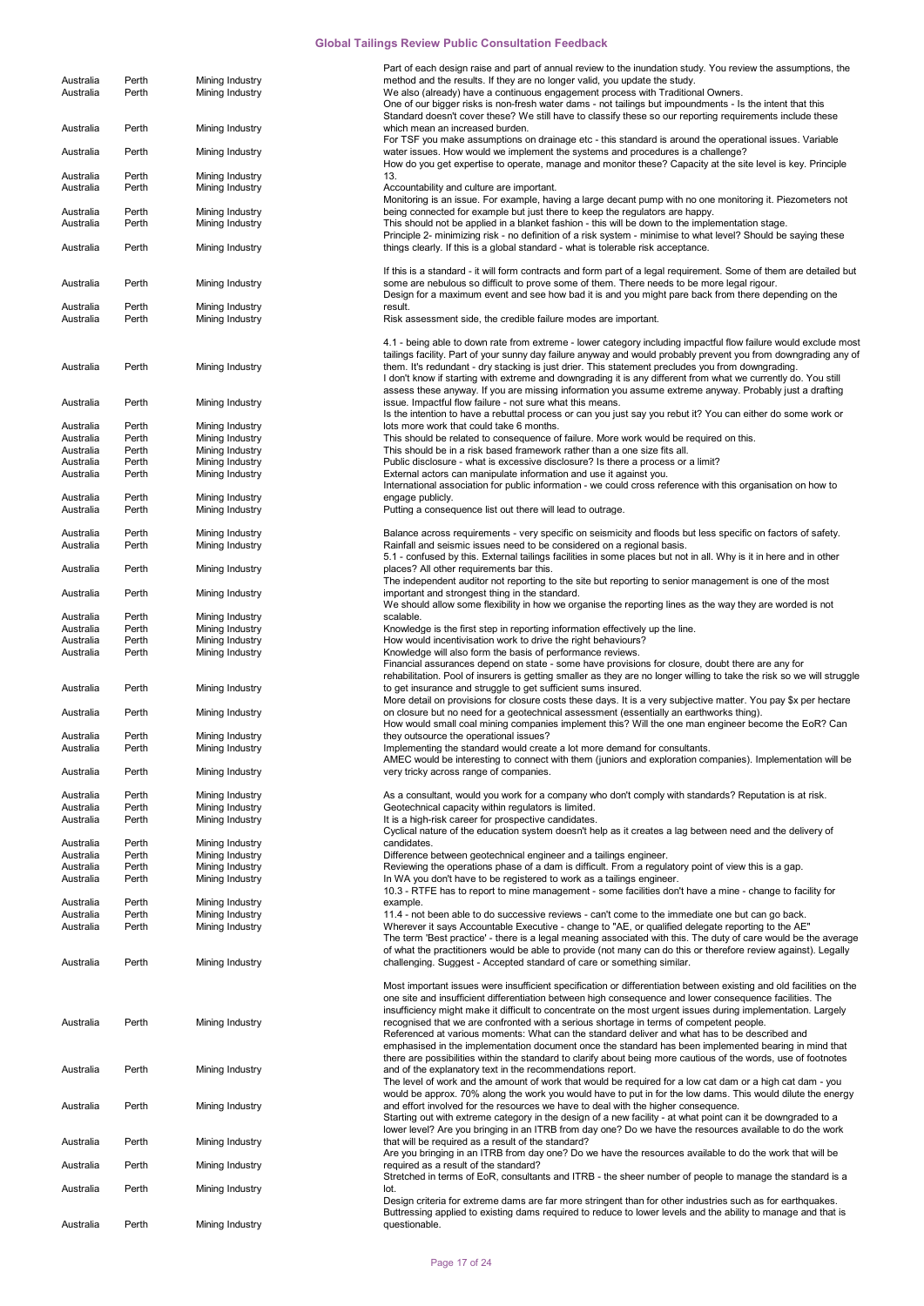|                        |                |                                    | Part of each design raise and part of annual review to the inundation study. You review the assumptions, the                                                                                                             |
|------------------------|----------------|------------------------------------|--------------------------------------------------------------------------------------------------------------------------------------------------------------------------------------------------------------------------|
| Australia<br>Australia | Perth<br>Perth | Mining Industry<br>Mining Industry | method and the results. If they are no longer valid, you update the study.<br>We also (already) have a continuous engagement process with Traditional Owners.                                                            |
|                        |                |                                    | One of our bigger risks is non-fresh water dams - not tailings but impoundments - Is the intent that this                                                                                                                |
| Australia              | Perth          | Mining Industry                    | Standard doesn't cover these? We still have to classify these so our reporting requirements include these<br>which mean an increased burden.                                                                             |
|                        |                |                                    | For TSF you make assumptions on drainage etc - this standard is around the operational issues. Variable                                                                                                                  |
| Australia              | Perth          | Mining Industry                    | water issues. How would we implement the systems and procedures is a challenge?<br>How do you get expertise to operate, manage and monitor these? Capacity at the site level is key. Principle                           |
| Australia              | Perth          | Mining Industry                    | 13.                                                                                                                                                                                                                      |
| Australia              | Perth          | Mining Industry                    | Accountability and culture are important.<br>Monitoring is an issue. For example, having a large decant pump with no one monitoring it. Piezometers not                                                                  |
| Australia              | Perth          | Mining Industry                    | being connected for example but just there to keep the regulators are happy.                                                                                                                                             |
| Australia              | Perth          | Mining Industry                    | This should not be applied in a blanket fashion - this will be down to the implementation stage.<br>Principle 2- minimizing risk - no definition of a risk system - minimise to what level? Should be saying these       |
| Australia              | Perth          | Mining Industry                    | things clearly. If this is a global standard - what is tolerable risk acceptance.                                                                                                                                        |
|                        |                |                                    | If this is a standard - it will form contracts and form part of a legal requirement. Some of them are detailed but                                                                                                       |
| Australia              | Perth          | Mining Industry                    | some are nebulous so difficult to prove some of them. There needs to be more legal rigour.                                                                                                                               |
| Australia              | Perth          | Mining Industry                    | Design for a maximum event and see how bad it is and you might pare back from there depending on the<br>result.                                                                                                          |
| Australia              | Perth          | Mining Industry                    | Risk assessment side, the credible failure modes are important.                                                                                                                                                          |
|                        |                |                                    | 4.1 - being able to down rate from extreme - lower category including impactful flow failure would exclude most                                                                                                          |
|                        |                |                                    | tailings facility. Part of your sunny day failure anyway and would probably prevent you from downgrading any of                                                                                                          |
| Australia              | Perth          | Mining Industry                    | them. It's redundant - dry stacking is just drier. This statement precludes you from downgrading.<br>I don't know if starting with extreme and downgrading it is any different from what we currently do. You still      |
|                        |                |                                    | assess these anyway. If you are missing information you assume extreme anyway. Probably just a drafting                                                                                                                  |
| Australia              | Perth          | Mining Industry                    | issue. Impactful flow failure - not sure what this means.                                                                                                                                                                |
| Australia              | Perth          | Mining Industry                    | Is the intention to have a rebuttal process or can you just say you rebut it? You can either do some work or<br>lots more work that could take 6 months.                                                                 |
| Australia              | Perth          | Mining Industry                    | This should be related to consequence of failure. More work would be required on this.                                                                                                                                   |
| Australia              | Perth          | Mining Industry                    | This should be in a risk based framework rather than a one size fits all.                                                                                                                                                |
| Australia              | Perth          | Mining Industry                    | Public disclosure - what is excessive disclosure? Is there a process or a limit?                                                                                                                                         |
| Australia              | Perth          | Mining Industry                    | External actors can manipulate information and use it against you.<br>International association for public information - we could cross reference with this organisation on how to                                       |
| Australia              | Perth          | Mining Industry                    | engage publicly.                                                                                                                                                                                                         |
| Australia              | Perth          | Mining Industry                    | Putting a consequence list out there will lead to outrage.                                                                                                                                                               |
|                        |                |                                    |                                                                                                                                                                                                                          |
| Australia<br>Australia | Perth<br>Perth | Mining Industry<br>Mining Industry | Balance across requirements - very specific on seismicity and floods but less specific on factors of safety.<br>Rainfall and seismic issues need to be considered on a regional basis.                                   |
|                        |                |                                    | 5.1 - confused by this. External tailings facilities in some places but not in all. Why is it in here and in other                                                                                                       |
| Australia              | Perth          | Mining Industry                    | places? All other requirements bar this.                                                                                                                                                                                 |
| Australia              | Perth          | Mining Industry                    | The independent auditor not reporting to the site but reporting to senior management is one of the most<br>important and strongest thing in the standard.                                                                |
|                        |                |                                    | We should allow some flexibility in how we organise the reporting lines as the way they are worded is not                                                                                                                |
| Australia              | Perth          | Mining Industry                    | scalable.                                                                                                                                                                                                                |
| Australia              | Perth          | Mining Industry                    | Knowledge is the first step in reporting information effectively up the line.                                                                                                                                            |
| Australia              | Perth          | Mining Industry                    | How would incentivisation work to drive the right behaviours?                                                                                                                                                            |
| Australia              | Perth          | Mining Industry                    | Knowledge will also form the basis of performance reviews.<br>Financial assurances depend on state - some have provisions for closure, doubt there are any for                                                           |
|                        |                |                                    | rehabilitation. Pool of insurers is getting smaller as they are no longer willing to take the risk so we will struggle                                                                                                   |
| Australia              | Perth          | Mining Industry                    | to get insurance and struggle to get sufficient sums insured.                                                                                                                                                            |
|                        |                |                                    | More detail on provisions for closure costs these days. It is a very subjective matter. You pay \$x per hectare                                                                                                          |
| Australia              | Perth          | Mining Industry                    | on closure but no need for a geotechnical assessment (essentially an earthworks thing).<br>How would small coal mining companies implement this? Will the one man engineer become the EoR? Can                           |
| Australia              | Perth          | Mining Industry                    | they outsource the operational issues?                                                                                                                                                                                   |
| Australia              | Perth          | Mining Industry                    | Implementing the standard would create a lot more demand for consultants.                                                                                                                                                |
| Australia              | Perth          | Mining Industry                    | AMEC would be interesting to connect with them (juniors and exploration companies). Implementation will be<br>very tricky across range of companies.                                                                     |
|                        |                |                                    |                                                                                                                                                                                                                          |
| Australia              | Perth          | Mining Industry                    | As a consultant, would you work for a company who don't comply with standards? Reputation is at risk.                                                                                                                    |
| Australia              | Perth          | Mining Industry                    | Geotechnical capacity within regulators is limited.                                                                                                                                                                      |
| Australia              | Perth          | Mining Industry                    | It is a high-risk career for prospective candidates.<br>Cyclical nature of the education system doesn't help as it creates a lag between need and the delivery of                                                        |
| Australia              | Perth          | Mining Industry                    | candidates.                                                                                                                                                                                                              |
| Australia              | Perth          | Mining Industry                    | Difference between geotechnical engineer and a tailings engineer.                                                                                                                                                        |
| Australia              | Perth          | Mining Industry                    | Reviewing the operations phase of a dam is difficult. From a regulatory point of view this is a gap.                                                                                                                     |
| Australia              | Perth          | Mining Industry                    | In WA you don't have to be registered to work as a tailings engineer.                                                                                                                                                    |
|                        | Perth          |                                    | 10.3 - RTFE has to report to mine management - some facilities don't have a mine - change to facility for                                                                                                                |
| Australia<br>Australia | Perth          | Mining Industry<br>Mining Industry | example.<br>11.4 - not been able to do successive reviews - can't come to the immediate one but can go back.                                                                                                             |
| Australia              | Perth          | Mining Industry                    | Wherever it says Accountable Executive - change to "AE, or qualified delegate reporting to the AE"                                                                                                                       |
|                        |                |                                    | The term 'Best practice' - there is a legal meaning associated with this. The duty of care would be the average                                                                                                          |
|                        |                |                                    | of what the practitioners would be able to provide (not many can do this or therefore review against). Legally                                                                                                           |
| Australia              | Perth          | Mining Industry                    | challenging. Suggest - Accepted standard of care or something similar.                                                                                                                                                   |
|                        |                |                                    | Most important issues were insufficient specification or differentiation between existing and old facilities on the                                                                                                      |
|                        |                |                                    | one site and insufficient differentiation between high consequence and lower consequence facilities. The                                                                                                                 |
|                        |                |                                    | insufficiency might make it difficult to concentrate on the most urgent issues during implementation. Largely                                                                                                            |
| Australia              | Perth          | Mining Industry                    | recognised that we are confronted with a serious shortage in terms of competent people.<br>Referenced at various moments: What can the standard deliver and what has to be described and                                 |
|                        |                |                                    | emphasised in the implementation document once the standard has been implemented bearing in mind that                                                                                                                    |
|                        |                |                                    | there are possibilities within the standard to clarify about being more cautious of the words, use of footnotes                                                                                                          |
| Australia              | Perth          | Mining Industry                    | and of the explanatory text in the recommendations report.                                                                                                                                                               |
|                        |                |                                    | The level of work and the amount of work that would be required for a low cat dam or a high cat dam - you<br>would be approx. 70% along the work you would have to put in for the low dams. This would dilute the energy |
| Australia              | Perth          | Mining Industry                    | and effort involved for the resources we have to deal with the higher consequence.                                                                                                                                       |
|                        |                |                                    | Starting out with extreme category in the design of a new facility - at what point can it be downgraded to a                                                                                                             |
|                        | Perth          |                                    | lower level? Are you bringing in an ITRB from day one? Do we have the resources available to do the work<br>that will be required as a result of the standard?                                                           |
| Australia              |                | Mining Industry                    | Are you bringing in an ITRB from day one? Do we have the resources available to do the work that will be                                                                                                                 |
| Australia              | Perth          | Mining Industry                    | required as a result of the standard?                                                                                                                                                                                    |
|                        | Perth          |                                    | Stretched in terms of EoR, consultants and ITRB - the sheer number of people to manage the standard is a<br>lot.                                                                                                         |
| Australia              |                | Mining Industry                    | Design criteria for extreme dams are far more stringent than for other industries such as for earthquakes.                                                                                                               |
|                        |                |                                    | Buttressing applied to existing dams required to reduce to lower levels and the ability to manage and that is                                                                                                            |
| Australia              | Perth          | Mining Industry                    | questionable.                                                                                                                                                                                                            |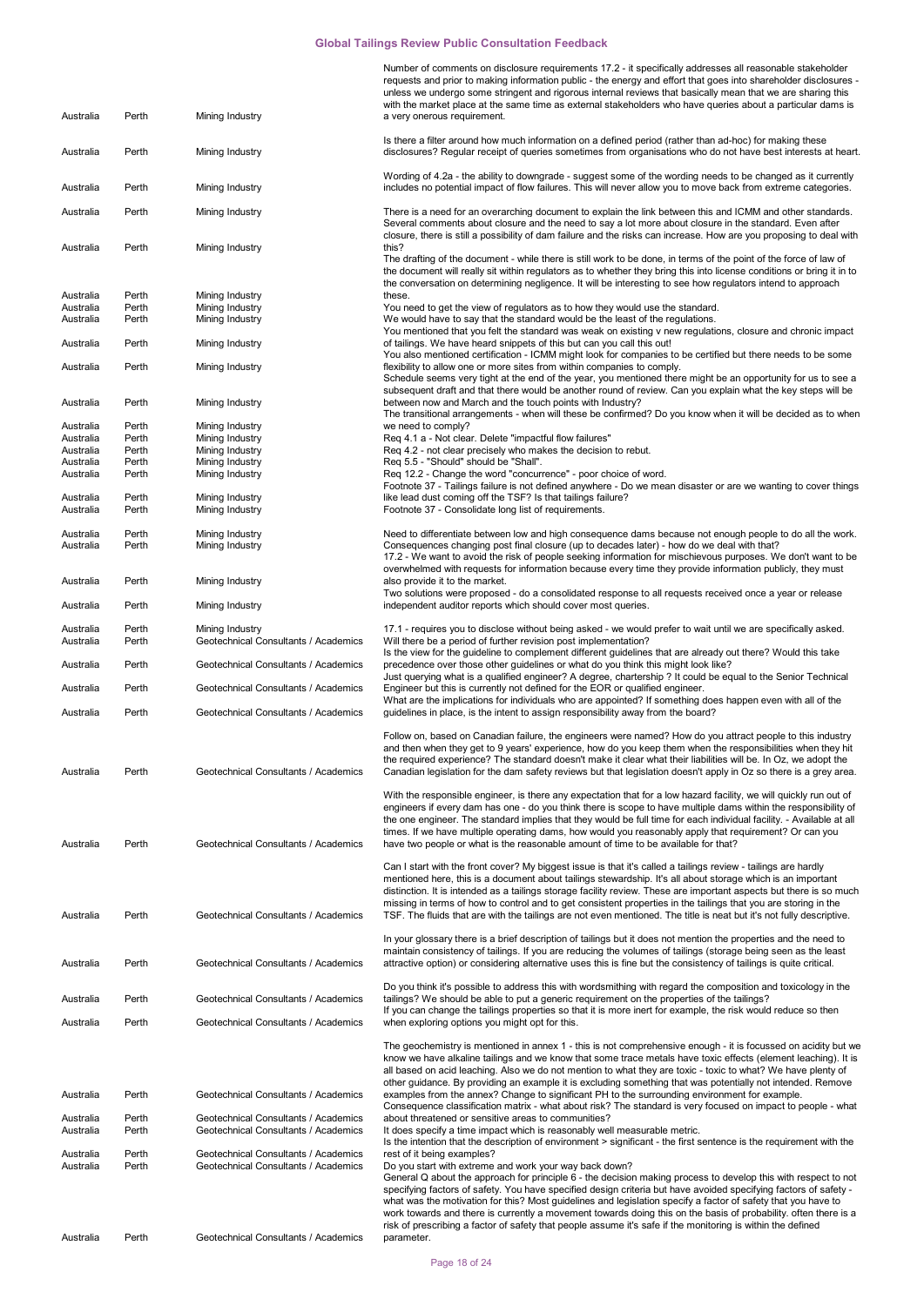| Australia              | Perth          | Mining Industry                                                              | Number of comments on disclosure requirements 17.2 - it specifically addresses all reasonable stakeholder<br>requests and prior to making information public - the energy and effort that goes into shareholder disclosures -<br>unless we undergo some stringent and rigorous internal reviews that basically mean that we are sharing this<br>with the market place at the same time as external stakeholders who have queries about a particular dams is<br>a very onerous requirement.                                                                                                                                                      |
|------------------------|----------------|------------------------------------------------------------------------------|-------------------------------------------------------------------------------------------------------------------------------------------------------------------------------------------------------------------------------------------------------------------------------------------------------------------------------------------------------------------------------------------------------------------------------------------------------------------------------------------------------------------------------------------------------------------------------------------------------------------------------------------------|
| Australia              | Perth          | Mining Industry                                                              | Is there a filter around how much information on a defined period (rather than ad-hoc) for making these<br>disclosures? Regular receipt of queries sometimes from organisations who do not have best interests at heart.                                                                                                                                                                                                                                                                                                                                                                                                                        |
|                        |                |                                                                              | Wording of 4.2a - the ability to downgrade - suggest some of the wording needs to be changed as it currently                                                                                                                                                                                                                                                                                                                                                                                                                                                                                                                                    |
| Australia              | Perth          | Mining Industry                                                              | includes no potential impact of flow failures. This will never allow you to move back from extreme categories.                                                                                                                                                                                                                                                                                                                                                                                                                                                                                                                                  |
| Australia              | Perth          | Mining Industry                                                              | There is a need for an overarching document to explain the link between this and ICMM and other standards.<br>Several comments about closure and the need to say a lot more about closure in the standard. Even after<br>closure, there is still a possibility of dam failure and the risks can increase. How are you proposing to deal with                                                                                                                                                                                                                                                                                                    |
| Australia              | Perth          | Mining Industry                                                              | this?<br>The drafting of the document - while there is still work to be done, in terms of the point of the force of law of<br>the document will really sit within regulators as to whether they bring this into license conditions or bring it in to<br>the conversation on determining negligence. It will be interesting to see how regulators intend to approach                                                                                                                                                                                                                                                                             |
| Australia              | Perth          | Mining Industry                                                              | these.                                                                                                                                                                                                                                                                                                                                                                                                                                                                                                                                                                                                                                          |
| Australia<br>Australia | Perth<br>Perth | Mining Industry<br>Mining Industry                                           | You need to get the view of regulators as to how they would use the standard.<br>We would have to say that the standard would be the least of the regulations.                                                                                                                                                                                                                                                                                                                                                                                                                                                                                  |
| Australia              | Perth          | Mining Industry                                                              | You mentioned that you felt the standard was weak on existing v new regulations, closure and chronic impact<br>of tailings. We have heard snippets of this but can you call this out!                                                                                                                                                                                                                                                                                                                                                                                                                                                           |
| Australia              | Perth          | Mining Industry                                                              | You also mentioned certification - ICMM might look for companies to be certified but there needs to be some<br>flexibility to allow one or more sites from within companies to comply.<br>Schedule seems very tight at the end of the year, you mentioned there might be an opportunity for us to see a                                                                                                                                                                                                                                                                                                                                         |
| Australia              | Perth          | Mining Industry                                                              | subsequent draft and that there would be another round of review. Can you explain what the key steps will be<br>between now and March and the touch points with Industry?                                                                                                                                                                                                                                                                                                                                                                                                                                                                       |
|                        |                |                                                                              | The transitional arrangements - when will these be confirmed? Do you know when it will be decided as to when                                                                                                                                                                                                                                                                                                                                                                                                                                                                                                                                    |
| Australia<br>Australia | Perth<br>Perth | Mining Industry<br>Mining Industry                                           | we need to comply?<br>Req 4.1 a - Not clear. Delete "impactful flow failures"                                                                                                                                                                                                                                                                                                                                                                                                                                                                                                                                                                   |
| Australia              | Perth          | Mining Industry                                                              | Req 4.2 - not clear precisely who makes the decision to rebut.                                                                                                                                                                                                                                                                                                                                                                                                                                                                                                                                                                                  |
| Australia              | Perth          | Mining Industry                                                              | Req 5.5 - "Should" should be "Shall".                                                                                                                                                                                                                                                                                                                                                                                                                                                                                                                                                                                                           |
| Australia              | Perth          | Mining Industry                                                              | Req 12.2 - Change the word "concurrence" - poor choice of word.<br>Footnote 37 - Tailings failure is not defined anywhere - Do we mean disaster or are we wanting to cover things                                                                                                                                                                                                                                                                                                                                                                                                                                                               |
| Australia<br>Australia | Perth<br>Perth | Mining Industry<br>Mining Industry                                           | like lead dust coming off the TSF? Is that tailings failure?<br>Footnote 37 - Consolidate long list of requirements.                                                                                                                                                                                                                                                                                                                                                                                                                                                                                                                            |
| Australia              | Perth          | Mining Industry                                                              | Need to differentiate between low and high consequence dams because not enough people to do all the work.                                                                                                                                                                                                                                                                                                                                                                                                                                                                                                                                       |
| Australia              | Perth          | Mining Industry                                                              | Consequences changing post final closure (up to decades later) - how do we deal with that?<br>17.2 - We want to avoid the risk of people seeking information for mischievous purposes. We don't want to be                                                                                                                                                                                                                                                                                                                                                                                                                                      |
| Australia              | Perth          | Mining Industry                                                              | overwhelmed with requests for information because every time they provide information publicly, they must<br>also provide it to the market.                                                                                                                                                                                                                                                                                                                                                                                                                                                                                                     |
| Australia              | Perth          | Mining Industry                                                              | Two solutions were proposed - do a consolidated response to all requests received once a year or release<br>independent auditor reports which should cover most queries.                                                                                                                                                                                                                                                                                                                                                                                                                                                                        |
| Australia              | Perth          | Mining Industry                                                              | 17.1 - requires you to disclose without being asked - we would prefer to wait until we are specifically asked.                                                                                                                                                                                                                                                                                                                                                                                                                                                                                                                                  |
| Australia              | Perth          | Geotechnical Consultants / Academics                                         | Will there be a period of further revision post implementation?<br>Is the view for the guideline to complement different guidelines that are already out there? Would this take                                                                                                                                                                                                                                                                                                                                                                                                                                                                 |
| Australia              | Perth          | Geotechnical Consultants / Academics                                         | precedence over those other guidelines or what do you think this might look like?<br>Just querying what is a qualified engineer? A degree, chartership ? It could be equal to the Senior Technical                                                                                                                                                                                                                                                                                                                                                                                                                                              |
| Australia              | Perth          | Geotechnical Consultants / Academics                                         | Engineer but this is currently not defined for the EOR or qualified engineer.<br>What are the implications for individuals who are appointed? If something does happen even with all of the                                                                                                                                                                                                                                                                                                                                                                                                                                                     |
| Australia              | Perth          | Geotechnical Consultants / Academics                                         | guidelines in place, is the intent to assign responsibility away from the board?                                                                                                                                                                                                                                                                                                                                                                                                                                                                                                                                                                |
| Australia              | Perth          | Geotechnical Consultants / Academics                                         | Follow on, based on Canadian failure, the engineers were named? How do you attract people to this industry<br>and then when they get to 9 years' experience, how do you keep them when the responsibilities when they hit<br>the required experience? The standard doesn't make it clear what their liabilities will be. In Oz, we adopt the<br>Canadian legislation for the dam safety reviews but that legislation doesn't apply in Oz so there is a grey area.                                                                                                                                                                               |
| Australia              | Perth          | Geotechnical Consultants / Academics                                         | With the responsible engineer, is there any expectation that for a low hazard facility, we will quickly run out of<br>engineers if every dam has one - do you think there is scope to have multiple dams within the responsibility of<br>the one engineer. The standard implies that they would be full time for each individual facility. - Available at all<br>times. If we have multiple operating dams, how would you reasonably apply that requirement? Or can you<br>have two people or what is the reasonable amount of time to be available for that?                                                                                   |
| Australia              | Perth          | Geotechnical Consultants / Academics                                         | Can I start with the front cover? My biggest issue is that it's called a tailings review - tailings are hardly<br>mentioned here, this is a document about tailings stewardship. It's all about storage which is an important<br>distinction. It is intended as a tailings storage facility review. These are important aspects but there is so much<br>missing in terms of how to control and to get consistent properties in the tailings that you are storing in the<br>TSF. The fluids that are with the tailings are not even mentioned. The title is neat but it's not fully descriptive.                                                 |
| Australia              | Perth          | Geotechnical Consultants / Academics                                         | In your glossary there is a brief description of tailings but it does not mention the properties and the need to<br>maintain consistency of tailings. If you are reducing the volumes of tailings (storage being seen as the least<br>attractive option) or considering alternative uses this is fine but the consistency of tailings is quite critical.                                                                                                                                                                                                                                                                                        |
| Australia              | Perth          | Geotechnical Consultants / Academics                                         | Do you think it's possible to address this with wordsmithing with regard the composition and toxicology in the<br>tailings? We should be able to put a generic requirement on the properties of the tailings?                                                                                                                                                                                                                                                                                                                                                                                                                                   |
| Australia              | Perth          | Geotechnical Consultants / Academics                                         | If you can change the tailings properties so that it is more inert for example, the risk would reduce so then<br>when exploring options you might opt for this.                                                                                                                                                                                                                                                                                                                                                                                                                                                                                 |
|                        |                |                                                                              | The geochemistry is mentioned in annex 1 - this is not comprehensive enough - it is focussed on acidity but we<br>know we have alkaline tailings and we know that some trace metals have toxic effects (element leaching). It is<br>all based on acid leaching. Also we do not mention to what they are toxic - toxic to what? We have plenty of                                                                                                                                                                                                                                                                                                |
| Australia              | Perth          | Geotechnical Consultants / Academics                                         | other guidance. By providing an example it is excluding something that was potentially not intended. Remove<br>examples from the annex? Change to significant PH to the surrounding environment for example.                                                                                                                                                                                                                                                                                                                                                                                                                                    |
| Australia<br>Australia | Perth<br>Perth | Geotechnical Consultants / Academics<br>Geotechnical Consultants / Academics | Consequence classification matrix - what about risk? The standard is very focused on impact to people - what<br>about threatened or sensitive areas to communities?<br>It does specify a time impact which is reasonably well measurable metric.                                                                                                                                                                                                                                                                                                                                                                                                |
| Australia              | Perth          | Geotechnical Consultants / Academics                                         | Is the intention that the description of environment > significant - the first sentence is the requirement with the<br>rest of it being examples?                                                                                                                                                                                                                                                                                                                                                                                                                                                                                               |
| Australia              | Perth          | Geotechnical Consultants / Academics                                         | Do you start with extreme and work your way back down?<br>General Q about the approach for principle 6 - the decision making process to develop this with respect to not<br>specifying factors of safety. You have specified design criteria but have avoided specifying factors of safety -<br>what was the motivation for this? Most guidelines and legislation specify a factor of safety that you have to<br>work towards and there is currently a movement towards doing this on the basis of probability. often there is a<br>risk of prescribing a factor of safety that people assume it's safe if the monitoring is within the defined |
| Australia              | Perth          | Geotechnical Consultants / Academics                                         | parameter.                                                                                                                                                                                                                                                                                                                                                                                                                                                                                                                                                                                                                                      |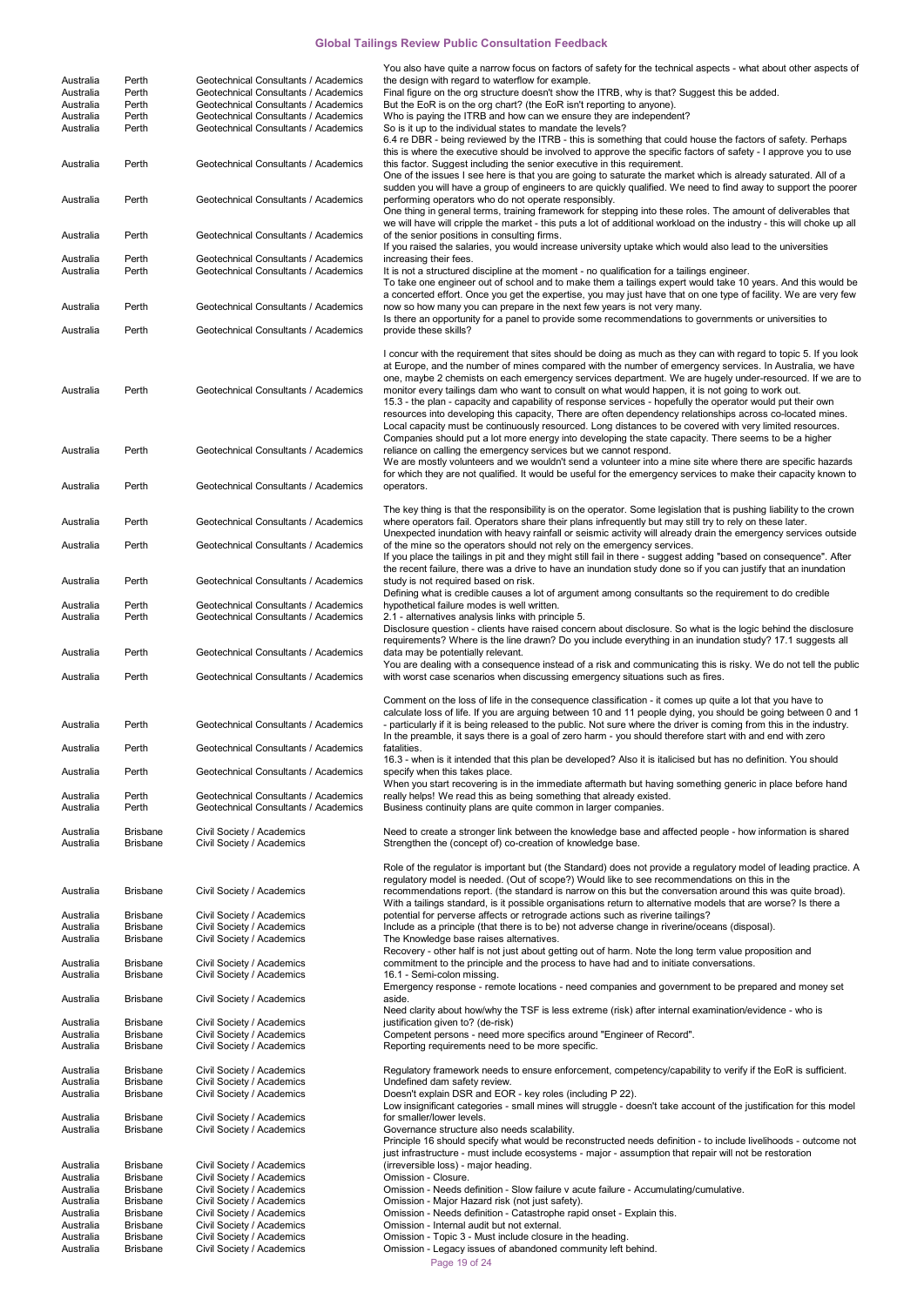|                        |                                    |                                                                              | You also have quite a narrow focus on factors of safety for the technical aspects - what about other aspects of                                                                                                                  |
|------------------------|------------------------------------|------------------------------------------------------------------------------|----------------------------------------------------------------------------------------------------------------------------------------------------------------------------------------------------------------------------------|
| Australia<br>Australia | Perth<br>Perth                     | Geotechnical Consultants / Academics<br>Geotechnical Consultants / Academics | the design with regard to waterflow for example.<br>Final figure on the org structure doesn't show the ITRB, why is that? Suggest this be added.                                                                                 |
| Australia              | Perth                              | Geotechnical Consultants / Academics                                         | But the EoR is on the org chart? (the EoR isn't reporting to anyone).                                                                                                                                                            |
| Australia              | Perth                              | Geotechnical Consultants / Academics                                         | Who is paying the ITRB and how can we ensure they are independent?                                                                                                                                                               |
| Australia              | Perth                              | Geotechnical Consultants / Academics                                         | So is it up to the individual states to mandate the levels?                                                                                                                                                                      |
|                        |                                    |                                                                              | 6.4 re DBR - being reviewed by the ITRB - this is something that could house the factors of safety. Perhaps                                                                                                                      |
| Australia              | Perth                              | Geotechnical Consultants / Academics                                         | this is where the executive should be involved to approve the specific factors of safety - I approve you to use<br>this factor. Suggest including the senior executive in this requirement.                                      |
|                        |                                    |                                                                              | One of the issues I see here is that you are going to saturate the market which is already saturated. All of a                                                                                                                   |
|                        |                                    |                                                                              | sudden you will have a group of engineers to are quickly qualified. We need to find away to support the poorer                                                                                                                   |
| Australia              | Perth                              | Geotechnical Consultants / Academics                                         | performing operators who do not operate responsibly.                                                                                                                                                                             |
|                        |                                    |                                                                              | One thing in general terms, training framework for stepping into these roles. The amount of deliverables that                                                                                                                    |
| Australia              | Perth                              | Geotechnical Consultants / Academics                                         | we will have will cripple the market - this puts a lot of additional workload on the industry - this will choke up all<br>of the senior positions in consulting firms.                                                           |
|                        |                                    |                                                                              | If you raised the salaries, you would increase university uptake which would also lead to the universities                                                                                                                       |
| Australia              | Perth                              | Geotechnical Consultants / Academics                                         | increasing their fees.                                                                                                                                                                                                           |
| Australia              | Perth                              | Geotechnical Consultants / Academics                                         | It is not a structured discipline at the moment - no qualification for a tailings engineer.                                                                                                                                      |
|                        |                                    |                                                                              | To take one engineer out of school and to make them a tailings expert would take 10 years. And this would be<br>a concerted effort. Once you get the expertise, you may just have that on one type of facility. We are very few  |
| Australia              | Perth                              | Geotechnical Consultants / Academics                                         | now so how many you can prepare in the next few years is not very many.                                                                                                                                                          |
|                        |                                    |                                                                              | Is there an opportunity for a panel to provide some recommendations to governments or universities to                                                                                                                            |
| Australia              | Perth                              | Geotechnical Consultants / Academics                                         | provide these skills?                                                                                                                                                                                                            |
|                        |                                    |                                                                              |                                                                                                                                                                                                                                  |
|                        |                                    |                                                                              | I concur with the requirement that sites should be doing as much as they can with regard to topic 5. If you look<br>at Europe, and the number of mines compared with the number of emergency services. In Australia, we have     |
|                        |                                    |                                                                              | one, maybe 2 chemists on each emergency services department. We are hugely under-resourced. If we are to                                                                                                                         |
| Australia              | Perth                              | Geotechnical Consultants / Academics                                         | monitor every tailings dam who want to consult on what would happen, it is not going to work out.                                                                                                                                |
|                        |                                    |                                                                              | 15.3 - the plan - capacity and capability of response services - hopefully the operator would put their own                                                                                                                      |
|                        |                                    |                                                                              | resources into developing this capacity, There are often dependency relationships across co-located mines.                                                                                                                       |
|                        |                                    |                                                                              | Local capacity must be continuously resourced. Long distances to be covered with very limited resources.                                                                                                                         |
| Australia              | Perth                              | Geotechnical Consultants / Academics                                         | Companies should put a lot more energy into developing the state capacity. There seems to be a higher<br>reliance on calling the emergency services but we cannot respond.                                                       |
|                        |                                    |                                                                              | We are mostly volunteers and we wouldn't send a volunteer into a mine site where there are specific hazards                                                                                                                      |
|                        |                                    |                                                                              | for which they are not qualified. It would be useful for the emergency services to make their capacity known to                                                                                                                  |
| Australia              | Perth                              | Geotechnical Consultants / Academics                                         | operators.                                                                                                                                                                                                                       |
|                        |                                    |                                                                              |                                                                                                                                                                                                                                  |
| Australia              | Perth                              | Geotechnical Consultants / Academics                                         | The key thing is that the responsibility is on the operator. Some legislation that is pushing liability to the crown<br>where operators fail. Operators share their plans infrequently but may still try to rely on these later. |
|                        |                                    |                                                                              | Unexpected inundation with heavy rainfall or seismic activity will already drain the emergency services outside                                                                                                                  |
| Australia              | Perth                              | Geotechnical Consultants / Academics                                         | of the mine so the operators should not rely on the emergency services.                                                                                                                                                          |
|                        |                                    |                                                                              | If you place the tailings in pit and they might still fail in there - suggest adding "based on consequence". After                                                                                                               |
|                        |                                    |                                                                              | the recent failure, there was a drive to have an inundation study done so if you can justify that an inundation                                                                                                                  |
| Australia              | Perth                              | Geotechnical Consultants / Academics                                         | study is not required based on risk.                                                                                                                                                                                             |
| Australia              | Perth                              | Geotechnical Consultants / Academics                                         | Defining what is credible causes a lot of argument among consultants so the requirement to do credible<br>hypothetical failure modes is well written.                                                                            |
| Australia              | Perth                              | Geotechnical Consultants / Academics                                         | 2.1 - alternatives analysis links with principle 5.                                                                                                                                                                              |
|                        |                                    |                                                                              | Disclosure question - clients have raised concern about disclosure. So what is the logic behind the disclosure                                                                                                                   |
|                        |                                    |                                                                              | requirements? Where is the line drawn? Do you include everything in an inundation study? 17.1 suggests all                                                                                                                       |
| Australia              | Perth                              | Geotechnical Consultants / Academics                                         | data may be potentially relevant.                                                                                                                                                                                                |
| Australia              | Perth                              | Geotechnical Consultants / Academics                                         | You are dealing with a consequence instead of a risk and communicating this is risky. We do not tell the public<br>with worst case scenarios when discussing emergency situations such as fires.                                 |
|                        |                                    |                                                                              |                                                                                                                                                                                                                                  |
|                        |                                    |                                                                              | Comment on the loss of life in the consequence classification - it comes up quite a lot that you have to                                                                                                                         |
|                        |                                    |                                                                              | calculate loss of life. If you are arguing between 10 and 11 people dying, you should be going between 0 and 1                                                                                                                   |
| Australia              | Perth                              | Geotechnical Consultants / Academics                                         | - particularly if it is being released to the public. Not sure where the driver is coming from this in the industry.                                                                                                             |
| Australia              | Perth                              | Geotechnical Consultants / Academics                                         | In the preamble, it says there is a goal of zero harm - you should therefore start with and end with zero<br>fatalities.                                                                                                         |
|                        |                                    |                                                                              | 16.3 - when is it intended that this plan be developed? Also it is italicised but has no definition. You should                                                                                                                  |
| Australia              | Perth                              | Geotechnical Consultants / Academics                                         | specify when this takes place.                                                                                                                                                                                                   |
|                        |                                    |                                                                              | When you start recovering is in the immediate aftermath but having something generic in place before hand                                                                                                                        |
| Australia              | Perth                              | Geotechnical Consultants / Academics                                         | really helps! We read this as being something that already existed.                                                                                                                                                              |
| Australia              | Perth                              | Geotechnical Consultants / Academics                                         | Business continuity plans are quite common in larger companies.                                                                                                                                                                  |
| Australia              | <b>Brisbane</b>                    | Civil Society / Academics                                                    | Need to create a stronger link between the knowledge base and affected people - how information is shared                                                                                                                        |
| Australia              | <b>Brisbane</b>                    | Civil Society / Academics                                                    | Strengthen the (concept of) co-creation of knowledge base.                                                                                                                                                                       |
|                        |                                    |                                                                              |                                                                                                                                                                                                                                  |
|                        |                                    |                                                                              | Role of the regulator is important but (the Standard) does not provide a regulatory model of leading practice. A                                                                                                                 |
|                        |                                    | Civil Society / Academics                                                    | regulatory model is needed. (Out of scope?) Would like to see recommendations on this in the                                                                                                                                     |
| Australia              | <b>Brisbane</b>                    |                                                                              | recommendations report. (the standard is narrow on this but the conversation around this was quite broad).<br>With a tailings standard, is it possible organisations return to alternative models that are worse? Is there a     |
| Australia              | <b>Brisbane</b>                    | Civil Society / Academics                                                    | potential for perverse affects or retrograde actions such as riverine tailings?                                                                                                                                                  |
| Australia              | <b>Brisbane</b>                    | Civil Society / Academics                                                    | Include as a principle (that there is to be) not adverse change in riverine/oceans (disposal).                                                                                                                                   |
| Australia              | <b>Brisbane</b>                    | Civil Society / Academics                                                    | The Knowledge base raises alternatives.                                                                                                                                                                                          |
| Australia              | <b>Brisbane</b>                    | Civil Society / Academics                                                    | Recovery - other half is not just about getting out of harm. Note the long term value proposition and<br>commitment to the principle and the process to have had and to initiate conversations.                                  |
| Australia              | <b>Brisbane</b>                    | Civil Society / Academics                                                    | 16.1 - Semi-colon missing.                                                                                                                                                                                                       |
|                        |                                    |                                                                              | Emergency response - remote locations - need companies and government to be prepared and money set                                                                                                                               |
| Australia              | <b>Brisbane</b>                    | Civil Society / Academics                                                    | aside.                                                                                                                                                                                                                           |
|                        |                                    |                                                                              | Need clarity about how/why the TSF is less extreme (risk) after internal examination/evidence - who is                                                                                                                           |
| Australia              | <b>Brisbane</b>                    | Civil Society / Academics                                                    | justification given to? (de-risk)                                                                                                                                                                                                |
| Australia<br>Australia | <b>Brisbane</b><br><b>Brisbane</b> | Civil Society / Academics<br>Civil Society / Academics                       | Competent persons - need more specifics around "Engineer of Record".<br>Reporting requirements need to be more specific.                                                                                                         |
|                        |                                    |                                                                              |                                                                                                                                                                                                                                  |
| Australia              | <b>Brisbane</b>                    | Civil Society / Academics                                                    | Regulatory framework needs to ensure enforcement, competency/capability to verify if the EoR is sufficient.                                                                                                                      |
| Australia              | <b>Brisbane</b>                    | Civil Society / Academics                                                    | Undefined dam safety review.                                                                                                                                                                                                     |
| Australia              | <b>Brisbane</b>                    | Civil Society / Academics                                                    | Doesn't explain DSR and EOR - key roles (including P 22).<br>Low insignificant categories - small mines will struggle - doesn't take account of the justification for this model                                                 |
| Australia              | <b>Brisbane</b>                    | Civil Society / Academics                                                    | for smaller/lower levels.                                                                                                                                                                                                        |
| Australia              | <b>Brisbane</b>                    | Civil Society / Academics                                                    | Governance structure also needs scalability.                                                                                                                                                                                     |
|                        |                                    |                                                                              | Principle 16 should specify what would be reconstructed needs definition - to include livelihoods - outcome not                                                                                                                  |
|                        |                                    |                                                                              | just infrastructure - must include ecosystems - major - assumption that repair will not be restoration                                                                                                                           |
| Australia              | <b>Brisbane</b>                    | Civil Society / Academics                                                    | (irreversible loss) - major heading.<br>Omission - Closure.                                                                                                                                                                      |
| Australia<br>Australia | <b>Brisbane</b><br><b>Brisbane</b> | Civil Society / Academics<br>Civil Society / Academics                       | Omission - Needs definition - Slow failure v acute failure - Accumulating/cumulative.                                                                                                                                            |
| Australia              | <b>Brisbane</b>                    | Civil Society / Academics                                                    | Omission - Major Hazard risk (not just safety).                                                                                                                                                                                  |
| Australia              | <b>Brisbane</b>                    | Civil Society / Academics                                                    | Omission - Needs definition - Catastrophe rapid onset - Explain this.                                                                                                                                                            |
| Australia              | <b>Brisbane</b>                    | Civil Society / Academics                                                    | Omission - Internal audit but not external.                                                                                                                                                                                      |
| Australia              | <b>Brisbane</b><br><b>Brisbane</b> | Civil Society / Academics<br>Civil Society / Academics                       | Omission - Topic 3 - Must include closure in the heading.<br>Omission - Legacy issues of abandoned community left behind.                                                                                                        |
| Australia              |                                    |                                                                              |                                                                                                                                                                                                                                  |

Page 19 of 24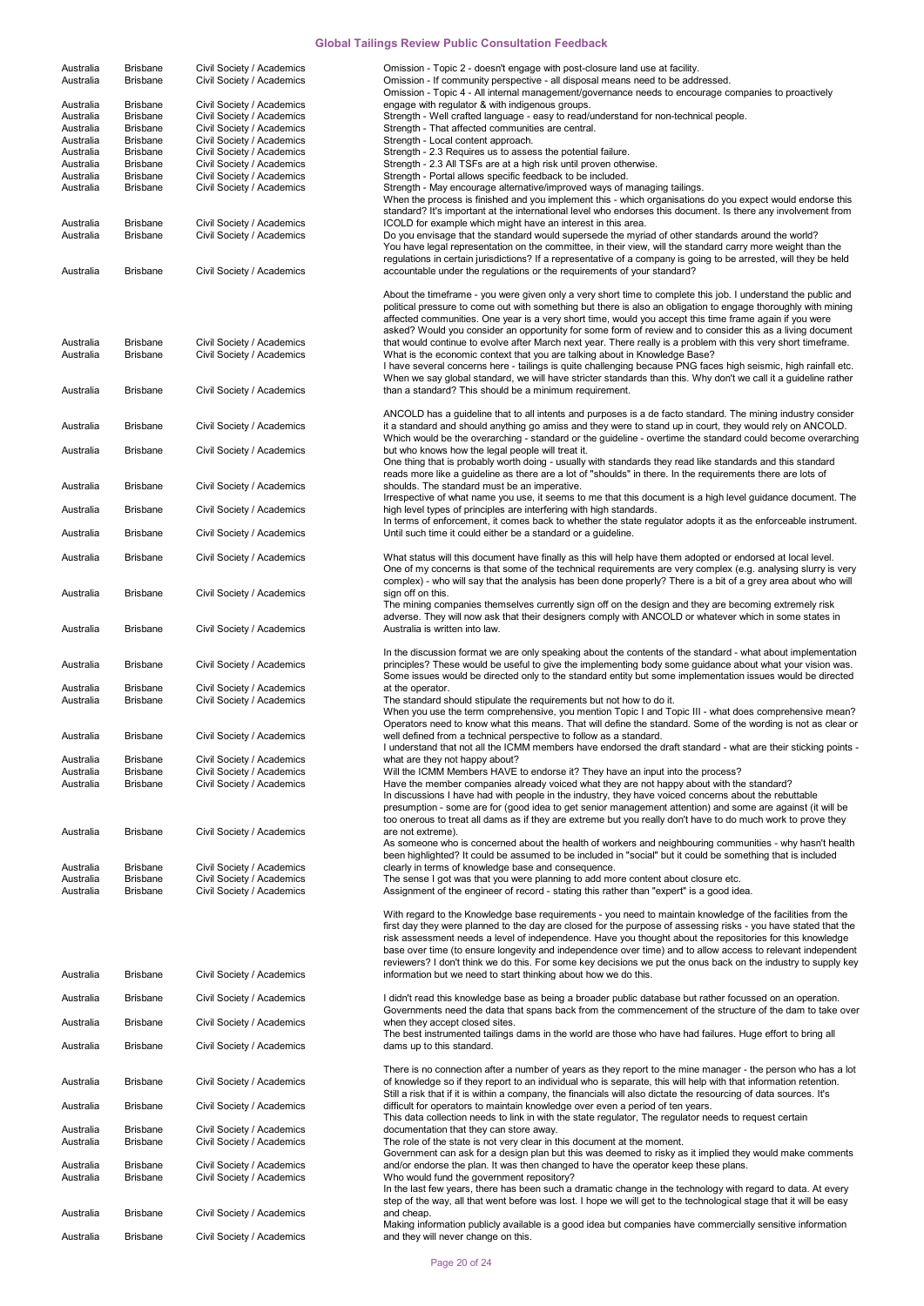| Australia | <b>Brisbane</b> | Civil Society / Academics | Omission - Topic 2 - doesn't engage with post-closure land use at facility.                                        |
|-----------|-----------------|---------------------------|--------------------------------------------------------------------------------------------------------------------|
| Australia | <b>Brisbane</b> | Civil Society / Academics | Omission - If community perspective - all disposal means need to be addressed.                                     |
|           |                 |                           | Omission - Topic 4 - All internal management/governance needs to encourage companies to proactively                |
| Australia | <b>Brisbane</b> | Civil Society / Academics | engage with regulator & with indigenous groups.                                                                    |
| Australia | <b>Brisbane</b> | Civil Society / Academics | Strength - Well crafted language - easy to read/understand for non-technical people.                               |
| Australia | <b>Brisbane</b> | Civil Society / Academics | Strength - That affected communities are central.                                                                  |
| Australia | <b>Brisbane</b> | Civil Society / Academics | Strength - Local content approach.                                                                                 |
| Australia | <b>Brisbane</b> | Civil Society / Academics | Strength - 2.3 Requires us to assess the potential failure.                                                        |
| Australia | <b>Brisbane</b> | Civil Society / Academics | Strength - 2.3 All TSFs are at a high risk until proven otherwise.                                                 |
| Australia | <b>Brisbane</b> | Civil Society / Academics | Strength - Portal allows specific feedback to be included.                                                         |
| Australia | <b>Brisbane</b> | Civil Society / Academics | Strength - May encourage alternative/improved ways of managing tailings.                                           |
|           |                 |                           | When the process is finished and you implement this - which organisations do you expect would endorse this         |
|           |                 |                           | standard? It's important at the international level who endorses this document. Is there any involvement from      |
| Australia | <b>Brisbane</b> | Civil Society / Academics | ICOLD for example which might have an interest in this area.                                                       |
| Australia | <b>Brisbane</b> | Civil Society / Academics | Do you envisage that the standard would supersede the myriad of other standards around the world?                  |
|           |                 |                           | You have legal representation on the committee, in their view, will the standard carry more weight than the        |
|           |                 |                           | regulations in certain jurisdictions? If a representative of a company is going to be arrested, will they be held  |
| Australia | <b>Brisbane</b> | Civil Society / Academics | accountable under the regulations or the requirements of your standard?                                            |
|           |                 |                           |                                                                                                                    |
|           |                 |                           | About the timeframe - you were given only a very short time to complete this job. I understand the public and      |
|           |                 |                           | political pressure to come out with something but there is also an obligation to engage thoroughly with mining     |
|           |                 |                           | affected communities. One year is a very short time, would you accept this time frame again if you were            |
|           |                 |                           | asked? Would you consider an opportunity for some form of review and to consider this as a living document         |
| Australia | <b>Brisbane</b> | Civil Society / Academics | that would continue to evolve after March next year. There really is a problem with this very short timeframe.     |
| Australia | <b>Brisbane</b> | Civil Society / Academics | What is the economic context that you are talking about in Knowledge Base?                                         |
|           |                 |                           | I have several concerns here - tailings is quite challenging because PNG faces high seismic, high rainfall etc.    |
|           |                 |                           | When we say global standard, we will have stricter standards than this. Why don't we call it a guideline rather    |
| Australia | <b>Brisbane</b> | Civil Society / Academics | than a standard? This should be a minimum requirement.                                                             |
|           |                 |                           |                                                                                                                    |
|           |                 |                           | ANCOLD has a guideline that to all intents and purposes is a de facto standard. The mining industry consider       |
| Australia | <b>Brisbane</b> | Civil Society / Academics | it a standard and should anything go amiss and they were to stand up in court, they would rely on ANCOLD.          |
|           |                 |                           | Which would be the overarching - standard or the guideline - overtime the standard could become overarching        |
| Australia | <b>Brisbane</b> | Civil Society / Academics | but who knows how the legal people will treat it.                                                                  |
|           |                 |                           | One thing that is probably worth doing - usually with standards they read like standards and this standard         |
|           |                 |                           | reads more like a guideline as there are a lot of "shoulds" in there. In the requirements there are lots of        |
| Australia | <b>Brisbane</b> | Civil Society / Academics | shoulds. The standard must be an imperative.                                                                       |
|           |                 |                           | Irrespective of what name you use, it seems to me that this document is a high level guidance document. The        |
| Australia | <b>Brisbane</b> | Civil Society / Academics | high level types of principles are interfering with high standards.                                                |
|           |                 |                           | In terms of enforcement, it comes back to whether the state regulator adopts it as the enforceable instrument.     |
| Australia | <b>Brisbane</b> | Civil Society / Academics | Until such time it could either be a standard or a guideline.                                                      |
|           |                 |                           |                                                                                                                    |
| Australia | <b>Brisbane</b> | Civil Society / Academics | What status will this document have finally as this will help have them adopted or endorsed at local level.        |
|           |                 |                           | One of my concerns is that some of the technical requirements are very complex (e.g. analysing slurry is very      |
|           |                 |                           | complex) - who will say that the analysis has been done properly? There is a bit of a grey area about who will     |
| Australia | <b>Brisbane</b> | Civil Society / Academics | sign off on this.                                                                                                  |
|           |                 |                           | The mining companies themselves currently sign off on the design and they are becoming extremely risk              |
|           |                 |                           | adverse. They will now ask that their designers comply with ANCOLD or whatever which in some states in             |
| Australia | <b>Brisbane</b> | Civil Society / Academics | Australia is written into law.                                                                                     |
|           |                 |                           |                                                                                                                    |
|           |                 |                           | In the discussion format we are only speaking about the contents of the standard - what about implementation       |
| Australia | <b>Brisbane</b> | Civil Society / Academics | principles? These would be useful to give the implementing body some guidance about what your vision was.          |
|           |                 |                           | Some issues would be directed only to the standard entity but some implementation issues would be directed         |
| Australia | <b>Brisbane</b> | Civil Society / Academics | at the operator.                                                                                                   |
| Australia | <b>Brisbane</b> | Civil Society / Academics | The standard should stipulate the requirements but not how to do it.                                               |
|           |                 |                           | When you use the term comprehensive, you mention Topic I and Topic III - what does comprehensive mean?             |
|           |                 |                           | Operators need to know what this means. That will define the standard. Some of the wording is not as clear or      |
| Australia | <b>Brisbane</b> | Civil Society / Academics | well defined from a technical perspective to follow as a standard.                                                 |
|           |                 |                           | I understand that not all the ICMM members have endorsed the draft standard - what are their sticking points -     |
| Australia | Brisbane        | Civil Society / Academics |                                                                                                                    |
| Australia | <b>Brisbane</b> | Civil Society / Academics | what are they not happy about?<br>Will the ICMM Members HAVE to endorse it? They have an input into the process?   |
| Australia | <b>Brisbane</b> |                           | Have the member companies already voiced what they are not happy about with the standard?                          |
|           |                 | Civil Society / Academics | In discussions I have had with people in the industry, they have voiced concerns about the rebuttable              |
|           |                 |                           |                                                                                                                    |
|           |                 |                           | presumption - some are for (good idea to get senior management attention) and some are against (it will be         |
|           |                 |                           | too onerous to treat all dams as if they are extreme but you really don't have to do much work to prove they       |
| Australia | <b>Brisbane</b> | Civil Society / Academics | are not extreme).                                                                                                  |
|           |                 |                           | As someone who is concerned about the health of workers and neighbouring communities - why hasn't health           |
|           |                 |                           | been highlighted? It could be assumed to be included in "social" but it could be something that is included        |
| Australia | <b>Brisbane</b> | Civil Society / Academics | clearly in terms of knowledge base and consequence.                                                                |
| Australia | <b>Brisbane</b> | Civil Society / Academics | The sense I got was that you were planning to add more content about closure etc.                                  |
| Australia | <b>Brisbane</b> | Civil Society / Academics | Assignment of the engineer of record - stating this rather than "expert" is a good idea.                           |
|           |                 |                           |                                                                                                                    |
|           |                 |                           | With regard to the Knowledge base requirements - you need to maintain knowledge of the facilities from the         |
|           |                 |                           | first day they were planned to the day are closed for the purpose of assessing risks - you have stated that the    |
|           |                 |                           | risk assessment needs a level of independence. Have you thought about the repositories for this knowledge          |
|           |                 |                           | base over time (to ensure longevity and independence over time) and to allow access to relevant independent        |
|           |                 |                           | reviewers? I don't think we do this. For some key decisions we put the onus back on the industry to supply key     |
| Australia | <b>Brisbane</b> | Civil Society / Academics | information but we need to start thinking about how we do this.                                                    |
|           |                 |                           |                                                                                                                    |
| Australia | <b>Brisbane</b> | Civil Society / Academics | I didn't read this knowledge base as being a broader public database but rather focussed on an operation.          |
|           |                 |                           | Governments need the data that spans back from the commencement of the structure of the dam to take over           |
| Australia |                 |                           |                                                                                                                    |
|           | <b>Brisbane</b> | Civil Society / Academics | when they accept closed sites.                                                                                     |
| Australia |                 |                           | The best instrumented tailings dams in the world are those who have had failures. Huge effort to bring all         |
|           | <b>Brisbane</b> | Civil Society / Academics | dams up to this standard.                                                                                          |
|           |                 |                           |                                                                                                                    |
|           |                 |                           | There is no connection after a number of years as they report to the mine manager - the person who has a lot       |
| Australia | <b>Brisbane</b> | Civil Society / Academics | of knowledge so if they report to an individual who is separate, this will help with that information retention.   |
|           |                 |                           | Still a risk that if it is within a company, the financials will also dictate the resourcing of data sources. It's |
| Australia | <b>Brisbane</b> | Civil Society / Academics | difficult for operators to maintain knowledge over even a period of ten years.                                     |
|           |                 |                           | This data collection needs to link in with the state regulator, The regulator needs to request certain             |
| Australia | <b>Brisbane</b> | Civil Society / Academics | documentation that they can store away.                                                                            |
| Australia | <b>Brisbane</b> | Civil Society / Academics | The role of the state is not very clear in this document at the moment.                                            |
|           |                 |                           | Government can ask for a design plan but this was deemed to risky as it implied they would make comments           |
| Australia | <b>Brisbane</b> | Civil Society / Academics | and/or endorse the plan. It was then changed to have the operator keep these plans.                                |
| Australia | <b>Brisbane</b> | Civil Society / Academics | Who would fund the government repository?                                                                          |
|           |                 |                           | In the last few years, there has been such a dramatic change in the technology with regard to data. At every       |
|           |                 |                           | step of the way, all that went before was lost. I hope we will get to the technological stage that it will be easy |
| Australia | <b>Brisbane</b> | Civil Society / Academics | and cheap.                                                                                                         |
|           |                 |                           | Making information publicly available is a good idea but companies have commercially sensitive information         |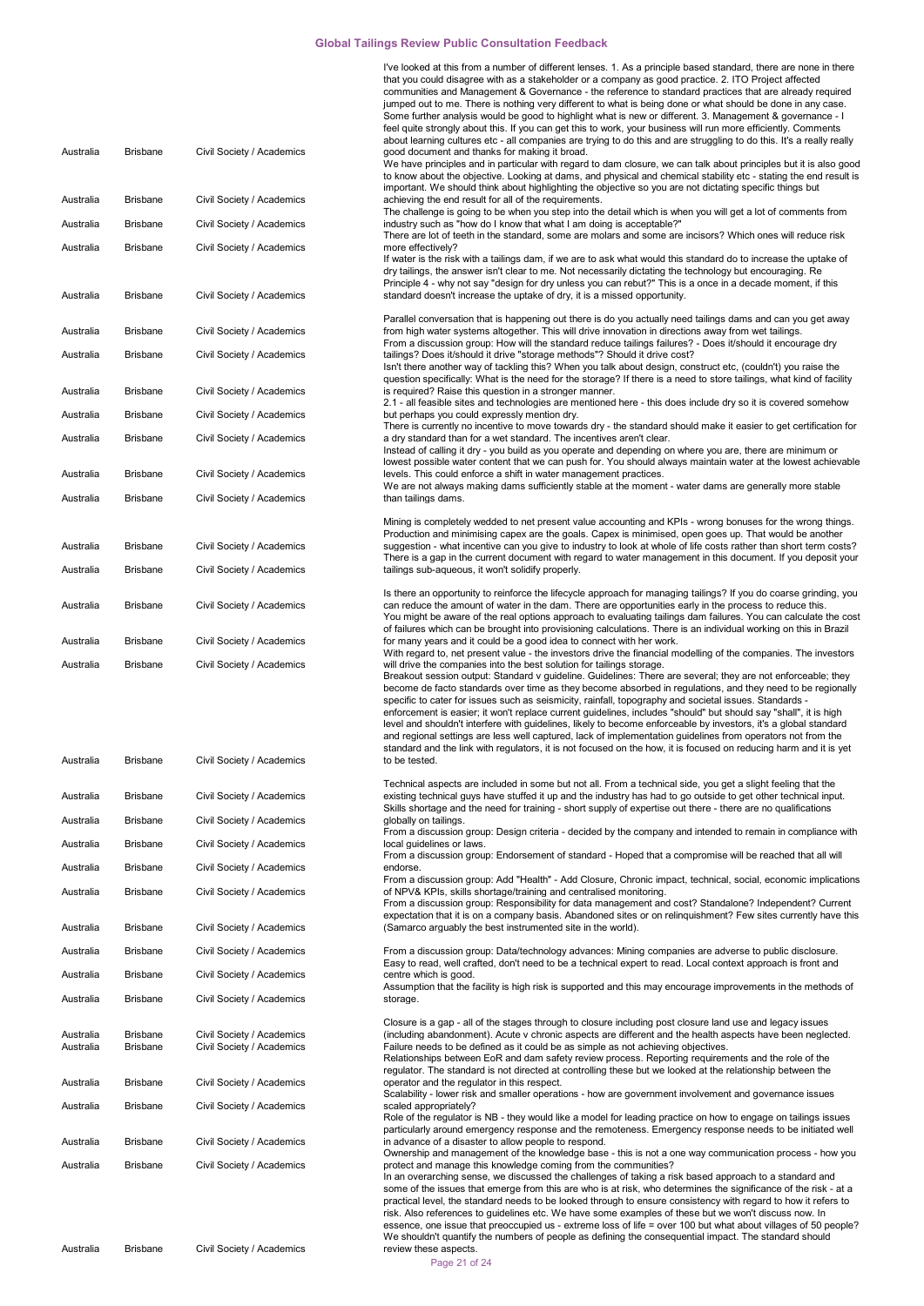| Australia              | Brisbane             | Civil Society / Academics                              | I've looked at this from a number of different lenses. 1. As a principle based standard, there are none in there<br>that you could disagree with as a stakeholder or a company as good practice. 2. ITO Project affected<br>communities and Management & Governance - the reference to standard practices that are already required<br>jumped out to me. There is nothing very different to what is being done or what should be done in any case.<br>Some further analysis would be good to highlight what is new or different. 3. Management & governance - I<br>feel quite strongly about this. If you can get this to work, your business will run more efficiently. Comments<br>about learning cultures etc - all companies are trying to do this and are struggling to do this. It's a really really<br>good document and thanks for making it broad.                                                                                                                                                                   |
|------------------------|----------------------|--------------------------------------------------------|-------------------------------------------------------------------------------------------------------------------------------------------------------------------------------------------------------------------------------------------------------------------------------------------------------------------------------------------------------------------------------------------------------------------------------------------------------------------------------------------------------------------------------------------------------------------------------------------------------------------------------------------------------------------------------------------------------------------------------------------------------------------------------------------------------------------------------------------------------------------------------------------------------------------------------------------------------------------------------------------------------------------------------|
|                        |                      |                                                        | We have principles and in particular with regard to dam closure, we can talk about principles but it is also good<br>to know about the objective. Looking at dams, and physical and chemical stability etc - stating the end result is<br>important. We should think about highlighting the objective so you are not dictating specific things but                                                                                                                                                                                                                                                                                                                                                                                                                                                                                                                                                                                                                                                                            |
| Australia              | Brisbane             | Civil Society / Academics                              | achieving the end result for all of the requirements.<br>The challenge is going to be when you step into the detail which is when you will get a lot of comments from                                                                                                                                                                                                                                                                                                                                                                                                                                                                                                                                                                                                                                                                                                                                                                                                                                                         |
| Australia              | <b>Brisbane</b>      | Civil Society / Academics                              | industry such as "how do I know that what I am doing is acceptable?"<br>There are lot of teeth in the standard, some are molars and some are incisors? Which ones will reduce risk                                                                                                                                                                                                                                                                                                                                                                                                                                                                                                                                                                                                                                                                                                                                                                                                                                            |
| Australia              | Brisbane             | Civil Society / Academics                              | more effectively?<br>If water is the risk with a tailings dam, if we are to ask what would this standard do to increase the uptake of<br>dry tailings, the answer isn't clear to me. Not necessarily dictating the technology but encouraging. Re<br>Principle 4 - why not say "design for dry unless you can rebut?" This is a once in a decade moment, if this                                                                                                                                                                                                                                                                                                                                                                                                                                                                                                                                                                                                                                                              |
| Australia              | Brisbane             | Civil Society / Academics                              | standard doesn't increase the uptake of dry, it is a missed opportunity.                                                                                                                                                                                                                                                                                                                                                                                                                                                                                                                                                                                                                                                                                                                                                                                                                                                                                                                                                      |
| Australia              | Brisbane             | Civil Society / Academics                              | Parallel conversation that is happening out there is do you actually need tailings dams and can you get away<br>from high water systems altogether. This will drive innovation in directions away from wet tailings.                                                                                                                                                                                                                                                                                                                                                                                                                                                                                                                                                                                                                                                                                                                                                                                                          |
| Australia              | <b>Brisbane</b>      | Civil Society / Academics                              | From a discussion group: How will the standard reduce tailings failures? - Does it/should it encourage dry<br>tailings? Does it/should it drive "storage methods"? Should it drive cost?<br>Isn't there another way of tackling this? When you talk about design, construct etc, (couldn't) you raise the<br>question specifically: What is the need for the storage? If there is a need to store tailings, what kind of facility                                                                                                                                                                                                                                                                                                                                                                                                                                                                                                                                                                                             |
| Australia              | <b>Brisbane</b>      | Civil Society / Academics                              | is required? Raise this question in a stronger manner.                                                                                                                                                                                                                                                                                                                                                                                                                                                                                                                                                                                                                                                                                                                                                                                                                                                                                                                                                                        |
| Australia              | Brisbane             | Civil Society / Academics                              | 2.1 - all feasible sites and technologies are mentioned here - this does include dry so it is covered somehow<br>but perhaps you could expressly mention dry.                                                                                                                                                                                                                                                                                                                                                                                                                                                                                                                                                                                                                                                                                                                                                                                                                                                                 |
| Australia              | <b>Brisbane</b>      | Civil Society / Academics                              | There is currently no incentive to move towards dry - the standard should make it easier to get certification for<br>a dry standard than for a wet standard. The incentives aren't clear.<br>Instead of calling it dry - you build as you operate and depending on where you are, there are minimum or                                                                                                                                                                                                                                                                                                                                                                                                                                                                                                                                                                                                                                                                                                                        |
| Australia              | <b>Brisbane</b>      | Civil Society / Academics                              | lowest possible water content that we can push for. You should always maintain water at the lowest achievable<br>levels. This could enforce a shift in water management practices.                                                                                                                                                                                                                                                                                                                                                                                                                                                                                                                                                                                                                                                                                                                                                                                                                                            |
| Australia              | Brisbane             | Civil Society / Academics                              | We are not always making dams sufficiently stable at the moment - water dams are generally more stable<br>than tailings dams.                                                                                                                                                                                                                                                                                                                                                                                                                                                                                                                                                                                                                                                                                                                                                                                                                                                                                                 |
|                        |                      |                                                        | Mining is completely wedded to net present value accounting and KPIs - wrong bonuses for the wrong things.                                                                                                                                                                                                                                                                                                                                                                                                                                                                                                                                                                                                                                                                                                                                                                                                                                                                                                                    |
| Australia              | <b>Brisbane</b>      | Civil Society / Academics                              | Production and minimising capex are the goals. Capex is minimised, open goes up. That would be another<br>suggestion - what incentive can you give to industry to look at whole of life costs rather than short term costs?<br>There is a gap in the current document with regard to water management in this document. If you deposit your                                                                                                                                                                                                                                                                                                                                                                                                                                                                                                                                                                                                                                                                                   |
| Australia              | Brisbane             | Civil Society / Academics                              | tailings sub-aqueous, it won't solidify properly.                                                                                                                                                                                                                                                                                                                                                                                                                                                                                                                                                                                                                                                                                                                                                                                                                                                                                                                                                                             |
| Australia              | <b>Brisbane</b>      | Civil Society / Academics                              | Is there an opportunity to reinforce the lifecycle approach for managing tailings? If you do coarse grinding, you<br>can reduce the amount of water in the dam. There are opportunities early in the process to reduce this.<br>You might be aware of the real options approach to evaluating tailings dam failures. You can calculate the cost                                                                                                                                                                                                                                                                                                                                                                                                                                                                                                                                                                                                                                                                               |
| Australia              | <b>Brisbane</b>      | Civil Society / Academics                              | of failures which can be brought into provisioning calculations. There is an individual working on this in Brazil<br>for many years and it could be a good idea to connect with her work.                                                                                                                                                                                                                                                                                                                                                                                                                                                                                                                                                                                                                                                                                                                                                                                                                                     |
| Australia<br>Australia | Brisbane<br>Brisbane | Civil Society / Academics<br>Civil Society / Academics | With regard to, net present value - the investors drive the financial modelling of the companies. The investors<br>will drive the companies into the best solution for tailings storage.<br>Breakout session output: Standard v guideline. Guidelines: There are several; they are not enforceable; they<br>become de facto standards over time as they become absorbed in regulations, and they need to be regionally<br>specific to cater for issues such as seismicity, rainfall, topography and societal issues. Standards -<br>enforcement is easier; it won't replace current guidelines, includes "should" but should say "shall", it is high<br>level and shouldn't interfere with guidelines, likely to become enforceable by investors, it's a global standard<br>and regional settings are less well captured, lack of implementation guidelines from operators not from the<br>standard and the link with regulators, it is not focused on the how, it is focused on reducing harm and it is yet<br>to be tested. |
|                        |                      |                                                        | Technical aspects are included in some but not all. From a technical side, you get a slight feeling that the                                                                                                                                                                                                                                                                                                                                                                                                                                                                                                                                                                                                                                                                                                                                                                                                                                                                                                                  |
| Australia              | <b>Brisbane</b>      | Civil Society / Academics                              | existing technical guys have stuffed it up and the industry has had to go outside to get other technical input.<br>Skills shortage and the need for training - short supply of expertise out there - there are no qualifications                                                                                                                                                                                                                                                                                                                                                                                                                                                                                                                                                                                                                                                                                                                                                                                              |
| Australia              | <b>Brisbane</b>      | Civil Society / Academics                              | globally on tailings.<br>From a discussion group: Design criteria - decided by the company and intended to remain in compliance with                                                                                                                                                                                                                                                                                                                                                                                                                                                                                                                                                                                                                                                                                                                                                                                                                                                                                          |
| Australia              | Brisbane             | Civil Society / Academics                              | local guidelines or laws.<br>From a discussion group: Endorsement of standard - Hoped that a compromise will be reached that all will                                                                                                                                                                                                                                                                                                                                                                                                                                                                                                                                                                                                                                                                                                                                                                                                                                                                                         |
| Australia              | <b>Brisbane</b>      | Civil Society / Academics                              | endorse.<br>From a discussion group: Add "Health" - Add Closure, Chronic impact, technical, social, economic implications                                                                                                                                                                                                                                                                                                                                                                                                                                                                                                                                                                                                                                                                                                                                                                                                                                                                                                     |
| Australia              | <b>Brisbane</b>      | Civil Society / Academics                              | of NPV& KPIs, skills shortage/training and centralised monitoring.<br>From a discussion group: Responsibility for data management and cost? Standalone? Independent? Current<br>expectation that it is on a company basis. Abandoned sites or on relinguishment? Few sites currently have this                                                                                                                                                                                                                                                                                                                                                                                                                                                                                                                                                                                                                                                                                                                                |
| Australia              | <b>Brisbane</b>      | Civil Society / Academics                              | (Samarco arguably the best instrumented site in the world).                                                                                                                                                                                                                                                                                                                                                                                                                                                                                                                                                                                                                                                                                                                                                                                                                                                                                                                                                                   |
| Australia              | <b>Brisbane</b>      | Civil Society / Academics                              | From a discussion group: Data/technology advances: Mining companies are adverse to public disclosure.<br>Easy to read, well crafted, don't need to be a technical expert to read. Local context approach is front and                                                                                                                                                                                                                                                                                                                                                                                                                                                                                                                                                                                                                                                                                                                                                                                                         |
| Australia              | <b>Brisbane</b>      | Civil Society / Academics                              | centre which is good.<br>Assumption that the facility is high risk is supported and this may encourage improvements in the methods of                                                                                                                                                                                                                                                                                                                                                                                                                                                                                                                                                                                                                                                                                                                                                                                                                                                                                         |
| Australia              | <b>Brisbane</b>      | Civil Society / Academics                              | storage.                                                                                                                                                                                                                                                                                                                                                                                                                                                                                                                                                                                                                                                                                                                                                                                                                                                                                                                                                                                                                      |
| Australia              | <b>Brisbane</b>      | Civil Society / Academics                              | Closure is a gap - all of the stages through to closure including post closure land use and legacy issues<br>(including abandonment). Acute v chronic aspects are different and the health aspects have been neglected.                                                                                                                                                                                                                                                                                                                                                                                                                                                                                                                                                                                                                                                                                                                                                                                                       |
| Australia              | <b>Brisbane</b>      | Civil Society / Academics                              | Failure needs to be defined as it could be as simple as not achieving objectives.<br>Relationships between EoR and dam safety review process. Reporting requirements and the role of the<br>regulator. The standard is not directed at controlling these but we looked at the relationship between the                                                                                                                                                                                                                                                                                                                                                                                                                                                                                                                                                                                                                                                                                                                        |
| Australia              | <b>Brisbane</b>      | Civil Society / Academics                              | operator and the regulator in this respect.<br>Scalability - lower risk and smaller operations - how are government involvement and governance issues                                                                                                                                                                                                                                                                                                                                                                                                                                                                                                                                                                                                                                                                                                                                                                                                                                                                         |
| Australia              | Brisbane             | Civil Society / Academics                              | scaled appropriately?<br>Role of the regulator is NB - they would like a model for leading practice on how to engage on tailings issues<br>particularly around emergency response and the remoteness. Emergency response needs to be initiated well                                                                                                                                                                                                                                                                                                                                                                                                                                                                                                                                                                                                                                                                                                                                                                           |
| Australia              | Brisbane             | Civil Society / Academics                              | in advance of a disaster to allow people to respond.                                                                                                                                                                                                                                                                                                                                                                                                                                                                                                                                                                                                                                                                                                                                                                                                                                                                                                                                                                          |
| Australia              | <b>Brisbane</b>      | Civil Society / Academics                              | Ownership and management of the knowledge base - this is not a one way communication process - how you<br>protect and manage this knowledge coming from the communities?<br>In an overarching sense, we discussed the challenges of taking a risk based approach to a standard and<br>some of the issues that emerge from this are who is at risk, who determines the significance of the risk - at a<br>practical level, the standard needs to be looked through to ensure consistency with regard to how it refers to<br>risk. Also references to guidelines etc. We have some examples of these but we won't discuss now. In<br>essence, one issue that preoccupied us - extreme loss of life = over 100 but what about villages of 50 people?<br>We shouldn't quantify the numbers of people as defining the consequential impact. The standard should                                                                                                                                                                    |
| Australia              | <b>Brisbane</b>      | Civil Society / Academics                              | review these aspects.                                                                                                                                                                                                                                                                                                                                                                                                                                                                                                                                                                                                                                                                                                                                                                                                                                                                                                                                                                                                         |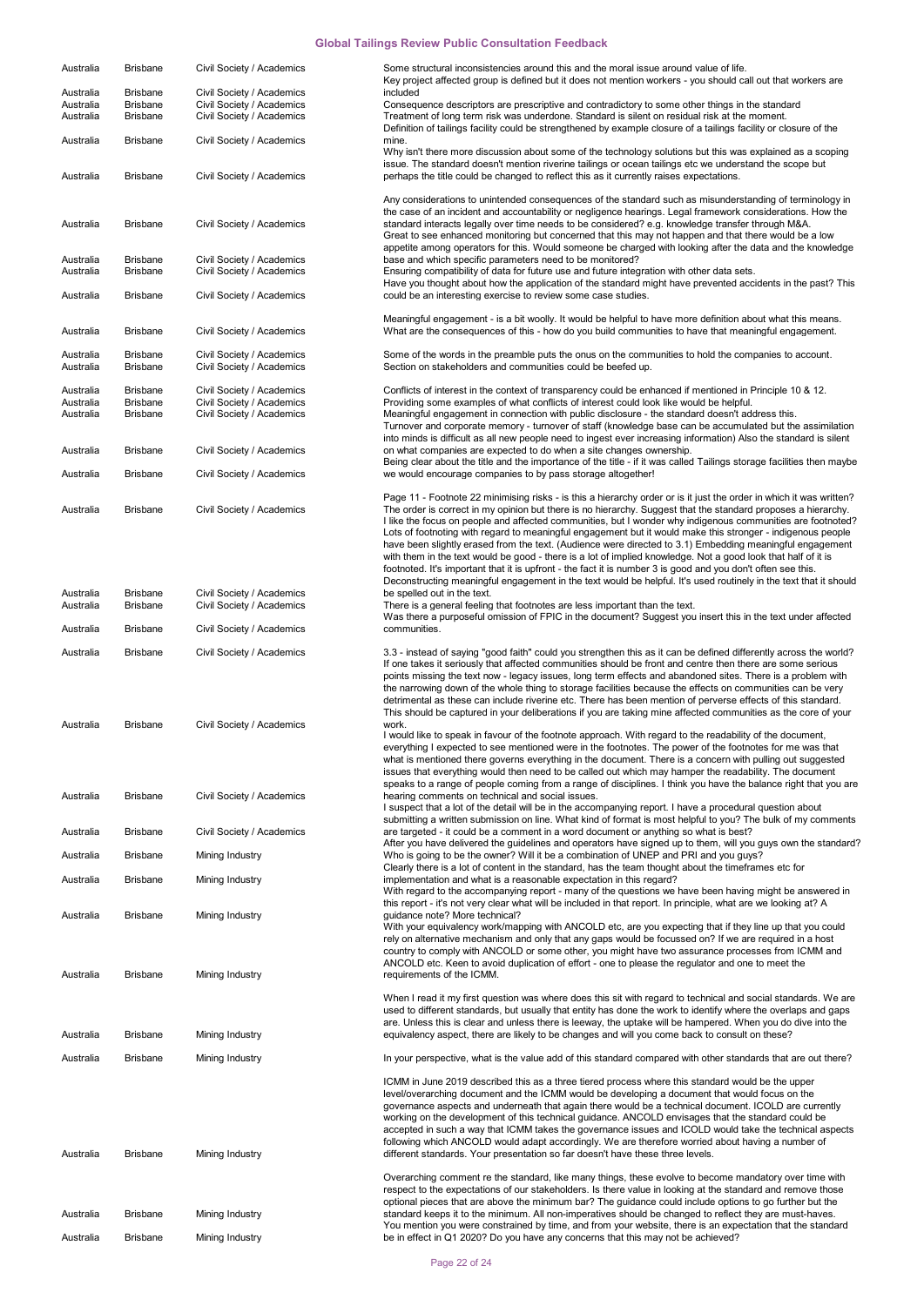| Australia                           | <b>Brisbane</b>                                       | Civil Society / Academics                                                           | Some structural inconsistencies around this and the moral issue around value of life.<br>Key project affected group is defined but it does not mention workers - you should call out that workers are                                                                                                                                                                                                                                                                                                                                                                                                                                                                                                                                                                                                           |
|-------------------------------------|-------------------------------------------------------|-------------------------------------------------------------------------------------|-----------------------------------------------------------------------------------------------------------------------------------------------------------------------------------------------------------------------------------------------------------------------------------------------------------------------------------------------------------------------------------------------------------------------------------------------------------------------------------------------------------------------------------------------------------------------------------------------------------------------------------------------------------------------------------------------------------------------------------------------------------------------------------------------------------------|
| Australia<br>Australia<br>Australia | <b>Brisbane</b><br><b>Brisbane</b><br><b>Brisbane</b> | Civil Society / Academics<br>Civil Society / Academics<br>Civil Society / Academics | included<br>Consequence descriptors are prescriptive and contradictory to some other things in the standard<br>Treatment of long term risk was underdone. Standard is silent on residual risk at the moment.                                                                                                                                                                                                                                                                                                                                                                                                                                                                                                                                                                                                    |
| Australia                           | <b>Brisbane</b>                                       | Civil Society / Academics                                                           | Definition of tailings facility could be strengthened by example closure of a tailings facility or closure of the<br>mine.<br>Why isn't there more discussion about some of the technology solutions but this was explained as a scoping                                                                                                                                                                                                                                                                                                                                                                                                                                                                                                                                                                        |
| Australia                           | <b>Brisbane</b>                                       | Civil Society / Academics                                                           | issue. The standard doesn't mention riverine tailings or ocean tailings etc we understand the scope but<br>perhaps the title could be changed to reflect this as it currently raises expectations.                                                                                                                                                                                                                                                                                                                                                                                                                                                                                                                                                                                                              |
| Australia                           | <b>Brisbane</b>                                       | Civil Society / Academics                                                           | Any considerations to unintended consequences of the standard such as misunderstanding of terminology in<br>the case of an incident and accountability or negligence hearings. Legal framework considerations. How the<br>standard interacts legally over time needs to be considered? e.g. knowledge transfer through M&A.<br>Great to see enhanced monitoring but concerned that this may not happen and that there would be a low<br>appetite among operators for this. Would someone be charged with looking after the data and the knowledge                                                                                                                                                                                                                                                               |
| Australia<br>Australia              | <b>Brisbane</b><br><b>Brisbane</b>                    | Civil Society / Academics<br>Civil Society / Academics                              | base and which specific parameters need to be monitored?<br>Ensuring compatibility of data for future use and future integration with other data sets.<br>Have you thought about how the application of the standard might have prevented accidents in the past? This                                                                                                                                                                                                                                                                                                                                                                                                                                                                                                                                           |
| Australia                           | <b>Brisbane</b>                                       | Civil Society / Academics                                                           | could be an interesting exercise to review some case studies.                                                                                                                                                                                                                                                                                                                                                                                                                                                                                                                                                                                                                                                                                                                                                   |
| Australia                           | <b>Brisbane</b>                                       | Civil Society / Academics                                                           | Meaningful engagement - is a bit woolly. It would be helpful to have more definition about what this means.<br>What are the consequences of this - how do you build communities to have that meaningful engagement.                                                                                                                                                                                                                                                                                                                                                                                                                                                                                                                                                                                             |
| Australia<br>Australia              | <b>Brisbane</b><br><b>Brisbane</b>                    | Civil Society / Academics<br>Civil Society / Academics                              | Some of the words in the preamble puts the onus on the communities to hold the companies to account.<br>Section on stakeholders and communities could be beefed up.                                                                                                                                                                                                                                                                                                                                                                                                                                                                                                                                                                                                                                             |
| Australia<br>Australia              | <b>Brisbane</b><br><b>Brisbane</b>                    | Civil Society / Academics<br>Civil Society / Academics                              | Conflicts of interest in the context of transparency could be enhanced if mentioned in Principle 10 & 12.<br>Providing some examples of what conflicts of interest could look like would be helpful.                                                                                                                                                                                                                                                                                                                                                                                                                                                                                                                                                                                                            |
| Australia                           | <b>Brisbane</b>                                       | Civil Society / Academics                                                           | Meaningful engagement in connection with public disclosure - the standard doesn't address this.<br>Turnover and corporate memory - turnover of staff (knowledge base can be accumulated but the assimilation<br>into minds is difficult as all new people need to ingest ever increasing information) Also the standard is silent                                                                                                                                                                                                                                                                                                                                                                                                                                                                               |
| Australia                           | <b>Brisbane</b>                                       | Civil Society / Academics                                                           | on what companies are expected to do when a site changes ownership.<br>Being clear about the title and the importance of the title - if it was called Tailings storage facilities then maybe                                                                                                                                                                                                                                                                                                                                                                                                                                                                                                                                                                                                                    |
| Australia                           | <b>Brisbane</b>                                       | Civil Society / Academics                                                           | we would encourage companies to by pass storage altogether!                                                                                                                                                                                                                                                                                                                                                                                                                                                                                                                                                                                                                                                                                                                                                     |
| Australia                           | <b>Brisbane</b>                                       | Civil Society / Academics                                                           | Page 11 - Footnote 22 minimising risks - is this a hierarchy order or is it just the order in which it was written?<br>The order is correct in my opinion but there is no hierarchy. Suggest that the standard proposes a hierarchy.<br>I like the focus on people and affected communities, but I wonder why indigenous communities are footnoted?<br>Lots of footnoting with regard to meaningful engagement but it would make this stronger - indigenous people<br>have been slightly erased from the text. (Audience were directed to 3.1) Embedding meaningful engagement<br>with them in the text would be good - there is a lot of implied knowledge. Not a good look that half of it is<br>footnoted. It's important that it is upfront - the fact it is number 3 is good and you don't often see this. |
| Australia<br>Australia              | <b>Brisbane</b><br><b>Brisbane</b>                    | Civil Society / Academics<br>Civil Society / Academics                              | Deconstructing meaningful engagement in the text would be helpful. It's used routinely in the text that it should<br>be spelled out in the text.<br>There is a general feeling that footnotes are less important than the text.                                                                                                                                                                                                                                                                                                                                                                                                                                                                                                                                                                                 |
| Australia                           | <b>Brisbane</b>                                       | Civil Society / Academics                                                           | Was there a purposeful omission of FPIC in the document? Suggest you insert this in the text under affected<br>communities.                                                                                                                                                                                                                                                                                                                                                                                                                                                                                                                                                                                                                                                                                     |
| Australia                           | <b>Brisbane</b>                                       | Civil Society / Academics                                                           | 3.3 - instead of saying "good faith" could you strengthen this as it can be defined differently across the world?<br>If one takes it seriously that affected communities should be front and centre then there are some serious<br>points missing the text now - legacy issues, long term effects and abandoned sites. There is a problem with<br>the narrowing down of the whole thing to storage facilities because the effects on communities can be very<br>detrimental as these can include riverine etc. There has been mention of perverse effects of this standard.<br>This should be captured in your deliberations if you are taking mine affected communities as the core of your                                                                                                                    |
| Australia<br>Australia              | <b>Brisbane</b><br><b>Brisbane</b>                    | Civil Society / Academics<br>Civil Society / Academics                              | work.<br>I would like to speak in favour of the footnote approach. With regard to the readability of the document,<br>everything I expected to see mentioned were in the footnotes. The power of the footnotes for me was that<br>what is mentioned there governs everything in the document. There is a concern with pulling out suggested<br>issues that everything would then need to be called out which may hamper the readability. The document<br>speaks to a range of people coming from a range of disciplines. I think you have the balance right that you are<br>hearing comments on technical and social issues.                                                                                                                                                                                    |
| Australia                           | <b>Brisbane</b>                                       | Civil Society / Academics                                                           | I suspect that a lot of the detail will be in the accompanying report. I have a procedural question about<br>submitting a written submission on line. What kind of format is most helpful to you? The bulk of my comments<br>are targeted - it could be a comment in a word document or anything so what is best?                                                                                                                                                                                                                                                                                                                                                                                                                                                                                               |
| Australia                           | <b>Brisbane</b>                                       | Mining Industry                                                                     | After you have delivered the guidelines and operators have signed up to them, will you guys own the standard?<br>Who is going to be the owner? Will it be a combination of UNEP and PRI and you guys?                                                                                                                                                                                                                                                                                                                                                                                                                                                                                                                                                                                                           |
| Australia                           | <b>Brisbane</b>                                       | Mining Industry                                                                     | Clearly there is a lot of content in the standard, has the team thought about the timeframes etc for<br>implementation and what is a reasonable expectation in this regard?                                                                                                                                                                                                                                                                                                                                                                                                                                                                                                                                                                                                                                     |
| Australia                           | <b>Brisbane</b>                                       | Mining Industry                                                                     | With regard to the accompanying report - many of the questions we have been having might be answered in<br>this report - it's not very clear what will be included in that report. In principle, what are we looking at? A<br>quidance note? More technical?<br>With your equivalency work/mapping with ANCOLD etc, are you expecting that if they line up that you could                                                                                                                                                                                                                                                                                                                                                                                                                                       |
| Australia                           | Brisbane                                              | Mining Industry                                                                     | rely on alternative mechanism and only that any gaps would be focussed on? If we are required in a host<br>country to comply with ANCOLD or some other, you might have two assurance processes from ICMM and<br>ANCOLD etc. Keen to avoid duplication of effort - one to please the regulator and one to meet the<br>requirements of the ICMM.                                                                                                                                                                                                                                                                                                                                                                                                                                                                  |
|                                     |                                                       |                                                                                     | When I read it my first question was where does this sit with regard to technical and social standards. We are<br>used to different standards, but usually that entity has done the work to identify where the overlaps and gaps<br>are. Unless this is clear and unless there is leeway, the uptake will be hampered. When you do dive into the                                                                                                                                                                                                                                                                                                                                                                                                                                                                |
| Australia                           | Brisbane                                              | Mining Industry                                                                     | equivalency aspect, there are likely to be changes and will you come back to consult on these?                                                                                                                                                                                                                                                                                                                                                                                                                                                                                                                                                                                                                                                                                                                  |
| Australia                           | <b>Brisbane</b>                                       | Mining Industry                                                                     | In your perspective, what is the value add of this standard compared with other standards that are out there?                                                                                                                                                                                                                                                                                                                                                                                                                                                                                                                                                                                                                                                                                                   |
| Australia                           | <b>Brisbane</b>                                       | Mining Industry                                                                     | ICMM in June 2019 described this as a three tiered process where this standard would be the upper<br>level/overarching document and the ICMM would be developing a document that would focus on the<br>governance aspects and underneath that again there would be a technical document. ICOLD are currently<br>working on the development of this technical guidance. ANCOLD envisages that the standard could be<br>accepted in such a way that ICMM takes the governance issues and ICOLD would take the technical aspects<br>following which ANCOLD would adapt accordingly. We are therefore worried about having a number of<br>different standards. Your presentation so far doesn't have these three levels.                                                                                            |
|                                     |                                                       |                                                                                     | Overarching comment re the standard, like many things, these evolve to become mandatory over time with<br>respect to the expectations of our stakeholders. Is there value in looking at the standard and remove those                                                                                                                                                                                                                                                                                                                                                                                                                                                                                                                                                                                           |
| Australia                           | <b>Brisbane</b>                                       | Mining Industry                                                                     | optional pieces that are above the minimum bar? The guidance could include options to go further but the<br>standard keeps it to the minimum. All non-imperatives should be changed to reflect they are must-haves.                                                                                                                                                                                                                                                                                                                                                                                                                                                                                                                                                                                             |
| Australia                           | <b>Brisbane</b>                                       | Mining Industry                                                                     | You mention you were constrained by time, and from your website, there is an expectation that the standard<br>be in effect in Q1 2020? Do you have any concerns that this may not be achieved?                                                                                                                                                                                                                                                                                                                                                                                                                                                                                                                                                                                                                  |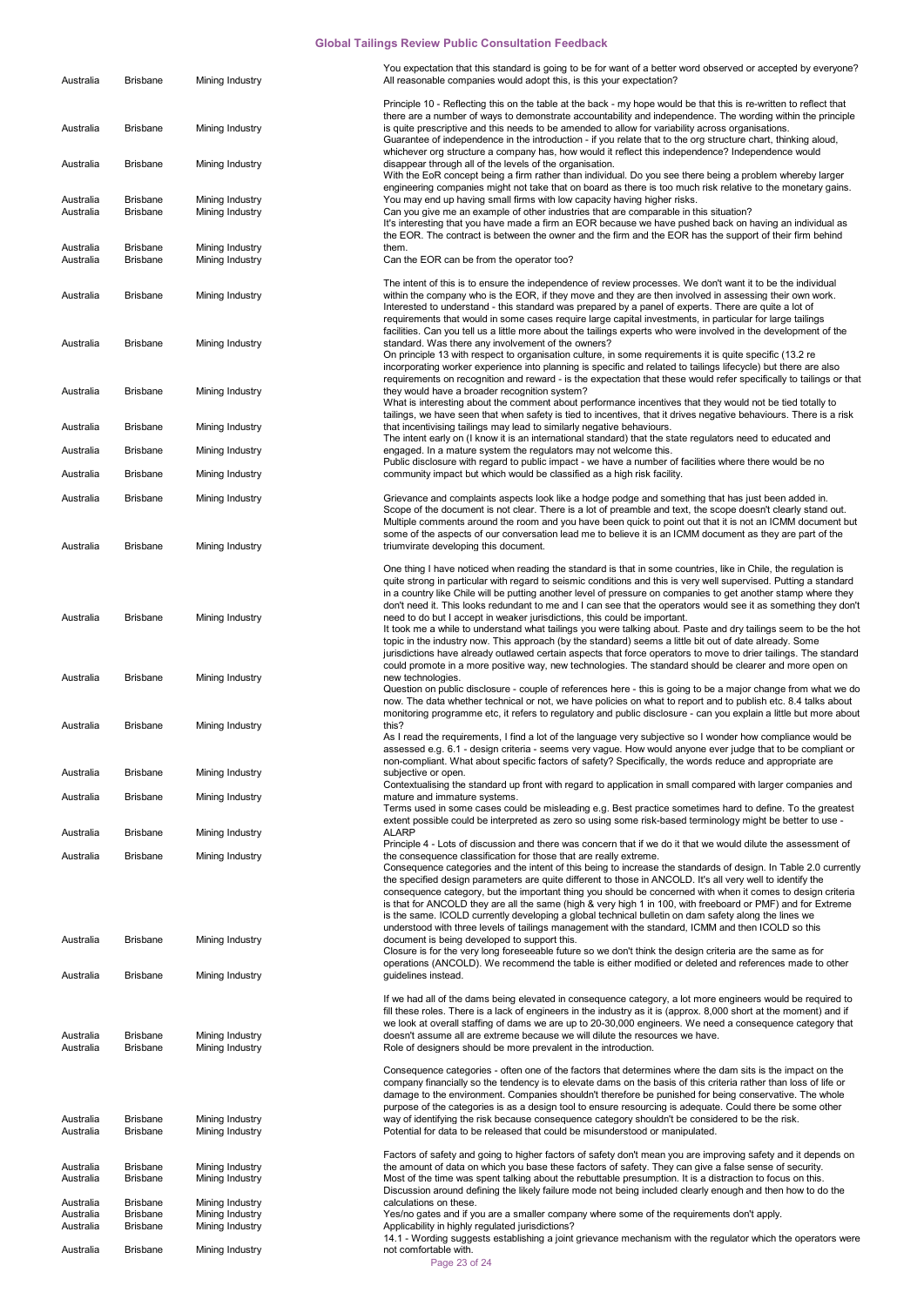| Australia                           | <b>Brisbane</b>                                       | Mining Industry                                       | You expectation that this standard is going to be for want of a better word observed or accepted by everyone?<br>All reasonable companies would adopt this, is this your expectation?                                                                                                                                                                                                                                                                                                                                                                                                                                                                                                                                                          |
|-------------------------------------|-------------------------------------------------------|-------------------------------------------------------|------------------------------------------------------------------------------------------------------------------------------------------------------------------------------------------------------------------------------------------------------------------------------------------------------------------------------------------------------------------------------------------------------------------------------------------------------------------------------------------------------------------------------------------------------------------------------------------------------------------------------------------------------------------------------------------------------------------------------------------------|
| Australia                           | <b>Brisbane</b>                                       | Mining Industry                                       | Principle 10 - Reflecting this on the table at the back - my hope would be that this is re-written to reflect that<br>there are a number of ways to demonstrate accountability and independence. The wording within the principle<br>is quite prescriptive and this needs to be amended to allow for variability across organisations.<br>Guarantee of independence in the introduction - if you relate that to the org structure chart, thinking aloud,                                                                                                                                                                                                                                                                                       |
| Australia                           | <b>Brisbane</b>                                       | Mining Industry                                       | whichever org structure a company has, how would it reflect this independence? Independence would<br>disappear through all of the levels of the organisation.<br>With the EoR concept being a firm rather than individual. Do you see there being a problem whereby larger                                                                                                                                                                                                                                                                                                                                                                                                                                                                     |
| Australia<br>Australia              | <b>Brisbane</b><br>Brisbane                           | Mining Industry<br>Mining Industry                    | engineering companies might not take that on board as there is too much risk relative to the monetary gains.<br>You may end up having small firms with low capacity having higher risks.<br>Can you give me an example of other industries that are comparable in this situation?<br>It's interesting that you have made a firm an EOR because we have pushed back on having an individual as<br>the EOR. The contract is between the owner and the firm and the EOR has the support of their firm behind                                                                                                                                                                                                                                      |
| Australia<br>Australia              | <b>Brisbane</b><br><b>Brisbane</b>                    | Mining Industry<br>Mining Industry                    | them.<br>Can the EOR can be from the operator too?                                                                                                                                                                                                                                                                                                                                                                                                                                                                                                                                                                                                                                                                                             |
| Australia                           | <b>Brisbane</b>                                       | Mining Industry                                       | The intent of this is to ensure the independence of review processes. We don't want it to be the individual<br>within the company who is the EOR, if they move and they are then involved in assessing their own work.<br>Interested to understand - this standard was prepared by a panel of experts. There are quite a lot of<br>requirements that would in some cases require large capital investments, in particular for large tailings                                                                                                                                                                                                                                                                                                   |
| Australia                           | <b>Brisbane</b>                                       | Mining Industry                                       | facilities. Can you tell us a little more about the tailings experts who were involved in the development of the<br>standard. Was there any involvement of the owners?<br>On principle 13 with respect to organisation culture, in some requirements it is quite specific (13.2 re<br>incorporating worker experience into planning is specific and related to tailings lifecycle) but there are also                                                                                                                                                                                                                                                                                                                                          |
| Australia                           | Brisbane                                              | Mining Industry                                       | requirements on recognition and reward - is the expectation that these would refer specifically to tailings or that<br>they would have a broader recognition system?<br>What is interesting about the comment about performance incentives that they would not be tied totally to<br>tailings, we have seen that when safety is tied to incentives, that it drives negative behaviours. There is a risk                                                                                                                                                                                                                                                                                                                                        |
| Australia                           | <b>Brisbane</b>                                       | Mining Industry                                       | that incentivising tailings may lead to similarly negative behaviours.                                                                                                                                                                                                                                                                                                                                                                                                                                                                                                                                                                                                                                                                         |
| Australia                           | <b>Brisbane</b>                                       | Mining Industry                                       | The intent early on (I know it is an international standard) that the state regulators need to educated and<br>engaged. In a mature system the regulators may not welcome this.                                                                                                                                                                                                                                                                                                                                                                                                                                                                                                                                                                |
| Australia                           | <b>Brisbane</b>                                       | Mining Industry                                       | Public disclosure with regard to public impact - we have a number of facilities where there would be no<br>community impact but which would be classified as a high risk facility.                                                                                                                                                                                                                                                                                                                                                                                                                                                                                                                                                             |
| Australia                           | <b>Brisbane</b>                                       | Mining Industry                                       | Grievance and complaints aspects look like a hodge podge and something that has just been added in.                                                                                                                                                                                                                                                                                                                                                                                                                                                                                                                                                                                                                                            |
|                                     |                                                       |                                                       | Scope of the document is not clear. There is a lot of preamble and text, the scope doesn't clearly stand out.<br>Multiple comments around the room and you have been quick to point out that it is not an ICMM document but                                                                                                                                                                                                                                                                                                                                                                                                                                                                                                                    |
| Australia                           | <b>Brisbane</b>                                       | Mining Industry                                       | some of the aspects of our conversation lead me to believe it is an ICMM document as they are part of the<br>triumvirate developing this document.                                                                                                                                                                                                                                                                                                                                                                                                                                                                                                                                                                                             |
| Australia                           | Brisbane                                              | Mining Industry                                       | One thing I have noticed when reading the standard is that in some countries, like in Chile, the regulation is<br>quite strong in particular with regard to seismic conditions and this is very well supervised. Putting a standard<br>in a country like Chile will be putting another level of pressure on companies to get another stamp where they<br>don't need it. This looks redundant to me and I can see that the operators would see it as something they don't<br>need to do but I accept in weaker jurisdictions, this could be important.                                                                                                                                                                                          |
|                                     |                                                       |                                                       | It took me a while to understand what tailings you were talking about. Paste and dry tailings seem to be the hot<br>topic in the industry now. This approach (by the standard) seems a little bit out of date already. Some<br>jurisdictions have already outlawed certain aspects that force operators to move to drier tailings. The standard<br>could promote in a more positive way, new technologies. The standard should be clearer and more open on                                                                                                                                                                                                                                                                                     |
| Australia                           | <b>Brisbane</b>                                       | Mining Industry                                       | new technologies.<br>Question on public disclosure - couple of references here - this is going to be a major change from what we do<br>now. The data whether technical or not, we have policies on what to report and to publish etc. 8.4 talks about<br>monitoring programme etc, it refers to regulatory and public disclosure - can you explain a little but more about                                                                                                                                                                                                                                                                                                                                                                     |
| Australia                           | <b>Brisbane</b>                                       | Mining Industry                                       | this?<br>As I read the requirements, I find a lot of the language very subjective so I wonder how compliance would be<br>assessed e.g. 6.1 - design criteria - seems very vague. How would anyone ever judge that to be compliant or                                                                                                                                                                                                                                                                                                                                                                                                                                                                                                           |
| Australia                           | <b>Brisbane</b>                                       | Mining Industry                                       | non-compliant. What about specific factors of safety? Specifically, the words reduce and appropriate are<br>subjective or open.                                                                                                                                                                                                                                                                                                                                                                                                                                                                                                                                                                                                                |
| Australia                           | <b>Brisbane</b>                                       | Mining Industry                                       | Contextualising the standard up front with regard to application in small compared with larger companies and<br>mature and immature systems.                                                                                                                                                                                                                                                                                                                                                                                                                                                                                                                                                                                                   |
| Australia                           | <b>Brisbane</b>                                       | Mining Industry                                       | Terms used in some cases could be misleading e.g. Best practice sometimes hard to define. To the greatest<br>extent possible could be interpreted as zero so using some risk-based terminology might be better to use -<br><b>ALARP</b>                                                                                                                                                                                                                                                                                                                                                                                                                                                                                                        |
|                                     |                                                       |                                                       | Principle 4 - Lots of discussion and there was concern that if we do it that we would dilute the assessment of                                                                                                                                                                                                                                                                                                                                                                                                                                                                                                                                                                                                                                 |
| Australia                           | <b>Brisbane</b>                                       | Mining Industry                                       | the consequence classification for those that are really extreme.<br>Consequence categories and the intent of this being to increase the standards of design. In Table 2.0 currently<br>the specified design parameters are quite different to those in ANCOLD. It's all very well to identify the<br>consequence category, but the important thing you should be concerned with when it comes to design criteria<br>is that for ANCOLD they are all the same (high & very high 1 in 100, with freeboard or PMF) and for Extreme<br>is the same. ICOLD currently developing a global technical bulletin on dam safety along the lines we<br>understood with three levels of tailings management with the standard, ICMM and then ICOLD so this |
| Australia                           | <b>Brisbane</b>                                       | Mining Industry                                       | document is being developed to support this.<br>Closure is for the very long foreseeable future so we don't think the design criteria are the same as for<br>operations (ANCOLD). We recommend the table is either modified or deleted and references made to other                                                                                                                                                                                                                                                                                                                                                                                                                                                                            |
| Australia                           | <b>Brisbane</b>                                       | Mining Industry                                       | guidelines instead.<br>If we had all of the dams being elevated in consequence category, a lot more engineers would be required to                                                                                                                                                                                                                                                                                                                                                                                                                                                                                                                                                                                                             |
|                                     |                                                       |                                                       | fill these roles. There is a lack of engineers in the industry as it is (approx. 8,000 short at the moment) and if<br>we look at overall staffing of dams we are up to 20-30,000 engineers. We need a consequence category that                                                                                                                                                                                                                                                                                                                                                                                                                                                                                                                |
| Australia                           | <b>Brisbane</b>                                       | Mining Industry                                       | doesn't assume all are extreme because we will dilute the resources we have.                                                                                                                                                                                                                                                                                                                                                                                                                                                                                                                                                                                                                                                                   |
| Australia<br>Australia<br>Australia | <b>Brisbane</b><br><b>Brisbane</b><br><b>Brisbane</b> | Mining Industry<br>Mining Industry<br>Mining Industry | Role of designers should be more prevalent in the introduction.<br>Consequence categories - often one of the factors that determines where the dam sits is the impact on the<br>company financially so the tendency is to elevate dams on the basis of this criteria rather than loss of life or<br>damage to the environment. Companies shouldn't therefore be punished for being conservative. The whole<br>purpose of the categories is as a design tool to ensure resourcing is adequate. Could there be some other<br>way of identifying the risk because consequence category shouldn't be considered to be the risk.<br>Potential for data to be released that could be misunderstood or manipulated.                                   |
| Australia                           | <b>Brisbane</b>                                       | Mining Industry                                       | Factors of safety and going to higher factors of safety don't mean you are improving safety and it depends on<br>the amount of data on which you base these factors of safety. They can give a false sense of security.                                                                                                                                                                                                                                                                                                                                                                                                                                                                                                                        |
| Australia                           | <b>Brisbane</b>                                       | Mining Industry                                       | Most of the time was spent talking about the rebuttable presumption. It is a distraction to focus on this.<br>Discussion around defining the likely failure mode not being included clearly enough and then how to do the                                                                                                                                                                                                                                                                                                                                                                                                                                                                                                                      |
| Australia<br>Australia<br>Australia | <b>Brisbane</b><br><b>Brisbane</b><br><b>Brisbane</b> | Mining Industry<br>Mining Industry<br>Mining Industry | calculations on these.<br>Yes/no gates and if you are a smaller company where some of the requirements don't apply.<br>Applicability in highly regulated jurisdictions?                                                                                                                                                                                                                                                                                                                                                                                                                                                                                                                                                                        |
| Australia                           | <b>Brisbane</b>                                       | Mining Industry                                       | 14.1 - Wording suggests establishing a joint grievance mechanism with the regulator which the operators were<br>not comfortable with.<br>Page 23 of 24                                                                                                                                                                                                                                                                                                                                                                                                                                                                                                                                                                                         |